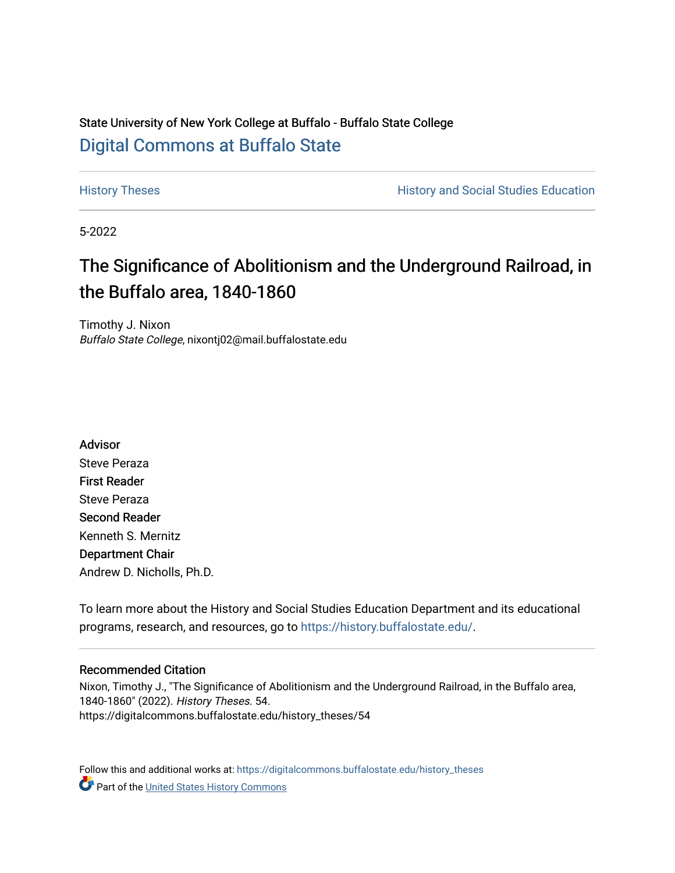# State University of New York College at Buffalo - Buffalo State College [Digital Commons at Buffalo State](https://digitalcommons.buffalostate.edu/)

[History Theses](https://digitalcommons.buffalostate.edu/history_theses) **History and Social Studies Education History and Social Studies Education** 

5-2022

# The Significance of Abolitionism and the Underground Railroad, in the Buffalo area, 1840-1860

Timothy J. Nixon Buffalo State College, nixontj02@mail.buffalostate.edu

Advisor Steve Peraza First Reader Steve Peraza Second Reader Kenneth S. Mernitz Department Chair Andrew D. Nicholls, Ph.D.

To learn more about the History and Social Studies Education Department and its educational programs, research, and resources, go to<https://history.buffalostate.edu/>.

### Recommended Citation

Nixon, Timothy J., "The Significance of Abolitionism and the Underground Railroad, in the Buffalo area, 1840-1860" (2022). History Theses. 54. https://digitalcommons.buffalostate.edu/history\_theses/54

Follow this and additional works at: [https://digitalcommons.buffalostate.edu/history\\_theses](https://digitalcommons.buffalostate.edu/history_theses?utm_source=digitalcommons.buffalostate.edu%2Fhistory_theses%2F54&utm_medium=PDF&utm_campaign=PDFCoverPages)  **Part of the [United States History Commons](https://network.bepress.com/hgg/discipline/495?utm_source=digitalcommons.buffalostate.edu%2Fhistory_theses%2F54&utm_medium=PDF&utm_campaign=PDFCoverPages)**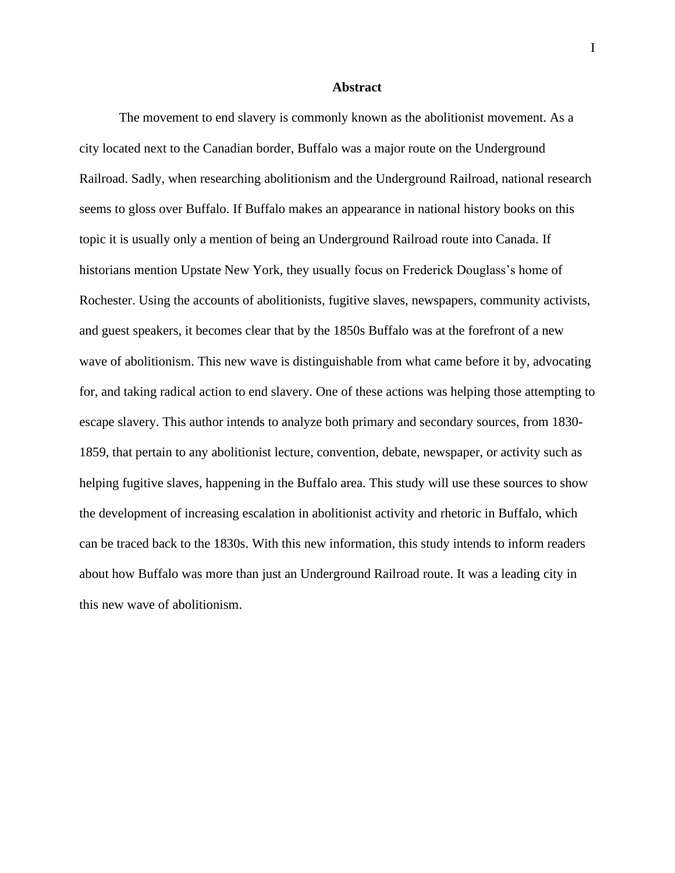#### **Abstract**

The movement to end slavery is commonly known as the abolitionist movement. As a city located next to the Canadian border, Buffalo was a major route on the Underground Railroad. Sadly, when researching abolitionism and the Underground Railroad, national research seems to gloss over Buffalo. If Buffalo makes an appearance in national history books on this topic it is usually only a mention of being an Underground Railroad route into Canada. If historians mention Upstate New York, they usually focus on Frederick Douglass's home of Rochester. Using the accounts of abolitionists, fugitive slaves, newspapers, community activists, and guest speakers, it becomes clear that by the 1850s Buffalo was at the forefront of a new wave of abolitionism. This new wave is distinguishable from what came before it by, advocating for, and taking radical action to end slavery. One of these actions was helping those attempting to escape slavery. This author intends to analyze both primary and secondary sources, from 1830- 1859, that pertain to any abolitionist lecture, convention, debate, newspaper, or activity such as helping fugitive slaves, happening in the Buffalo area. This study will use these sources to show the development of increasing escalation in abolitionist activity and rhetoric in Buffalo, which can be traced back to the 1830s. With this new information, this study intends to inform readers about how Buffalo was more than just an Underground Railroad route. It was a leading city in this new wave of abolitionism.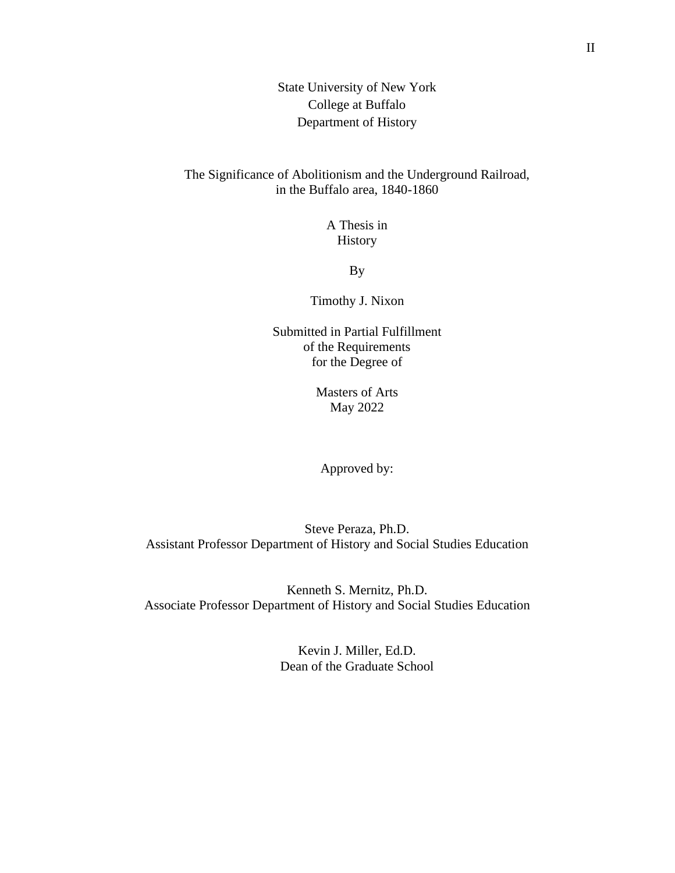State University of New York College at Buffalo Department of History

The Significance of Abolitionism and the Underground Railroad, in the Buffalo area, 1840-1860

> A Thesis in History

> > By

Timothy J. Nixon

Submitted in Partial Fulfillment of the Requirements for the Degree of

> Masters of Arts May 2022

Approved by:

Steve Peraza, Ph.D. Assistant Professor Department of History and Social Studies Education

Kenneth S. Mernitz, Ph.D. Associate Professor Department of History and Social Studies Education

> Kevin J. Miller, Ed.D. Dean of the Graduate School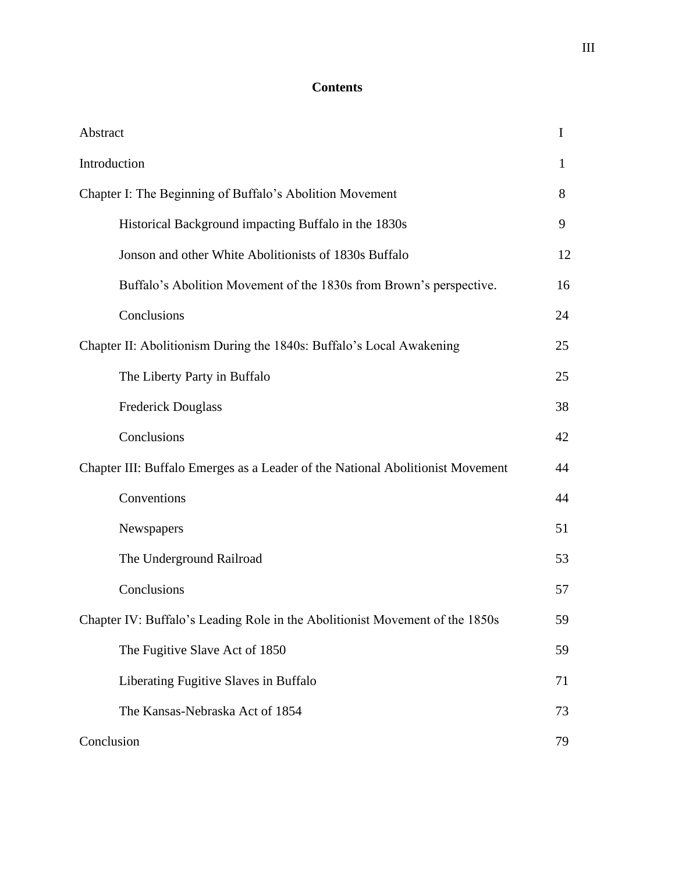## **Contents**

| Abstract                                                                       | $\mathbf I$ |
|--------------------------------------------------------------------------------|-------------|
| Introduction                                                                   | 1           |
| Chapter I: The Beginning of Buffalo's Abolition Movement                       | 8           |
| Historical Background impacting Buffalo in the 1830s                           | 9           |
| Jonson and other White Abolitionists of 1830s Buffalo                          | 12          |
| Buffalo's Abolition Movement of the 1830s from Brown's perspective.            | 16          |
| Conclusions                                                                    | 24          |
| Chapter II: Abolitionism During the 1840s: Buffalo's Local Awakening           | 25          |
| The Liberty Party in Buffalo                                                   | 25          |
| <b>Frederick Douglass</b>                                                      | 38          |
| Conclusions                                                                    | 42          |
| Chapter III: Buffalo Emerges as a Leader of the National Abolitionist Movement | 44          |
| Conventions                                                                    | 44          |
| Newspapers                                                                     | 51          |
| The Underground Railroad                                                       | 53          |
| Conclusions                                                                    | 57          |
| Chapter IV: Buffalo's Leading Role in the Abolitionist Movement of the 1850s   | 59          |
| The Fugitive Slave Act of 1850                                                 | 59          |
| Liberating Fugitive Slaves in Buffalo                                          | 71          |
| The Kansas-Nebraska Act of 1854                                                | 73          |
| Conclusion                                                                     | 79          |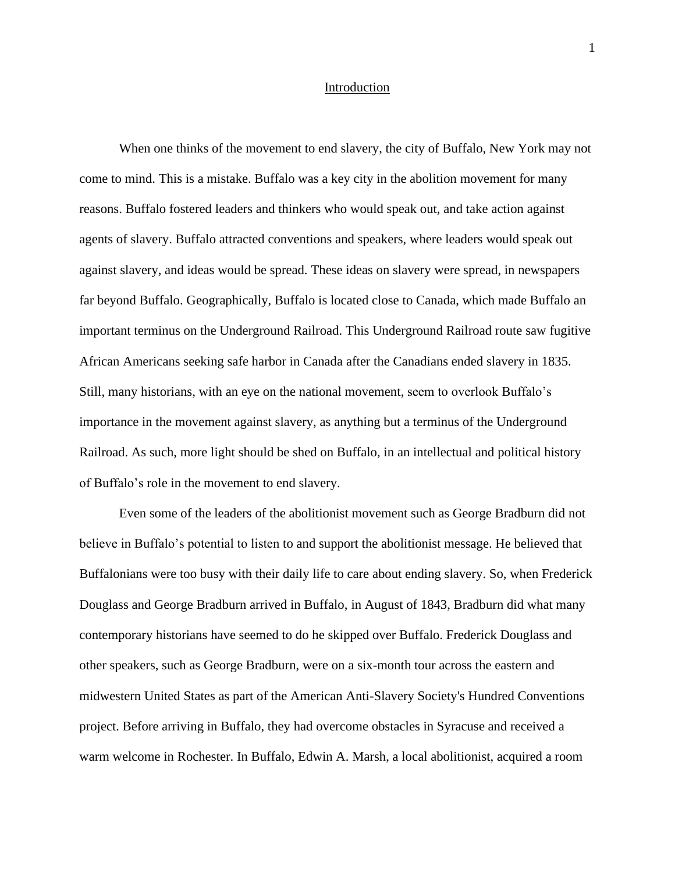#### Introduction

When one thinks of the movement to end slavery, the city of Buffalo, New York may not come to mind. This is a mistake. Buffalo was a key city in the abolition movement for many reasons. Buffalo fostered leaders and thinkers who would speak out, and take action against agents of slavery. Buffalo attracted conventions and speakers, where leaders would speak out against slavery, and ideas would be spread. These ideas on slavery were spread, in newspapers far beyond Buffalo. Geographically, Buffalo is located close to Canada, which made Buffalo an important terminus on the Underground Railroad. This Underground Railroad route saw fugitive African Americans seeking safe harbor in Canada after the Canadians ended slavery in 1835. Still, many historians, with an eye on the national movement, seem to overlook Buffalo's importance in the movement against slavery, as anything but a terminus of the Underground Railroad. As such, more light should be shed on Buffalo, in an intellectual and political history of Buffalo's role in the movement to end slavery.

Even some of the leaders of the abolitionist movement such as George Bradburn did not believe in Buffalo's potential to listen to and support the abolitionist message. He believed that Buffalonians were too busy with their daily life to care about ending slavery. So, when Frederick Douglass and George Bradburn arrived in Buffalo, in August of 1843, Bradburn did what many contemporary historians have seemed to do he skipped over Buffalo. Frederick Douglass and other speakers, such as George Bradburn, were on a six-month tour across the eastern and midwestern United States as part of the American Anti-Slavery Society's Hundred Conventions project. Before arriving in Buffalo, they had overcome obstacles in Syracuse and received a warm welcome in Rochester. In Buffalo, Edwin A. Marsh, a local abolitionist, acquired a room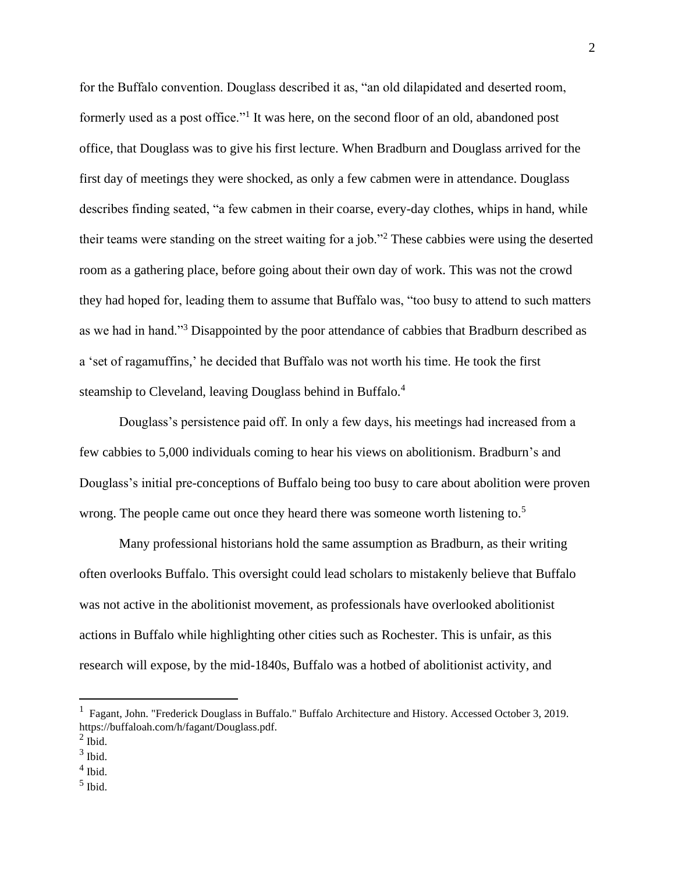for the Buffalo convention. Douglass described it as, "an old dilapidated and deserted room, formerly used as a post office."<sup>1</sup> It was here, on the second floor of an old, abandoned post office, that Douglass was to give his first lecture. When Bradburn and Douglass arrived for the first day of meetings they were shocked, as only a few cabmen were in attendance. Douglass describes finding seated, "a few cabmen in their coarse, every-day clothes, whips in hand, while their teams were standing on the street waiting for a job."<sup>2</sup> These cabbies were using the deserted room as a gathering place, before going about their own day of work. This was not the crowd they had hoped for, leading them to assume that Buffalo was, "too busy to attend to such matters as we had in hand."<sup>3</sup> Disappointed by the poor attendance of cabbies that Bradburn described as a 'set of ragamuffins,' he decided that Buffalo was not worth his time. He took the first steamship to Cleveland, leaving Douglass behind in Buffalo.<sup>4</sup>

Douglass's persistence paid off. In only a few days, his meetings had increased from a few cabbies to 5,000 individuals coming to hear his views on abolitionism. Bradburn's and Douglass's initial pre-conceptions of Buffalo being too busy to care about abolition were proven wrong. The people came out once they heard there was someone worth listening to.<sup>5</sup>

Many professional historians hold the same assumption as Bradburn, as their writing often overlooks Buffalo. This oversight could lead scholars to mistakenly believe that Buffalo was not active in the abolitionist movement, as professionals have overlooked abolitionist actions in Buffalo while highlighting other cities such as Rochester. This is unfair, as this research will expose, by the mid-1840s, Buffalo was a hotbed of abolitionist activity, and

<sup>&</sup>lt;sup>1</sup> Fagant, John. "Frederick Douglass in Buffalo." Buffalo Architecture and History. Accessed October 3, 2019. https://buffaloah.com/h/fagant/Douglass.pdf.

 $<sup>2</sup>$  Ibid.</sup>

 $3$  Ibid.

<sup>4</sup> Ibid.

<sup>5</sup> Ibid.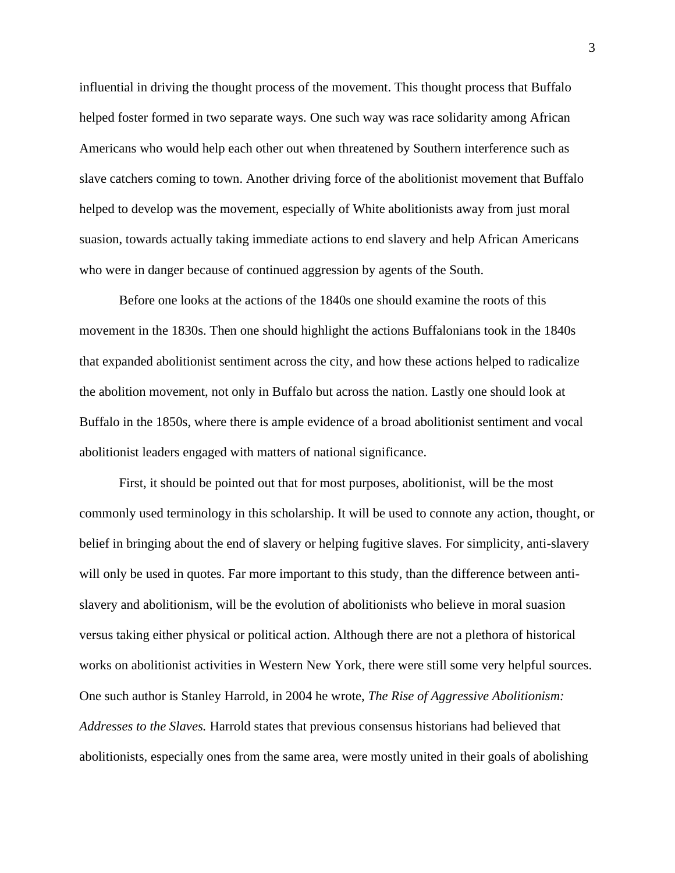influential in driving the thought process of the movement. This thought process that Buffalo helped foster formed in two separate ways. One such way was race solidarity among African Americans who would help each other out when threatened by Southern interference such as slave catchers coming to town. Another driving force of the abolitionist movement that Buffalo helped to develop was the movement, especially of White abolitionists away from just moral suasion, towards actually taking immediate actions to end slavery and help African Americans who were in danger because of continued aggression by agents of the South.

Before one looks at the actions of the 1840s one should examine the roots of this movement in the 1830s. Then one should highlight the actions Buffalonians took in the 1840s that expanded abolitionist sentiment across the city, and how these actions helped to radicalize the abolition movement, not only in Buffalo but across the nation. Lastly one should look at Buffalo in the 1850s, where there is ample evidence of a broad abolitionist sentiment and vocal abolitionist leaders engaged with matters of national significance.

First, it should be pointed out that for most purposes, abolitionist, will be the most commonly used terminology in this scholarship. It will be used to connote any action, thought, or belief in bringing about the end of slavery or helping fugitive slaves. For simplicity, anti-slavery will only be used in quotes. Far more important to this study, than the difference between antislavery and abolitionism, will be the evolution of abolitionists who believe in moral suasion versus taking either physical or political action. Although there are not a plethora of historical works on abolitionist activities in Western New York, there were still some very helpful sources. One such author is Stanley Harrold, in 2004 he wrote, *The Rise of Aggressive Abolitionism: Addresses to the Slaves.* Harrold states that previous consensus historians had believed that abolitionists, especially ones from the same area, were mostly united in their goals of abolishing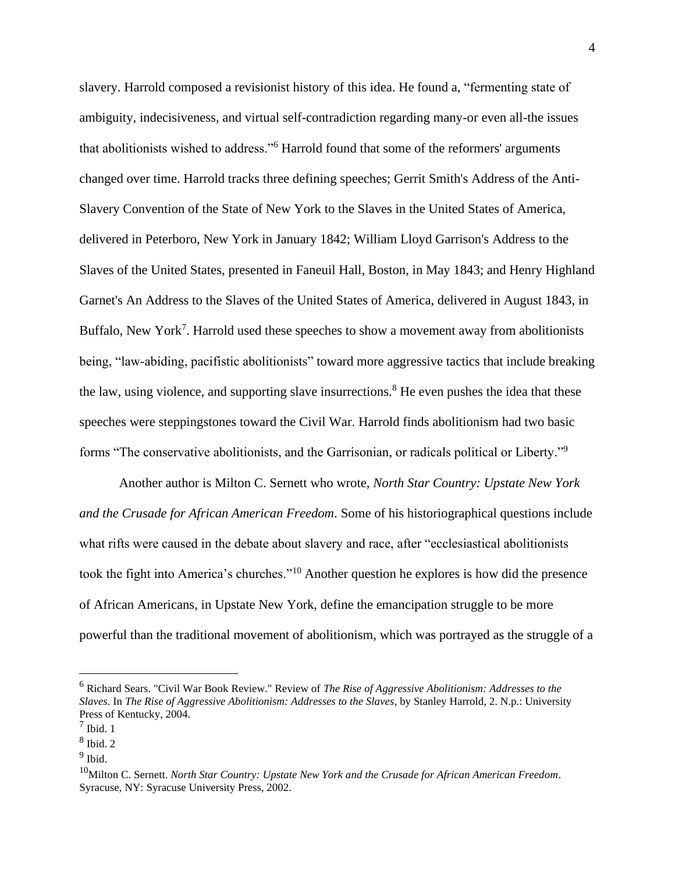slavery. Harrold composed a revisionist history of this idea. He found a, "fermenting state of ambiguity, indecisiveness, and virtual self-contradiction regarding many-or even all-the issues that abolitionists wished to address."<sup>6</sup> Harrold found that some of the reformers' arguments changed over time. Harrold tracks three defining speeches; Gerrit Smith's Address of the Anti-Slavery Convention of the State of New York to the Slaves in the United States of America, delivered in Peterboro, New York in January 1842; William Lloyd Garrison's Address to the Slaves of the United States, presented in Faneuil Hall, Boston, in May 1843; and Henry Highland Garnet's An Address to the Slaves of the United States of America, delivered in August 1843, in Buffalo, New York<sup>7</sup>. Harrold used these speeches to show a movement away from abolitionists being, "law-abiding, pacifistic abolitionists" toward more aggressive tactics that include breaking the law, using violence, and supporting slave insurrections.<sup>8</sup> He even pushes the idea that these speeches were steppingstones toward the Civil War. Harrold finds abolitionism had two basic forms "The conservative abolitionists, and the Garrisonian, or radicals political or Liberty."<sup>9</sup>

Another author is Milton C. Sernett who wrote, *North Star Country: Upstate New York and the Crusade for African American Freedom*. Some of his historiographical questions include what rifts were caused in the debate about slavery and race, after "ecclesiastical abolitionists took the fight into America's churches."<sup>10</sup> Another question he explores is how did the presence of African Americans, in Upstate New York, define the emancipation struggle to be more powerful than the traditional movement of abolitionism, which was portrayed as the struggle of a

<sup>6</sup> Richard Sears. "Civil War Book Review." Review of *The Rise of Aggressive Abolitionism: Addresses to the Slaves*. In *The Rise of Aggressive Abolitionism: Addresses to the Slaves*, by Stanley Harrold, 2. N.p.: University Press of Kentucky, 2004.

 $<sup>7</sup>$  Ibid. 1</sup>

<sup>8</sup> Ibid. 2

<sup>&</sup>lt;sup>9</sup> Ibid.

<sup>10</sup>Milton C. Sernett. *North Star Country: Upstate New York and the Crusade for African American Freedom*. Syracuse, NY: Syracuse University Press, 2002.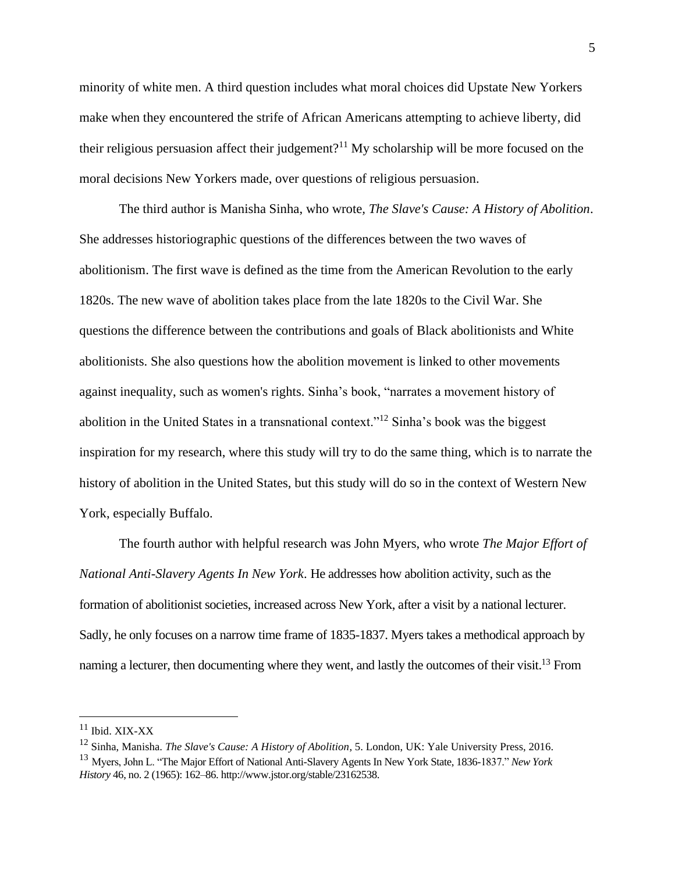minority of white men. A third question includes what moral choices did Upstate New Yorkers make when they encountered the strife of African Americans attempting to achieve liberty, did their religious persuasion affect their judgement?<sup>11</sup> My scholarship will be more focused on the moral decisions New Yorkers made, over questions of religious persuasion.

The third author is Manisha Sinha, who wrote*, The Slave's Cause: A History of Abolition*. She addresses historiographic questions of the differences between the two waves of abolitionism. The first wave is defined as the time from the American Revolution to the early 1820s. The new wave of abolition takes place from the late 1820s to the Civil War. She questions the difference between the contributions and goals of Black abolitionists and White abolitionists. She also questions how the abolition movement is linked to other movements against inequality, such as women's rights. Sinha's book, "narrates a movement history of abolition in the United States in a transnational context."<sup>12</sup> Sinha's book was the biggest inspiration for my research, where this study will try to do the same thing, which is to narrate the history of abolition in the United States, but this study will do so in the context of Western New York, especially Buffalo.

The fourth author with helpful research was John Myers, who wrote *The Major Effort of National Anti-Slavery Agents In New York*. He addresses how abolition activity, such as the formation of abolitionist societies, increased across New York, after a visit by a national lecturer. Sadly, he only focuses on a narrow time frame of 1835-1837. Myers takes a methodical approach by naming a lecturer, then documenting where they went, and lastly the outcomes of their visit.<sup>13</sup> From

<sup>11</sup> Ibid. XIX-XX

<sup>12</sup> Sinha, Manisha. *The Slave's Cause: A History of Abolition*, 5. London, UK: Yale University Press, 2016.

<sup>13</sup> Myers, John L. "The Major Effort of National Anti-Slavery Agents In New York State, 1836-1837." *New York History* 46, no. 2 (1965): 162–86. http://www.jstor.org/stable/23162538.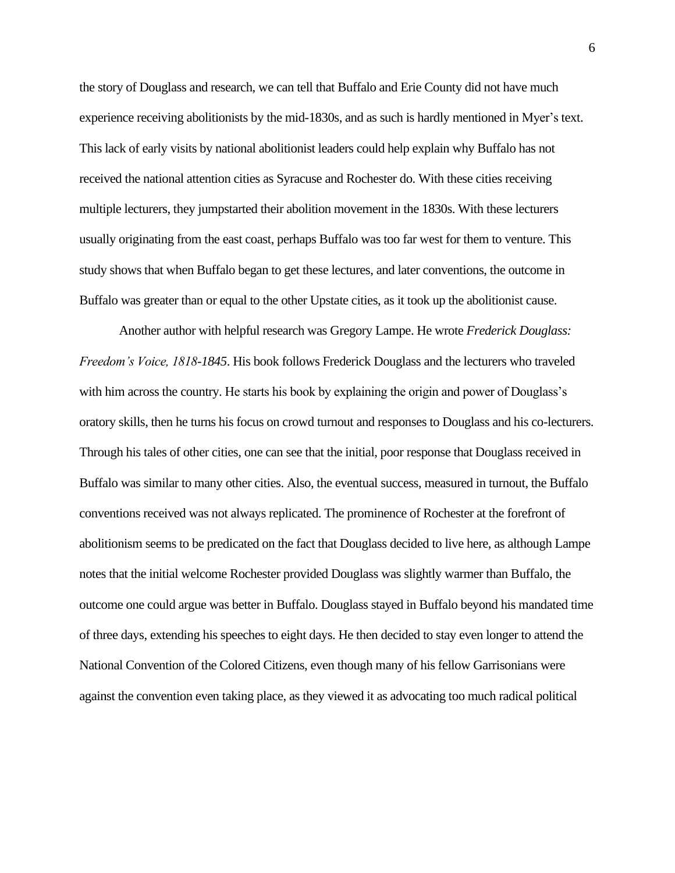the story of Douglass and research, we can tell that Buffalo and Erie County did not have much experience receiving abolitionists by the mid-1830s, and as such is hardly mentioned in Myer's text. This lack of early visits by national abolitionist leaders could help explain why Buffalo has not received the national attention cities as Syracuse and Rochester do. With these cities receiving multiple lecturers, they jumpstarted their abolition movement in the 1830s. With these lecturers usually originating from the east coast, perhaps Buffalo was too far west for them to venture. This study shows that when Buffalo began to get these lectures, and later conventions, the outcome in Buffalo was greater than or equal to the other Upstate cities, as it took up the abolitionist cause.

Another author with helpful research was Gregory Lampe. He wrote *Frederick Douglass: Freedom's Voice, 1818-1845*. His book follows Frederick Douglass and the lecturers who traveled with him across the country. He starts his book by explaining the origin and power of Douglass's oratory skills, then he turns his focus on crowd turnout and responses to Douglass and his co-lecturers. Through his tales of other cities, one can see that the initial, poor response that Douglass received in Buffalo was similar to many other cities. Also, the eventual success, measured in turnout, the Buffalo conventions received was not always replicated. The prominence of Rochester at the forefront of abolitionism seems to be predicated on the fact that Douglass decided to live here, as although Lampe notes that the initial welcome Rochester provided Douglass was slightly warmer than Buffalo, the outcome one could argue was better in Buffalo. Douglass stayed in Buffalo beyond his mandated time of three days, extending his speeches to eight days. He then decided to stay even longer to attend the National Convention of the Colored Citizens, even though many of his fellow Garrisonians were against the convention even taking place, as they viewed it as advocating too much radical political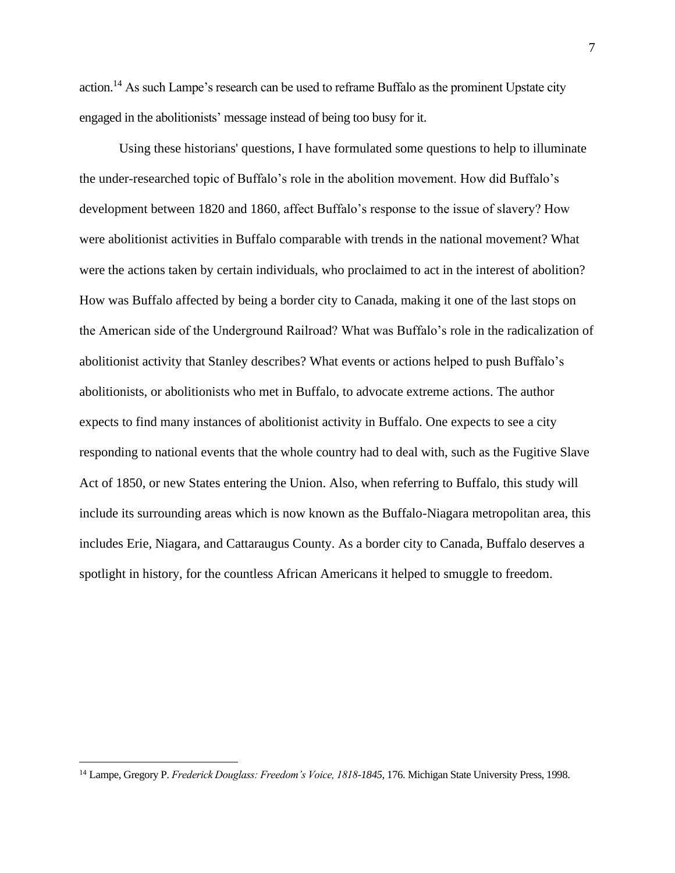action.<sup>14</sup> As such Lampe's research can be used to reframe Buffalo as the prominent Upstate city engaged in the abolitionists' message instead of being too busy for it.

Using these historians' questions, I have formulated some questions to help to illuminate the under-researched topic of Buffalo's role in the abolition movement. How did Buffalo's development between 1820 and 1860, affect Buffalo's response to the issue of slavery? How were abolitionist activities in Buffalo comparable with trends in the national movement? What were the actions taken by certain individuals, who proclaimed to act in the interest of abolition? How was Buffalo affected by being a border city to Canada, making it one of the last stops on the American side of the Underground Railroad? What was Buffalo's role in the radicalization of abolitionist activity that Stanley describes? What events or actions helped to push Buffalo's abolitionists, or abolitionists who met in Buffalo, to advocate extreme actions. The author expects to find many instances of abolitionist activity in Buffalo. One expects to see a city responding to national events that the whole country had to deal with, such as the Fugitive Slave Act of 1850, or new States entering the Union. Also, when referring to Buffalo, this study will include its surrounding areas which is now known as the Buffalo-Niagara metropolitan area, this includes Erie, Niagara, and Cattaraugus County. As a border city to Canada, Buffalo deserves a spotlight in history, for the countless African Americans it helped to smuggle to freedom.

<sup>&</sup>lt;sup>14</sup> Lampe, Gregory P. *Frederick Douglass: Freedom's Voice, 1818-1845*, 176. Michigan State University Press, 1998.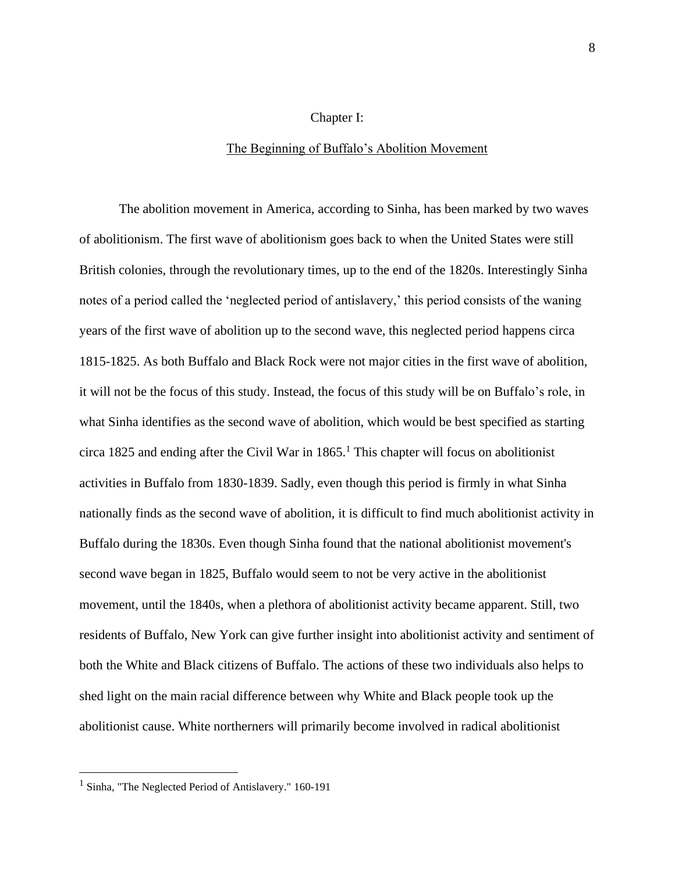#### Chapter I:

#### The Beginning of Buffalo's Abolition Movement

The abolition movement in America, according to Sinha, has been marked by two waves of abolitionism. The first wave of abolitionism goes back to when the United States were still British colonies, through the revolutionary times, up to the end of the 1820s. Interestingly Sinha notes of a period called the 'neglected period of antislavery,' this period consists of the waning years of the first wave of abolition up to the second wave, this neglected period happens circa 1815-1825. As both Buffalo and Black Rock were not major cities in the first wave of abolition, it will not be the focus of this study. Instead, the focus of this study will be on Buffalo's role, in what Sinha identifies as the second wave of abolition, which would be best specified as starting circa 1825 and ending after the Civil War in  $1865$ .<sup>1</sup> This chapter will focus on abolitionist activities in Buffalo from 1830-1839. Sadly, even though this period is firmly in what Sinha nationally finds as the second wave of abolition, it is difficult to find much abolitionist activity in Buffalo during the 1830s. Even though Sinha found that the national abolitionist movement's second wave began in 1825, Buffalo would seem to not be very active in the abolitionist movement, until the 1840s, when a plethora of abolitionist activity became apparent. Still, two residents of Buffalo, New York can give further insight into abolitionist activity and sentiment of both the White and Black citizens of Buffalo. The actions of these two individuals also helps to shed light on the main racial difference between why White and Black people took up the abolitionist cause. White northerners will primarily become involved in radical abolitionist

<sup>&</sup>lt;sup>1</sup> Sinha, "The Neglected Period of Antislavery." 160-191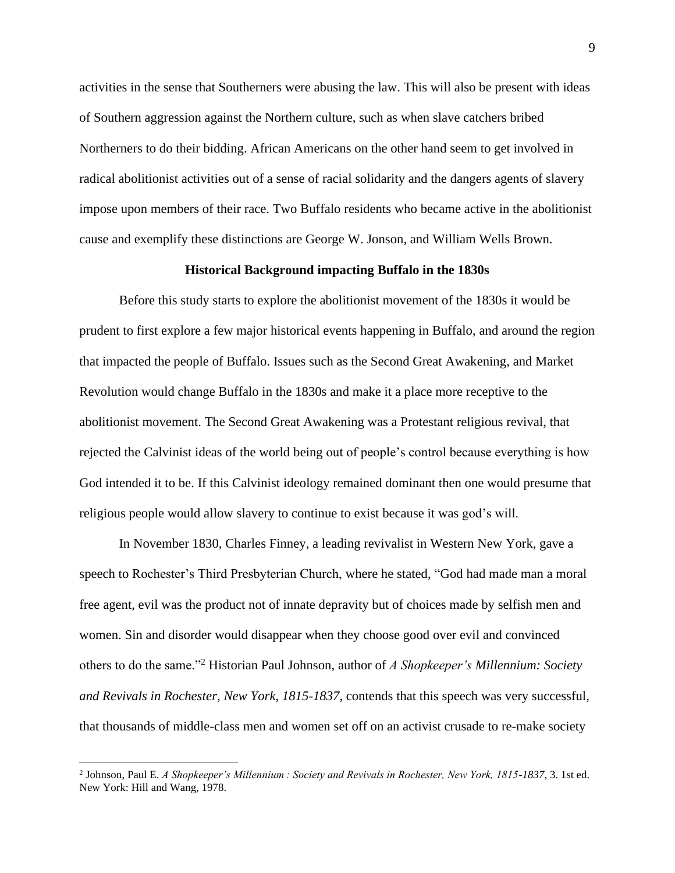activities in the sense that Southerners were abusing the law. This will also be present with ideas of Southern aggression against the Northern culture, such as when slave catchers bribed Northerners to do their bidding. African Americans on the other hand seem to get involved in radical abolitionist activities out of a sense of racial solidarity and the dangers agents of slavery impose upon members of their race. Two Buffalo residents who became active in the abolitionist cause and exemplify these distinctions are George W. Jonson, and William Wells Brown.

#### **Historical Background impacting Buffalo in the 1830s**

Before this study starts to explore the abolitionist movement of the 1830s it would be prudent to first explore a few major historical events happening in Buffalo, and around the region that impacted the people of Buffalo. Issues such as the Second Great Awakening, and Market Revolution would change Buffalo in the 1830s and make it a place more receptive to the abolitionist movement. The Second Great Awakening was a Protestant religious revival, that rejected the Calvinist ideas of the world being out of people's control because everything is how God intended it to be. If this Calvinist ideology remained dominant then one would presume that religious people would allow slavery to continue to exist because it was god's will.

In November 1830, Charles Finney, a leading revivalist in Western New York, gave a speech to Rochester's Third Presbyterian Church, where he stated, "God had made man a moral free agent, evil was the product not of innate depravity but of choices made by selfish men and women. Sin and disorder would disappear when they choose good over evil and convinced others to do the same."<sup>2</sup> Historian Paul Johnson, author of *A Shopkeeper's Millennium: Society and Revivals in Rochester, New York, 1815-1837,* contends that this speech was very successful, that thousands of middle-class men and women set off on an activist crusade to re-make society

<sup>2</sup> Johnson, Paul E. *A Shopkeeper's Millennium : Society and Revivals in Rochester, New York, 1815-1837*, 3. 1st ed. New York: Hill and Wang, 1978.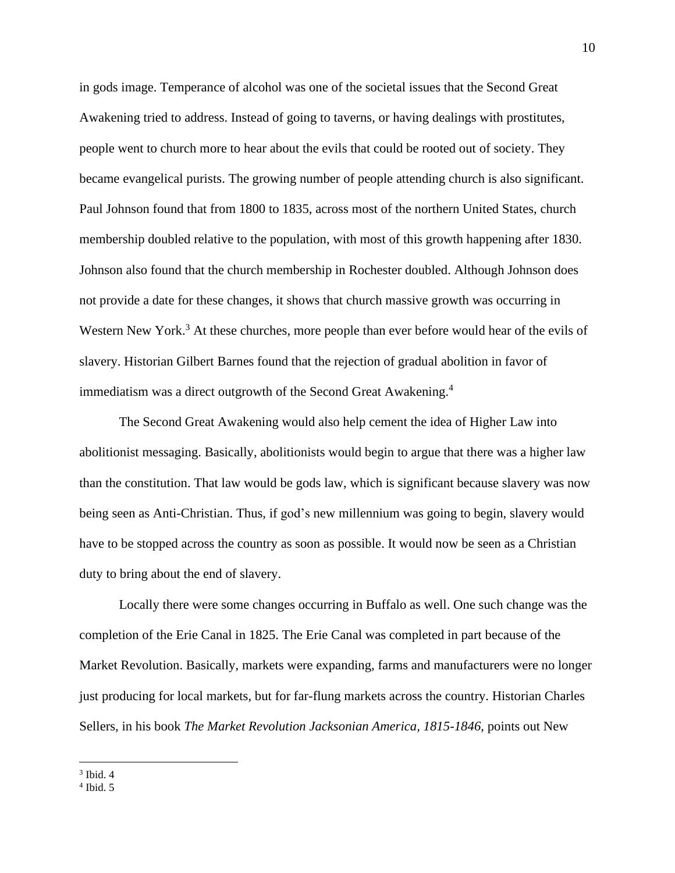in gods image. Temperance of alcohol was one of the societal issues that the Second Great Awakening tried to address. Instead of going to taverns, or having dealings with prostitutes, people went to church more to hear about the evils that could be rooted out of society. They became evangelical purists. The growing number of people attending church is also significant. Paul Johnson found that from 1800 to 1835, across most of the northern United States, church membership doubled relative to the population, with most of this growth happening after 1830. Johnson also found that the church membership in Rochester doubled. Although Johnson does not provide a date for these changes, it shows that church massive growth was occurring in Western New York.<sup>3</sup> At these churches, more people than ever before would hear of the evils of slavery. Historian Gilbert Barnes found that the rejection of gradual abolition in favor of immediatism was a direct outgrowth of the Second Great Awakening.<sup>4</sup>

The Second Great Awakening would also help cement the idea of Higher Law into abolitionist messaging. Basically, abolitionists would begin to argue that there was a higher law than the constitution. That law would be gods law, which is significant because slavery was now being seen as Anti-Christian. Thus, if god's new millennium was going to begin, slavery would have to be stopped across the country as soon as possible. It would now be seen as a Christian duty to bring about the end of slavery.

Locally there were some changes occurring in Buffalo as well. One such change was the completion of the Erie Canal in 1825. The Erie Canal was completed in part because of the Market Revolution. Basically, markets were expanding, farms and manufacturers were no longer just producing for local markets, but for far-flung markets across the country. Historian Charles Sellers, in his book *The Market Revolution Jacksonian America, 1815-1846*, points out New

 $3$  Ibid. 4

<sup>4</sup> Ibid. 5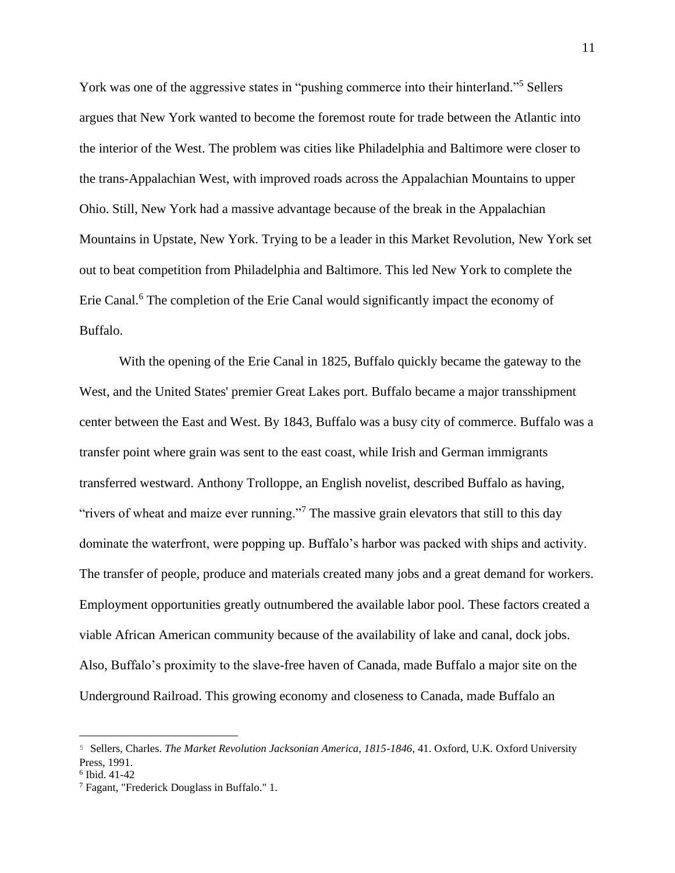York was one of the aggressive states in "pushing commerce into their hinterland."<sup>5</sup> Sellers argues that New York wanted to become the foremost route for trade between the Atlantic into the interior of the West. The problem was cities like Philadelphia and Baltimore were closer to the trans-Appalachian West, with improved roads across the Appalachian Mountains to upper Ohio. Still, New York had a massive advantage because of the break in the Appalachian Mountains in Upstate, New York. Trying to be a leader in this Market Revolution, New York set out to beat competition from Philadelphia and Baltimore. This led New York to complete the Erie Canal.<sup>6</sup> The completion of the Erie Canal would significantly impact the economy of Buffalo.

With the opening of the Erie Canal in 1825, Buffalo quickly became the gateway to the West, and the United States' premier Great Lakes port. Buffalo became a major transshipment center between the East and West. By 1843, Buffalo was a busy city of commerce. Buffalo was a transfer point where grain was sent to the east coast, while Irish and German immigrants transferred westward. Anthony Trolloppe, an English novelist, described Buffalo as having, "rivers of wheat and maize ever running."<sup>7</sup> The massive grain elevators that still to this day dominate the waterfront, were popping up. Buffalo's harbor was packed with ships and activity. The transfer of people, produce and materials created many jobs and a great demand for workers. Employment opportunities greatly outnumbered the available labor pool. These factors created a viable African American community because of the availability of lake and canal, dock jobs. Also, Buffalo's proximity to the slave-free haven of Canada, made Buffalo a major site on the Underground Railroad. This growing economy and closeness to Canada, made Buffalo an

<sup>5</sup> Sellers, Charles. *The Market Revolution Jacksonian America, 1815-1846*, 41. Oxford, U.K. Oxford University Press, 1991.

<sup>6</sup> Ibid. 41-42

<sup>7</sup> Fagant, "Frederick Douglass in Buffalo." 1.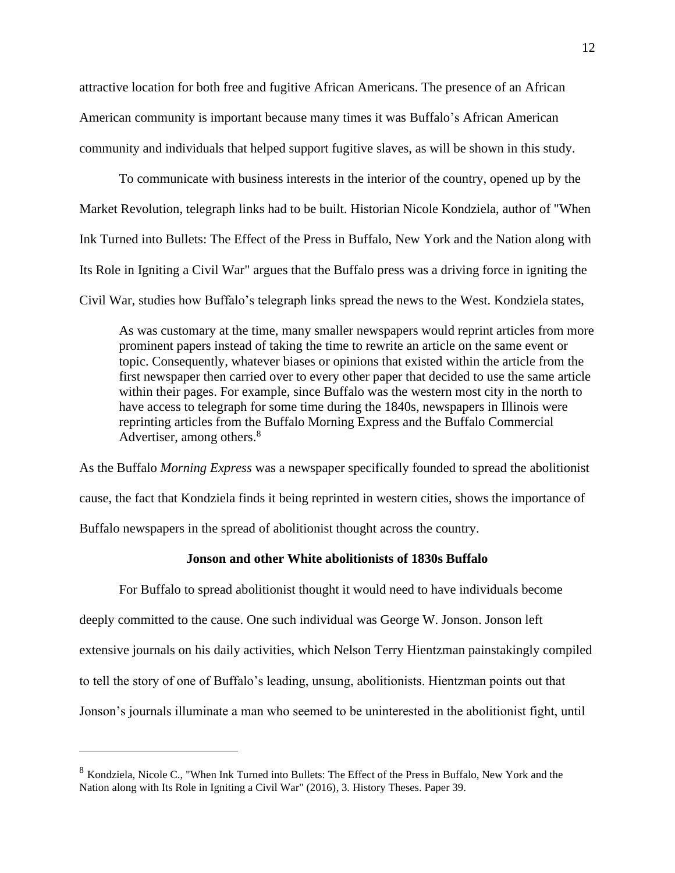attractive location for both free and fugitive African Americans. The presence of an African American community is important because many times it was Buffalo's African American community and individuals that helped support fugitive slaves, as will be shown in this study.

To communicate with business interests in the interior of the country, opened up by the Market Revolution, telegraph links had to be built. Historian Nicole Kondziela, author of "When Ink Turned into Bullets: The Effect of the Press in Buffalo, New York and the Nation along with Its Role in Igniting a Civil War" argues that the Buffalo press was a driving force in igniting the Civil War, studies how Buffalo's telegraph links spread the news to the West. Kondziela states,

As was customary at the time, many smaller newspapers would reprint articles from more prominent papers instead of taking the time to rewrite an article on the same event or topic. Consequently, whatever biases or opinions that existed within the article from the first newspaper then carried over to every other paper that decided to use the same article within their pages. For example, since Buffalo was the western most city in the north to have access to telegraph for some time during the 1840s, newspapers in Illinois were reprinting articles from the Buffalo Morning Express and the Buffalo Commercial Advertiser, among others.<sup>8</sup>

As the Buffalo *Morning Express* was a newspaper specifically founded to spread the abolitionist cause, the fact that Kondziela finds it being reprinted in western cities, shows the importance of Buffalo newspapers in the spread of abolitionist thought across the country.

### **Jonson and other White abolitionists of 1830s Buffalo**

For Buffalo to spread abolitionist thought it would need to have individuals become deeply committed to the cause. One such individual was George W. Jonson. Jonson left extensive journals on his daily activities, which Nelson Terry Hientzman painstakingly compiled to tell the story of one of Buffalo's leading, unsung, abolitionists. Hientzman points out that Jonson's journals illuminate a man who seemed to be uninterested in the abolitionist fight, until

<sup>8</sup> Kondziela, Nicole C., "When Ink Turned into Bullets: The Effect of the Press in Buffalo, New York and the Nation along with Its Role in Igniting a Civil War" (2016), 3. History Theses. Paper 39.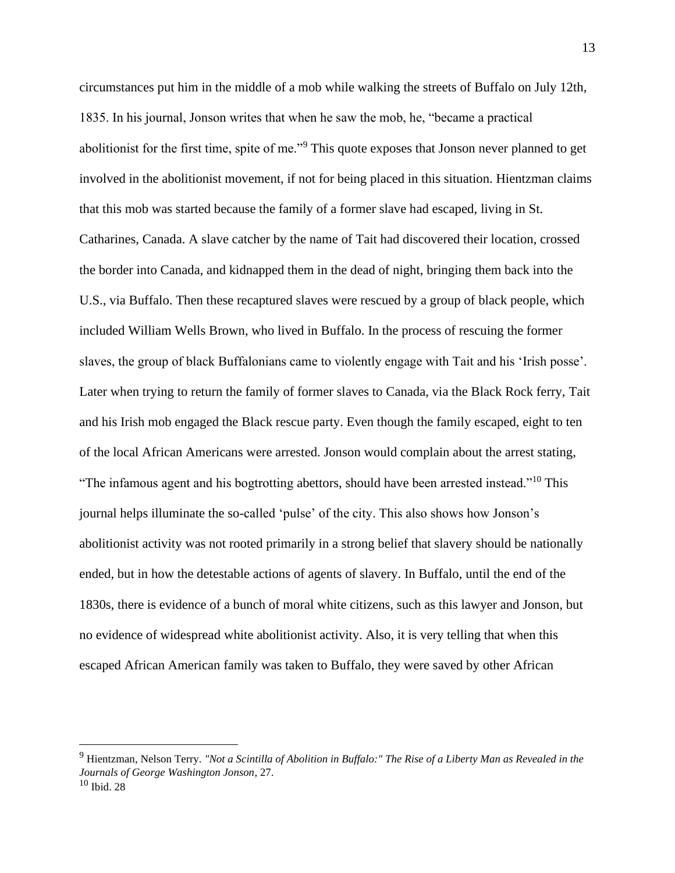circumstances put him in the middle of a mob while walking the streets of Buffalo on July 12th, 1835. In his journal, Jonson writes that when he saw the mob, he, "became a practical abolitionist for the first time, spite of me."<sup>9</sup> This quote exposes that Jonson never planned to get involved in the abolitionist movement, if not for being placed in this situation. Hientzman claims that this mob was started because the family of a former slave had escaped, living in St. Catharines, Canada. A slave catcher by the name of Tait had discovered their location, crossed the border into Canada, and kidnapped them in the dead of night, bringing them back into the U.S., via Buffalo. Then these recaptured slaves were rescued by a group of black people, which included William Wells Brown, who lived in Buffalo. In the process of rescuing the former slaves, the group of black Buffalonians came to violently engage with Tait and his 'Irish posse'. Later when trying to return the family of former slaves to Canada, via the Black Rock ferry, Tait and his Irish mob engaged the Black rescue party. Even though the family escaped, eight to ten of the local African Americans were arrested. Jonson would complain about the arrest stating, "The infamous agent and his bogtrotting abettors, should have been arrested instead."<sup>10</sup> This journal helps illuminate the so-called 'pulse' of the city. This also shows how Jonson's abolitionist activity was not rooted primarily in a strong belief that slavery should be nationally ended, but in how the detestable actions of agents of slavery. In Buffalo, until the end of the 1830s, there is evidence of a bunch of moral white citizens, such as this lawyer and Jonson, but no evidence of widespread white abolitionist activity. Also, it is very telling that when this escaped African American family was taken to Buffalo, they were saved by other African

<sup>9</sup> Hientzman, Nelson Terry. *"Not a Scintilla of Abolition in Buffalo:" The Rise of a Liberty Man as Revealed in the Journals of George Washington Jonson*, 27.

 $^{10}$  Ibid. 28  $\,$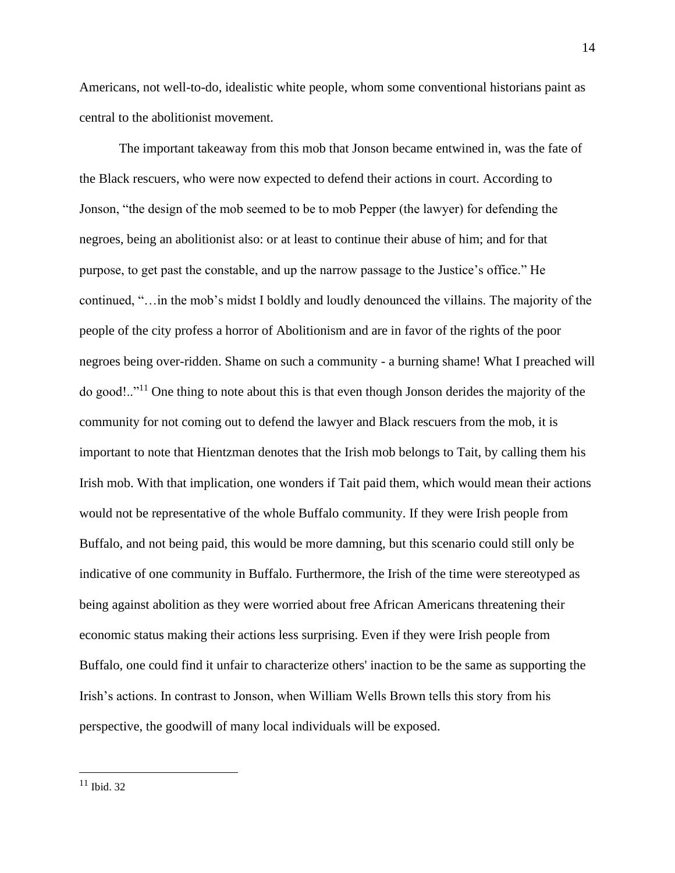Americans, not well-to-do, idealistic white people, whom some conventional historians paint as central to the abolitionist movement.

The important takeaway from this mob that Jonson became entwined in, was the fate of the Black rescuers, who were now expected to defend their actions in court. According to Jonson, "the design of the mob seemed to be to mob Pepper (the lawyer) for defending the negroes, being an abolitionist also: or at least to continue their abuse of him; and for that purpose, to get past the constable, and up the narrow passage to the Justice's office." He continued, "…in the mob's midst I boldly and loudly denounced the villains. The majority of the people of the city profess a horror of Abolitionism and are in favor of the rights of the poor negroes being over-ridden. Shame on such a community - a burning shame! What I preached will do good!.."<sup>11</sup> One thing to note about this is that even though Jonson derides the majority of the community for not coming out to defend the lawyer and Black rescuers from the mob, it is important to note that Hientzman denotes that the Irish mob belongs to Tait, by calling them his Irish mob. With that implication, one wonders if Tait paid them, which would mean their actions would not be representative of the whole Buffalo community. If they were Irish people from Buffalo, and not being paid, this would be more damning, but this scenario could still only be indicative of one community in Buffalo. Furthermore, the Irish of the time were stereotyped as being against abolition as they were worried about free African Americans threatening their economic status making their actions less surprising. Even if they were Irish people from Buffalo, one could find it unfair to characterize others' inaction to be the same as supporting the Irish's actions. In contrast to Jonson, when William Wells Brown tells this story from his perspective, the goodwill of many local individuals will be exposed.

 $11$  Ibid. 32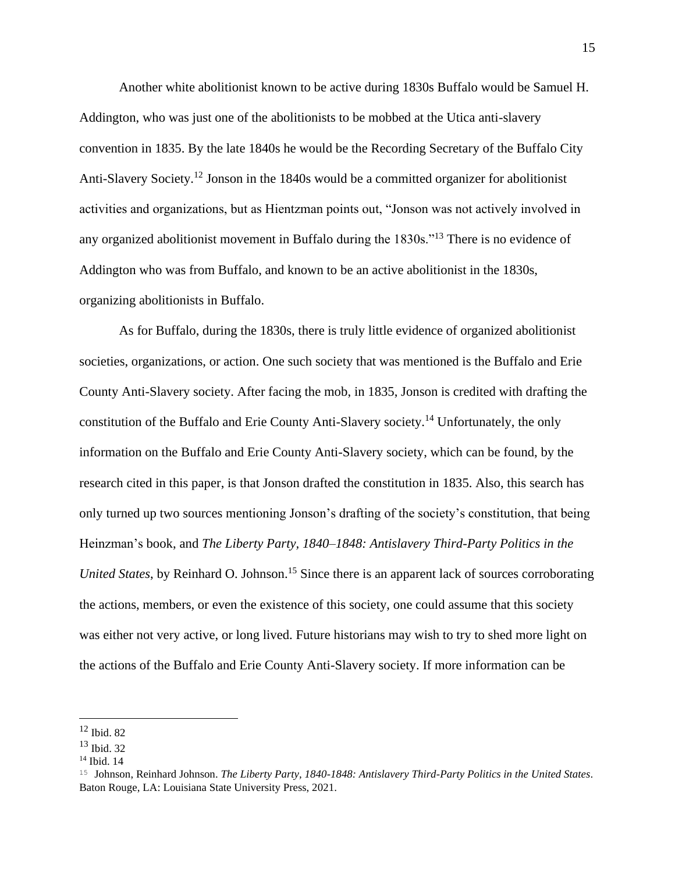Another white abolitionist known to be active during 1830s Buffalo would be Samuel H. Addington, who was just one of the abolitionists to be mobbed at the Utica anti-slavery convention in 1835. By the late 1840s he would be the Recording Secretary of the Buffalo City Anti-Slavery Society.<sup>12</sup> Jonson in the 1840s would be a committed organizer for abolitionist activities and organizations, but as Hientzman points out, "Jonson was not actively involved in any organized abolitionist movement in Buffalo during the 1830s."<sup>13</sup> There is no evidence of Addington who was from Buffalo, and known to be an active abolitionist in the 1830s, organizing abolitionists in Buffalo.

As for Buffalo, during the 1830s, there is truly little evidence of organized abolitionist societies, organizations, or action. One such society that was mentioned is the Buffalo and Erie County Anti-Slavery society. After facing the mob, in 1835, Jonson is credited with drafting the constitution of the Buffalo and Erie County Anti-Slavery society.<sup>14</sup> Unfortunately, the only information on the Buffalo and Erie County Anti-Slavery society, which can be found, by the research cited in this paper, is that Jonson drafted the constitution in 1835. Also, this search has only turned up two sources mentioning Jonson's drafting of the society's constitution, that being Heinzman's book, and *The Liberty Party, 1840–1848: Antislavery Third-Party Politics in the United States*, by Reinhard O. Johnson.<sup>15</sup> Since there is an apparent lack of sources corroborating the actions, members, or even the existence of this society, one could assume that this society was either not very active, or long lived. Future historians may wish to try to shed more light on the actions of the Buffalo and Erie County Anti-Slavery society. If more information can be

 $12$  Ibid. 82

<sup>13</sup> Ibid. 32

<sup>14</sup> Ibid. 14

<sup>15</sup> Johnson, Reinhard Johnson. *The Liberty Party, 1840-1848: Antislavery Third-Party Politics in the United States*. Baton Rouge, LA: Louisiana State University Press, 2021.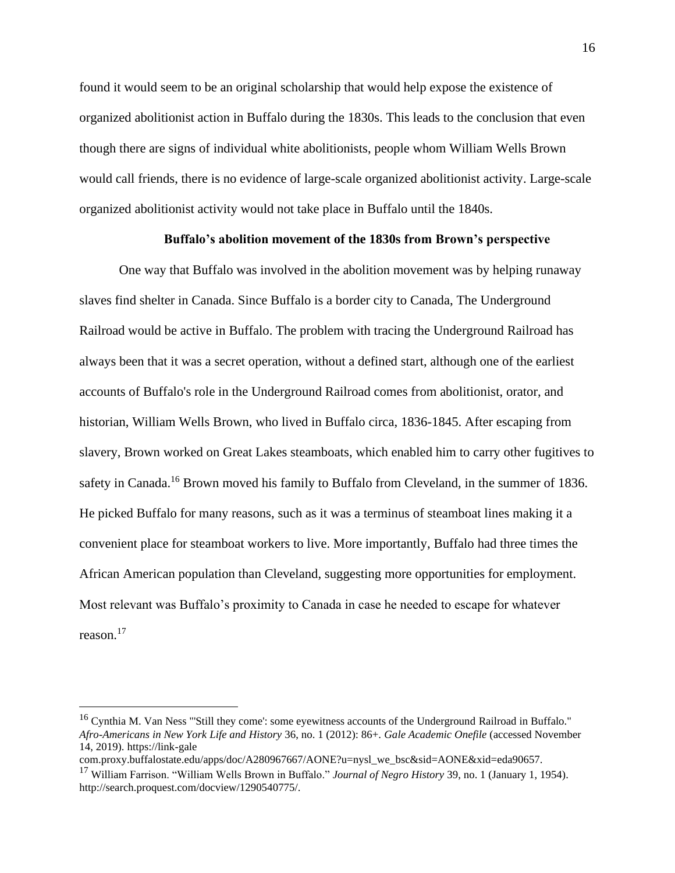found it would seem to be an original scholarship that would help expose the existence of organized abolitionist action in Buffalo during the 1830s. This leads to the conclusion that even though there are signs of individual white abolitionists, people whom William Wells Brown would call friends, there is no evidence of large-scale organized abolitionist activity. Large-scale organized abolitionist activity would not take place in Buffalo until the 1840s.

#### **Buffalo's abolition movement of the 1830s from Brown's perspective**

One way that Buffalo was involved in the abolition movement was by helping runaway slaves find shelter in Canada. Since Buffalo is a border city to Canada, The Underground Railroad would be active in Buffalo. The problem with tracing the Underground Railroad has always been that it was a secret operation, without a defined start, although one of the earliest accounts of Buffalo's role in the Underground Railroad comes from abolitionist, orator, and historian, William Wells Brown, who lived in Buffalo circa, 1836-1845. After escaping from slavery, Brown worked on Great Lakes steamboats, which enabled him to carry other fugitives to safety in Canada.<sup>16</sup> Brown moved his family to Buffalo from Cleveland, in the summer of 1836. He picked Buffalo for many reasons, such as it was a terminus of steamboat lines making it a convenient place for steamboat workers to live. More importantly, Buffalo had three times the African American population than Cleveland, suggesting more opportunities for employment. Most relevant was Buffalo's proximity to Canada in case he needed to escape for whatever reason.<sup>17</sup>

<sup>&</sup>lt;sup>16</sup> Cynthia M. Van Ness "'Still they come': some eyewitness accounts of the Underground Railroad in Buffalo." *Afro-Americans in New York Life and History* 36, no. 1 (2012): 86+. *Gale Academic Onefile* (accessed November 14, 2019). https://link-gale

com.proxy.buffalostate.edu/apps/doc/A280967667/AONE?u=nysl\_we\_bsc&sid=AONE&xid=eda90657. <sup>17</sup> William Farrison. "William Wells Brown in Buffalo." *Journal of Negro History* 39, no. 1 (January 1, 1954). http://search.proquest.com/docview/1290540775/.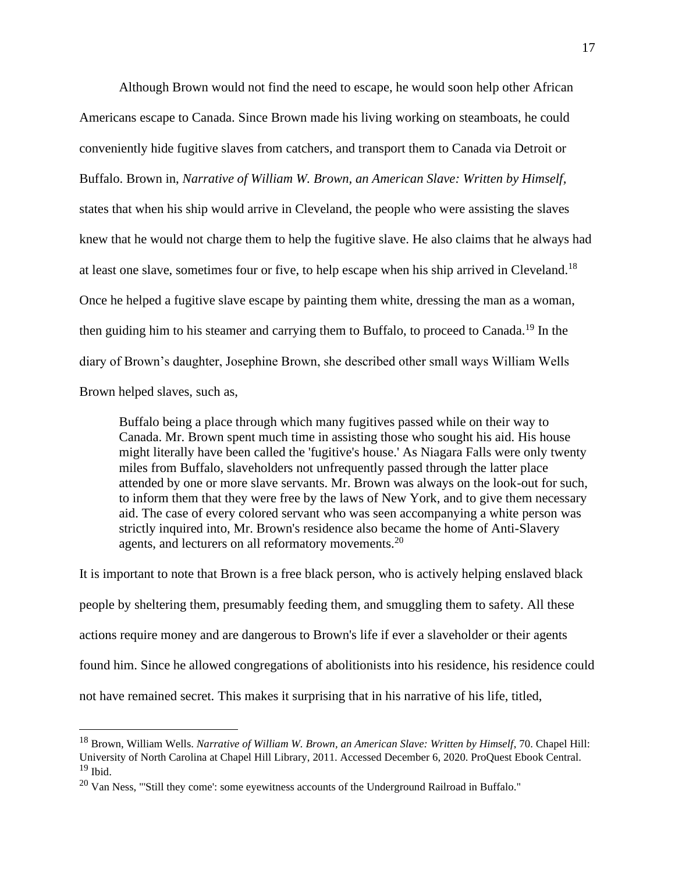Although Brown would not find the need to escape, he would soon help other African Americans escape to Canada. Since Brown made his living working on steamboats, he could conveniently hide fugitive slaves from catchers, and transport them to Canada via Detroit or Buffalo. Brown in, *Narrative of William W. Brown, an American Slave: Written by Himself,*  states that when his ship would arrive in Cleveland, the people who were assisting the slaves knew that he would not charge them to help the fugitive slave. He also claims that he always had at least one slave, sometimes four or five, to help escape when his ship arrived in Cleveland.<sup>18</sup> Once he helped a fugitive slave escape by painting them white, dressing the man as a woman, then guiding him to his steamer and carrying them to Buffalo, to proceed to Canada.<sup>19</sup> In the diary of Brown's daughter, Josephine Brown, she described other small ways William Wells Brown helped slaves, such as,

Buffalo being a place through which many fugitives passed while on their way to Canada. Mr. Brown spent much time in assisting those who sought his aid. His house might literally have been called the 'fugitive's house.' As Niagara Falls were only twenty miles from Buffalo, slaveholders not unfrequently passed through the latter place attended by one or more slave servants. Mr. Brown was always on the look-out for such, to inform them that they were free by the laws of New York, and to give them necessary aid. The case of every colored servant who was seen accompanying a white person was strictly inquired into, Mr. Brown's residence also became the home of Anti-Slavery agents, and lecturers on all reformatory movements.<sup>20</sup>

It is important to note that Brown is a free black person, who is actively helping enslaved black people by sheltering them, presumably feeding them, and smuggling them to safety. All these actions require money and are dangerous to Brown's life if ever a slaveholder or their agents found him. Since he allowed congregations of abolitionists into his residence, his residence could not have remained secret. This makes it surprising that in his narrative of his life, titled,

<sup>18</sup> Brown, William Wells. *Narrative of William W. Brown, an American Slave: Written by Himself*, 70. Chapel Hill: University of North Carolina at Chapel Hill Library, 2011. Accessed December 6, 2020. ProQuest Ebook Central.  $19$  Ibid.

 $^{20}$  Van Ness, "'Still they come': some eyewitness accounts of the Underground Railroad in Buffalo."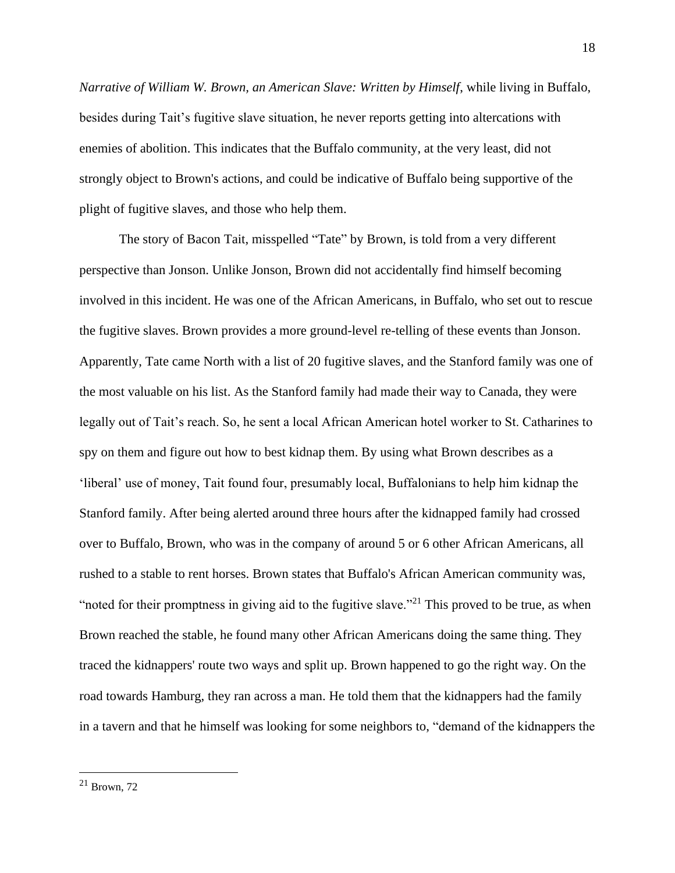*Narrative of William W. Brown, an American Slave: Written by Himself*, while living in Buffalo, besides during Tait's fugitive slave situation, he never reports getting into altercations with enemies of abolition. This indicates that the Buffalo community, at the very least, did not strongly object to Brown's actions, and could be indicative of Buffalo being supportive of the plight of fugitive slaves, and those who help them.

The story of Bacon Tait, misspelled "Tate" by Brown, is told from a very different perspective than Jonson. Unlike Jonson, Brown did not accidentally find himself becoming involved in this incident. He was one of the African Americans, in Buffalo, who set out to rescue the fugitive slaves. Brown provides a more ground-level re-telling of these events than Jonson. Apparently, Tate came North with a list of 20 fugitive slaves, and the Stanford family was one of the most valuable on his list. As the Stanford family had made their way to Canada, they were legally out of Tait's reach. So, he sent a local African American hotel worker to St. Catharines to spy on them and figure out how to best kidnap them. By using what Brown describes as a 'liberal' use of money, Tait found four, presumably local, Buffalonians to help him kidnap the Stanford family. After being alerted around three hours after the kidnapped family had crossed over to Buffalo, Brown, who was in the company of around 5 or 6 other African Americans, all rushed to a stable to rent horses. Brown states that Buffalo's African American community was, "noted for their promptness in giving aid to the fugitive slave."<sup>21</sup> This proved to be true, as when Brown reached the stable, he found many other African Americans doing the same thing. They traced the kidnappers' route two ways and split up. Brown happened to go the right way. On the road towards Hamburg, they ran across a man. He told them that the kidnappers had the family in a tavern and that he himself was looking for some neighbors to, "demand of the kidnappers the

 $21$  Brown, 72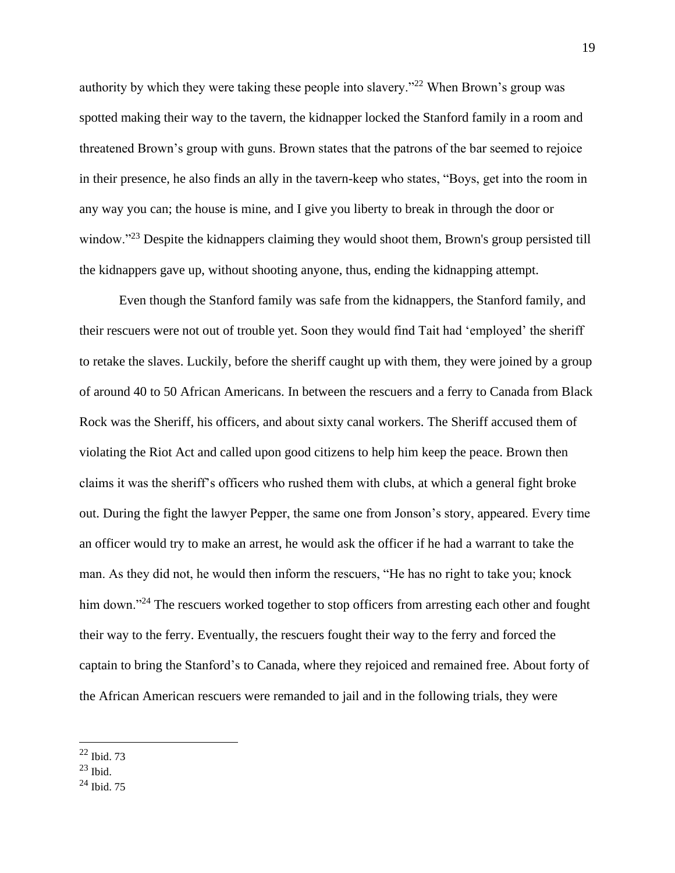authority by which they were taking these people into slavery."<sup>22</sup> When Brown's group was spotted making their way to the tavern, the kidnapper locked the Stanford family in a room and threatened Brown's group with guns. Brown states that the patrons of the bar seemed to rejoice in their presence, he also finds an ally in the tavern-keep who states, "Boys, get into the room in any way you can; the house is mine, and I give you liberty to break in through the door or window."<sup>23</sup> Despite the kidnappers claiming they would shoot them, Brown's group persisted till the kidnappers gave up, without shooting anyone, thus, ending the kidnapping attempt.

Even though the Stanford family was safe from the kidnappers, the Stanford family, and their rescuers were not out of trouble yet. Soon they would find Tait had 'employed' the sheriff to retake the slaves. Luckily, before the sheriff caught up with them, they were joined by a group of around 40 to 50 African Americans. In between the rescuers and a ferry to Canada from Black Rock was the Sheriff, his officers, and about sixty canal workers. The Sheriff accused them of violating the Riot Act and called upon good citizens to help him keep the peace. Brown then claims it was the sheriff's officers who rushed them with clubs, at which a general fight broke out. During the fight the lawyer Pepper, the same one from Jonson's story, appeared. Every time an officer would try to make an arrest, he would ask the officer if he had a warrant to take the man. As they did not, he would then inform the rescuers, "He has no right to take you; knock him down."<sup>24</sup> The rescuers worked together to stop officers from arresting each other and fought their way to the ferry. Eventually, the rescuers fought their way to the ferry and forced the captain to bring the Stanford's to Canada, where they rejoiced and remained free. About forty of the African American rescuers were remanded to jail and in the following trials, they were

<sup>22</sup> Ibid. 73

 $23$  Ibid.

<sup>24</sup> Ibid. 75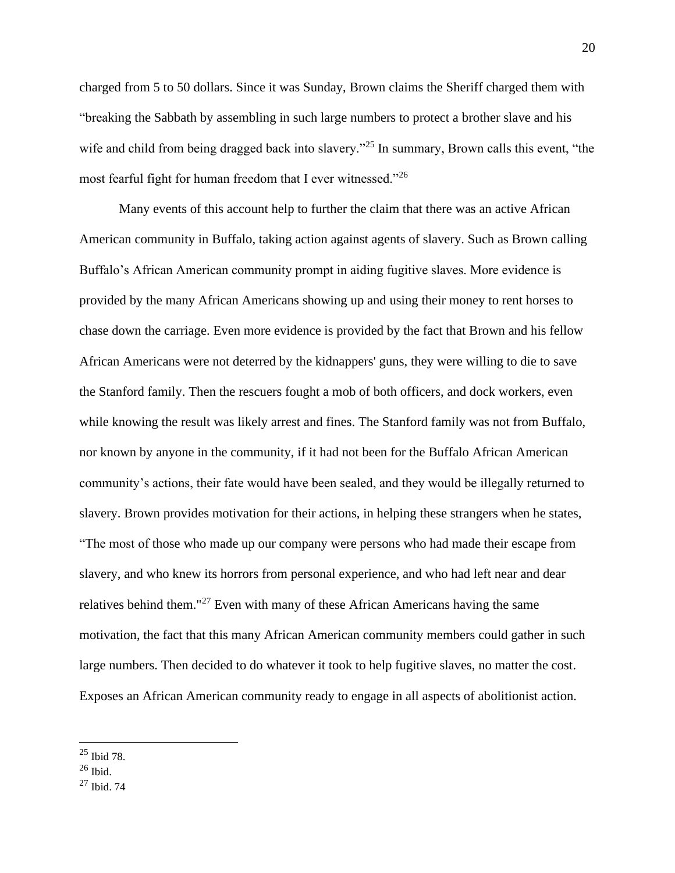charged from 5 to 50 dollars. Since it was Sunday, Brown claims the Sheriff charged them with "breaking the Sabbath by assembling in such large numbers to protect a brother slave and his wife and child from being dragged back into slavery."<sup>25</sup> In summary, Brown calls this event, "the most fearful fight for human freedom that I ever witnessed."<sup>26</sup>

Many events of this account help to further the claim that there was an active African American community in Buffalo, taking action against agents of slavery. Such as Brown calling Buffalo's African American community prompt in aiding fugitive slaves. More evidence is provided by the many African Americans showing up and using their money to rent horses to chase down the carriage. Even more evidence is provided by the fact that Brown and his fellow African Americans were not deterred by the kidnappers' guns, they were willing to die to save the Stanford family. Then the rescuers fought a mob of both officers, and dock workers, even while knowing the result was likely arrest and fines. The Stanford family was not from Buffalo, nor known by anyone in the community, if it had not been for the Buffalo African American community's actions, their fate would have been sealed, and they would be illegally returned to slavery. Brown provides motivation for their actions, in helping these strangers when he states, "The most of those who made up our company were persons who had made their escape from slavery, and who knew its horrors from personal experience, and who had left near and dear relatives behind them."<sup>27</sup> Even with many of these African Americans having the same motivation, the fact that this many African American community members could gather in such large numbers. Then decided to do whatever it took to help fugitive slaves, no matter the cost. Exposes an African American community ready to engage in all aspects of abolitionist action.

<sup>25</sup> Ibid 78.

<sup>26</sup> Ibid.

<sup>27</sup> Ibid. 74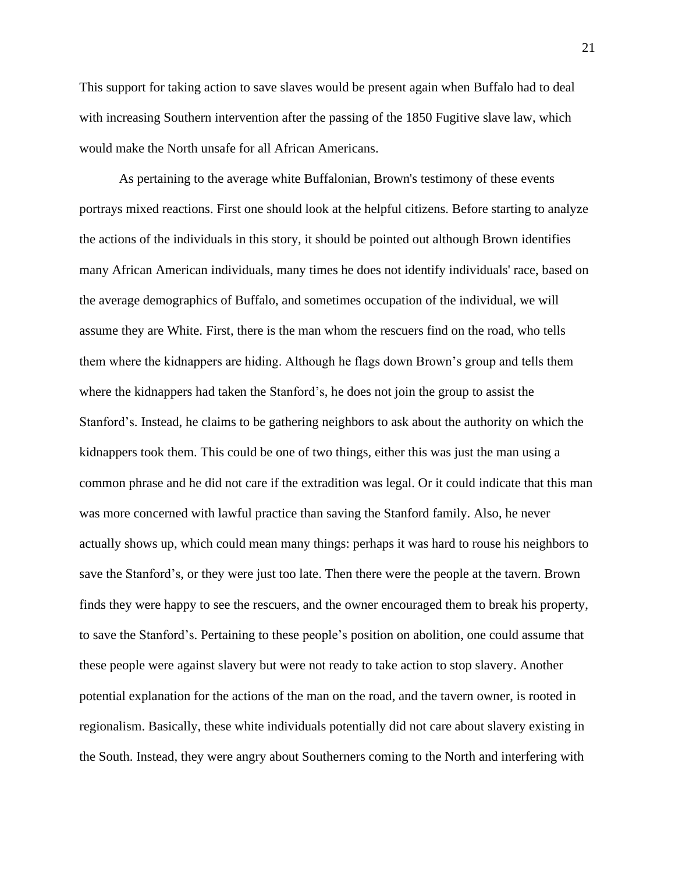This support for taking action to save slaves would be present again when Buffalo had to deal with increasing Southern intervention after the passing of the 1850 Fugitive slave law, which would make the North unsafe for all African Americans.

As pertaining to the average white Buffalonian, Brown's testimony of these events portrays mixed reactions. First one should look at the helpful citizens. Before starting to analyze the actions of the individuals in this story, it should be pointed out although Brown identifies many African American individuals, many times he does not identify individuals' race, based on the average demographics of Buffalo, and sometimes occupation of the individual, we will assume they are White. First, there is the man whom the rescuers find on the road, who tells them where the kidnappers are hiding. Although he flags down Brown's group and tells them where the kidnappers had taken the Stanford's, he does not join the group to assist the Stanford's. Instead, he claims to be gathering neighbors to ask about the authority on which the kidnappers took them. This could be one of two things, either this was just the man using a common phrase and he did not care if the extradition was legal. Or it could indicate that this man was more concerned with lawful practice than saving the Stanford family. Also, he never actually shows up, which could mean many things: perhaps it was hard to rouse his neighbors to save the Stanford's, or they were just too late. Then there were the people at the tavern. Brown finds they were happy to see the rescuers, and the owner encouraged them to break his property, to save the Stanford's. Pertaining to these people's position on abolition, one could assume that these people were against slavery but were not ready to take action to stop slavery. Another potential explanation for the actions of the man on the road, and the tavern owner, is rooted in regionalism. Basically, these white individuals potentially did not care about slavery existing in the South. Instead, they were angry about Southerners coming to the North and interfering with

21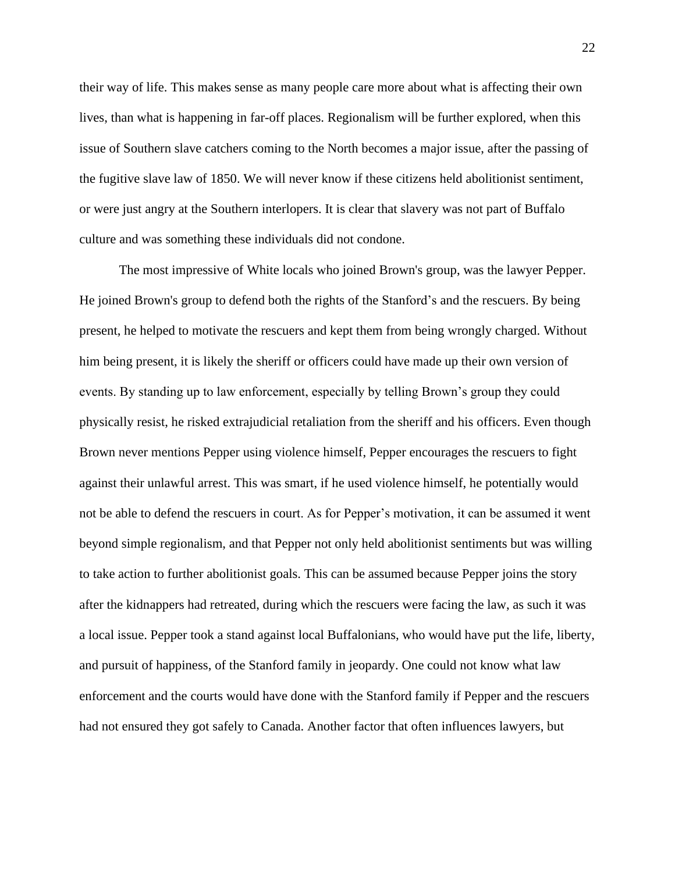their way of life. This makes sense as many people care more about what is affecting their own lives, than what is happening in far-off places. Regionalism will be further explored, when this issue of Southern slave catchers coming to the North becomes a major issue, after the passing of the fugitive slave law of 1850. We will never know if these citizens held abolitionist sentiment, or were just angry at the Southern interlopers. It is clear that slavery was not part of Buffalo culture and was something these individuals did not condone.

The most impressive of White locals who joined Brown's group, was the lawyer Pepper. He joined Brown's group to defend both the rights of the Stanford's and the rescuers. By being present, he helped to motivate the rescuers and kept them from being wrongly charged. Without him being present, it is likely the sheriff or officers could have made up their own version of events. By standing up to law enforcement, especially by telling Brown's group they could physically resist, he risked extrajudicial retaliation from the sheriff and his officers. Even though Brown never mentions Pepper using violence himself, Pepper encourages the rescuers to fight against their unlawful arrest. This was smart, if he used violence himself, he potentially would not be able to defend the rescuers in court. As for Pepper's motivation, it can be assumed it went beyond simple regionalism, and that Pepper not only held abolitionist sentiments but was willing to take action to further abolitionist goals. This can be assumed because Pepper joins the story after the kidnappers had retreated, during which the rescuers were facing the law, as such it was a local issue. Pepper took a stand against local Buffalonians, who would have put the life, liberty, and pursuit of happiness, of the Stanford family in jeopardy. One could not know what law enforcement and the courts would have done with the Stanford family if Pepper and the rescuers had not ensured they got safely to Canada. Another factor that often influences lawyers, but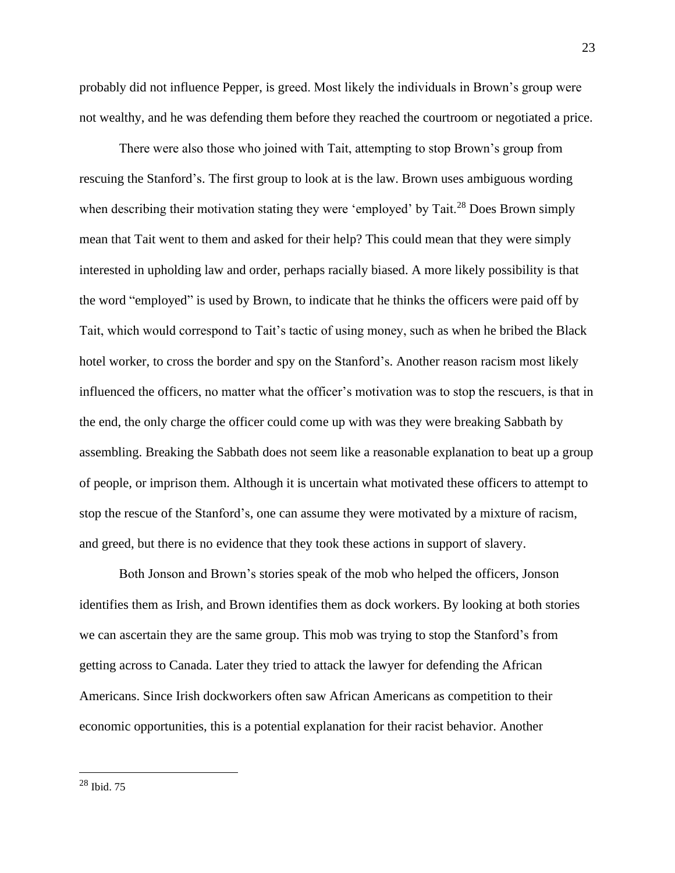probably did not influence Pepper, is greed. Most likely the individuals in Brown's group were not wealthy, and he was defending them before they reached the courtroom or negotiated a price.

There were also those who joined with Tait, attempting to stop Brown's group from rescuing the Stanford's. The first group to look at is the law. Brown uses ambiguous wording when describing their motivation stating they were 'employed' by Tait.<sup>28</sup> Does Brown simply mean that Tait went to them and asked for their help? This could mean that they were simply interested in upholding law and order, perhaps racially biased. A more likely possibility is that the word "employed" is used by Brown, to indicate that he thinks the officers were paid off by Tait, which would correspond to Tait's tactic of using money, such as when he bribed the Black hotel worker, to cross the border and spy on the Stanford's. Another reason racism most likely influenced the officers, no matter what the officer's motivation was to stop the rescuers, is that in the end, the only charge the officer could come up with was they were breaking Sabbath by assembling. Breaking the Sabbath does not seem like a reasonable explanation to beat up a group of people, or imprison them. Although it is uncertain what motivated these officers to attempt to stop the rescue of the Stanford's, one can assume they were motivated by a mixture of racism, and greed, but there is no evidence that they took these actions in support of slavery.

Both Jonson and Brown's stories speak of the mob who helped the officers, Jonson identifies them as Irish, and Brown identifies them as dock workers. By looking at both stories we can ascertain they are the same group. This mob was trying to stop the Stanford's from getting across to Canada. Later they tried to attack the lawyer for defending the African Americans. Since Irish dockworkers often saw African Americans as competition to their economic opportunities, this is a potential explanation for their racist behavior. Another

<sup>28</sup> Ibid. 75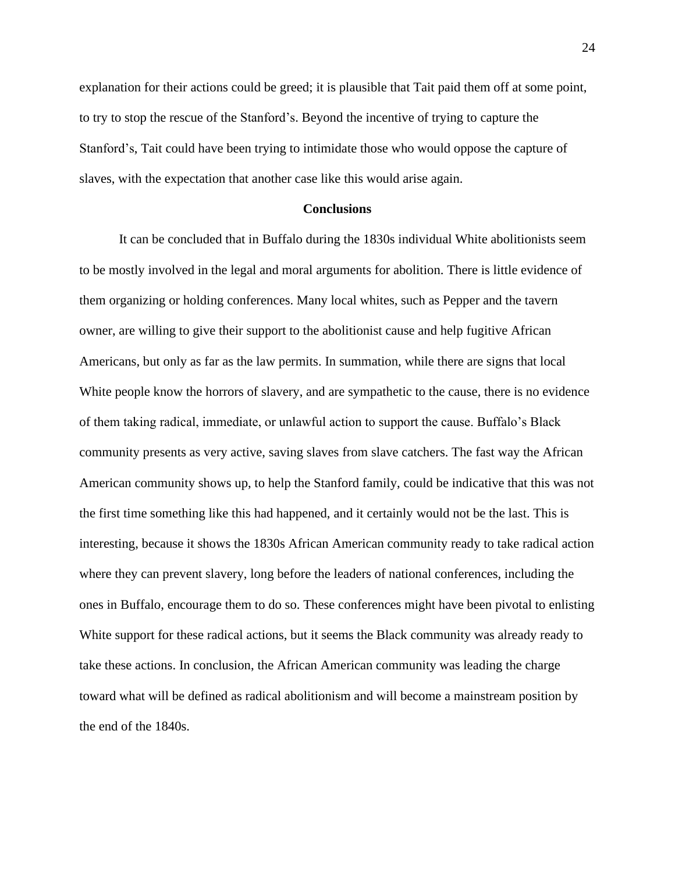explanation for their actions could be greed; it is plausible that Tait paid them off at some point, to try to stop the rescue of the Stanford's. Beyond the incentive of trying to capture the Stanford's, Tait could have been trying to intimidate those who would oppose the capture of slaves, with the expectation that another case like this would arise again.

#### **Conclusions**

It can be concluded that in Buffalo during the 1830s individual White abolitionists seem to be mostly involved in the legal and moral arguments for abolition. There is little evidence of them organizing or holding conferences. Many local whites, such as Pepper and the tavern owner, are willing to give their support to the abolitionist cause and help fugitive African Americans, but only as far as the law permits. In summation, while there are signs that local White people know the horrors of slavery, and are sympathetic to the cause, there is no evidence of them taking radical, immediate, or unlawful action to support the cause. Buffalo's Black community presents as very active, saving slaves from slave catchers. The fast way the African American community shows up, to help the Stanford family, could be indicative that this was not the first time something like this had happened, and it certainly would not be the last. This is interesting, because it shows the 1830s African American community ready to take radical action where they can prevent slavery, long before the leaders of national conferences, including the ones in Buffalo, encourage them to do so. These conferences might have been pivotal to enlisting White support for these radical actions, but it seems the Black community was already ready to take these actions. In conclusion, the African American community was leading the charge toward what will be defined as radical abolitionism and will become a mainstream position by the end of the 1840s.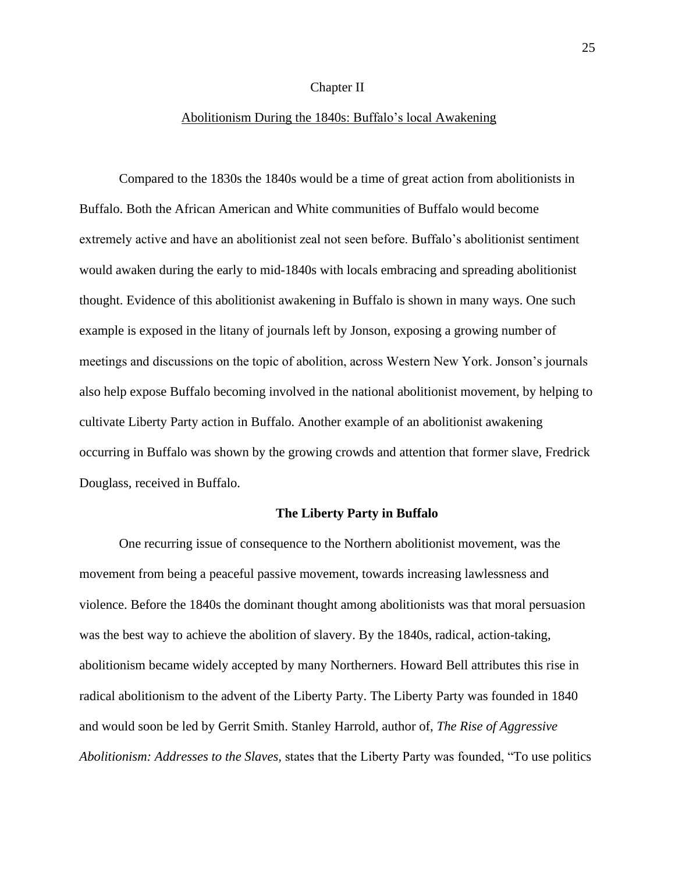#### Chapter II

#### Abolitionism During the 1840s: Buffalo's local Awakening

Compared to the 1830s the 1840s would be a time of great action from abolitionists in Buffalo. Both the African American and White communities of Buffalo would become extremely active and have an abolitionist zeal not seen before. Buffalo's abolitionist sentiment would awaken during the early to mid-1840s with locals embracing and spreading abolitionist thought. Evidence of this abolitionist awakening in Buffalo is shown in many ways. One such example is exposed in the litany of journals left by Jonson, exposing a growing number of meetings and discussions on the topic of abolition, across Western New York. Jonson's journals also help expose Buffalo becoming involved in the national abolitionist movement, by helping to cultivate Liberty Party action in Buffalo. Another example of an abolitionist awakening occurring in Buffalo was shown by the growing crowds and attention that former slave, Fredrick Douglass, received in Buffalo.

#### **The Liberty Party in Buffalo**

One recurring issue of consequence to the Northern abolitionist movement, was the movement from being a peaceful passive movement, towards increasing lawlessness and violence. Before the 1840s the dominant thought among abolitionists was that moral persuasion was the best way to achieve the abolition of slavery. By the 1840s, radical, action-taking, abolitionism became widely accepted by many Northerners. Howard Bell attributes this rise in radical abolitionism to the advent of the Liberty Party. The Liberty Party was founded in 1840 and would soon be led by Gerrit Smith. Stanley Harrold, author of, *The Rise of Aggressive Abolitionism: Addresses to the Slaves,* states that the Liberty Party was founded, "To use politics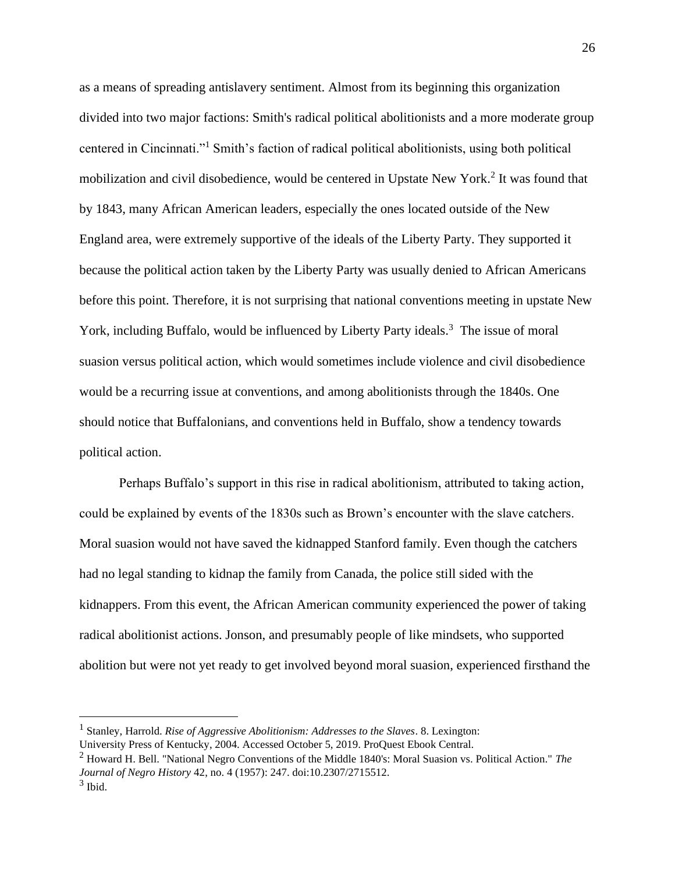as a means of spreading antislavery sentiment. Almost from its beginning this organization divided into two major factions: Smith's radical political abolitionists and a more moderate group centered in Cincinnati."<sup>1</sup> Smith's faction of radical political abolitionists, using both political mobilization and civil disobedience, would be centered in Upstate New York.<sup>2</sup> It was found that by 1843, many African American leaders, especially the ones located outside of the New England area, were extremely supportive of the ideals of the Liberty Party. They supported it because the political action taken by the Liberty Party was usually denied to African Americans before this point. Therefore, it is not surprising that national conventions meeting in upstate New York, including Buffalo, would be influenced by Liberty Party ideals.<sup>3</sup> The issue of moral suasion versus political action, which would sometimes include violence and civil disobedience would be a recurring issue at conventions, and among abolitionists through the 1840s. One should notice that Buffalonians, and conventions held in Buffalo, show a tendency towards political action.

Perhaps Buffalo's support in this rise in radical abolitionism, attributed to taking action, could be explained by events of the 1830s such as Brown's encounter with the slave catchers. Moral suasion would not have saved the kidnapped Stanford family. Even though the catchers had no legal standing to kidnap the family from Canada, the police still sided with the kidnappers. From this event, the African American community experienced the power of taking radical abolitionist actions. Jonson, and presumably people of like mindsets, who supported abolition but were not yet ready to get involved beyond moral suasion, experienced firsthand the

<sup>&</sup>lt;sup>1</sup> Stanley, Harrold. *Rise of Aggressive Abolitionism: Addresses to the Slaves*. 8. Lexington:

University Press of Kentucky, 2004. Accessed October 5, 2019. ProQuest Ebook Central.

<sup>2</sup> Howard H. Bell. "National Negro Conventions of the Middle 1840's: Moral Suasion vs. Political Action." *The Journal of Negro History* 42, no. 4 (1957): 247. doi:10.2307/2715512.  $3$  Ibid.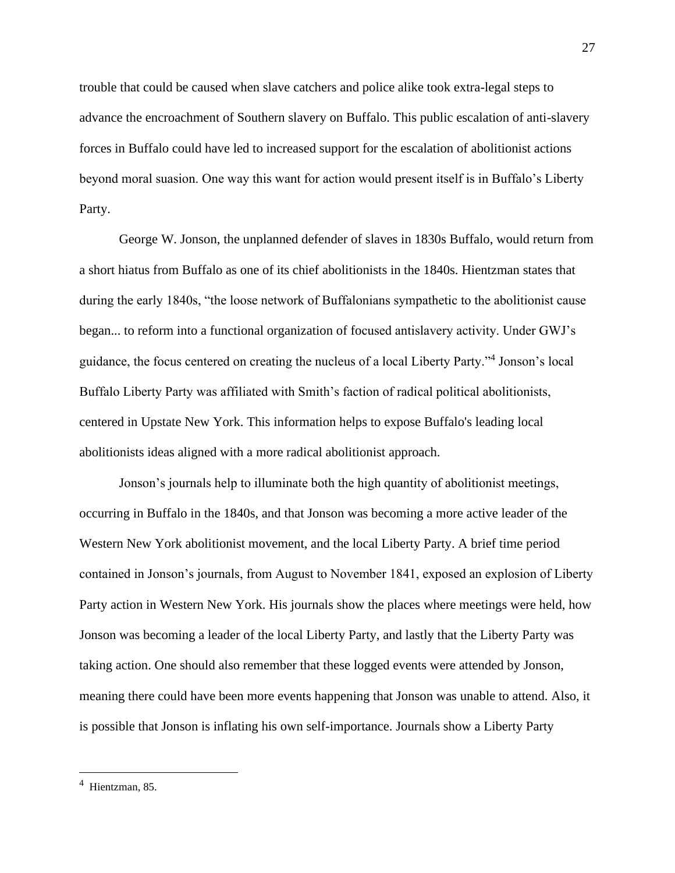trouble that could be caused when slave catchers and police alike took extra-legal steps to advance the encroachment of Southern slavery on Buffalo. This public escalation of anti-slavery forces in Buffalo could have led to increased support for the escalation of abolitionist actions beyond moral suasion. One way this want for action would present itself is in Buffalo's Liberty Party.

George W. Jonson, the unplanned defender of slaves in 1830s Buffalo, would return from a short hiatus from Buffalo as one of its chief abolitionists in the 1840s. Hientzman states that during the early 1840s, "the loose network of Buffalonians sympathetic to the abolitionist cause began... to reform into a functional organization of focused antislavery activity. Under GWJ's guidance, the focus centered on creating the nucleus of a local Liberty Party."<sup>4</sup> Jonson's local Buffalo Liberty Party was affiliated with Smith's faction of radical political abolitionists, centered in Upstate New York. This information helps to expose Buffalo's leading local abolitionists ideas aligned with a more radical abolitionist approach.

Jonson's journals help to illuminate both the high quantity of abolitionist meetings, occurring in Buffalo in the 1840s, and that Jonson was becoming a more active leader of the Western New York abolitionist movement, and the local Liberty Party. A brief time period contained in Jonson's journals, from August to November 1841, exposed an explosion of Liberty Party action in Western New York. His journals show the places where meetings were held, how Jonson was becoming a leader of the local Liberty Party, and lastly that the Liberty Party was taking action. One should also remember that these logged events were attended by Jonson, meaning there could have been more events happening that Jonson was unable to attend. Also, it is possible that Jonson is inflating his own self-importance. Journals show a Liberty Party

<sup>4</sup> Hientzman, 85.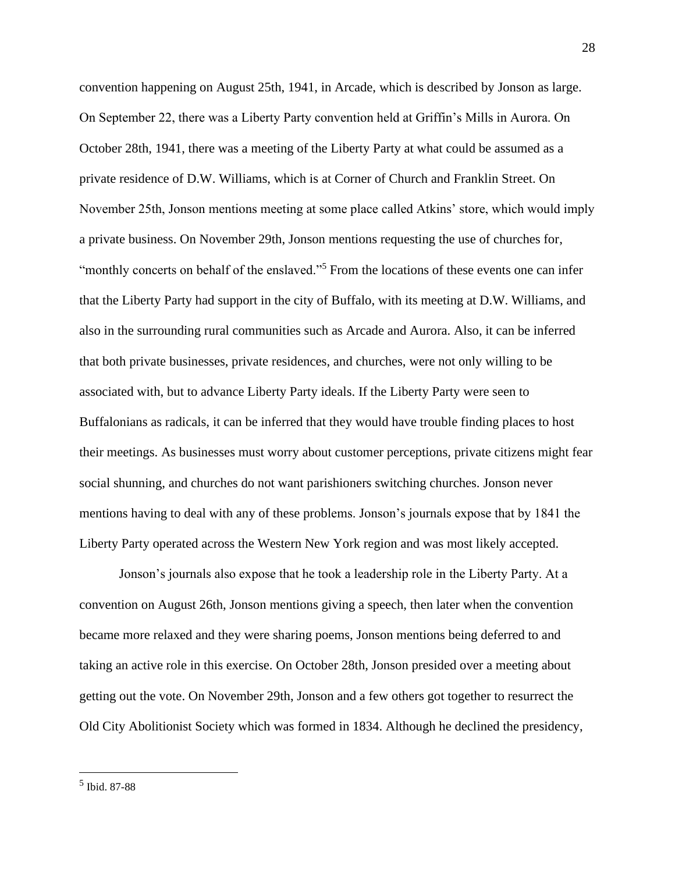convention happening on August 25th, 1941, in Arcade, which is described by Jonson as large. On September 22, there was a Liberty Party convention held at Griffin's Mills in Aurora. On October 28th, 1941, there was a meeting of the Liberty Party at what could be assumed as a private residence of D.W. Williams, which is at Corner of Church and Franklin Street. On November 25th, Jonson mentions meeting at some place called Atkins' store, which would imply a private business. On November 29th, Jonson mentions requesting the use of churches for, "monthly concerts on behalf of the enslaved."<sup>5</sup> From the locations of these events one can infer that the Liberty Party had support in the city of Buffalo, with its meeting at D.W. Williams, and also in the surrounding rural communities such as Arcade and Aurora. Also, it can be inferred that both private businesses, private residences, and churches, were not only willing to be associated with, but to advance Liberty Party ideals. If the Liberty Party were seen to Buffalonians as radicals, it can be inferred that they would have trouble finding places to host their meetings. As businesses must worry about customer perceptions, private citizens might fear social shunning, and churches do not want parishioners switching churches. Jonson never mentions having to deal with any of these problems. Jonson's journals expose that by 1841 the Liberty Party operated across the Western New York region and was most likely accepted.

Jonson's journals also expose that he took a leadership role in the Liberty Party. At a convention on August 26th, Jonson mentions giving a speech, then later when the convention became more relaxed and they were sharing poems, Jonson mentions being deferred to and taking an active role in this exercise. On October 28th, Jonson presided over a meeting about getting out the vote. On November 29th, Jonson and a few others got together to resurrect the Old City Abolitionist Society which was formed in 1834. Although he declined the presidency,

<sup>5</sup> Ibid. 87-88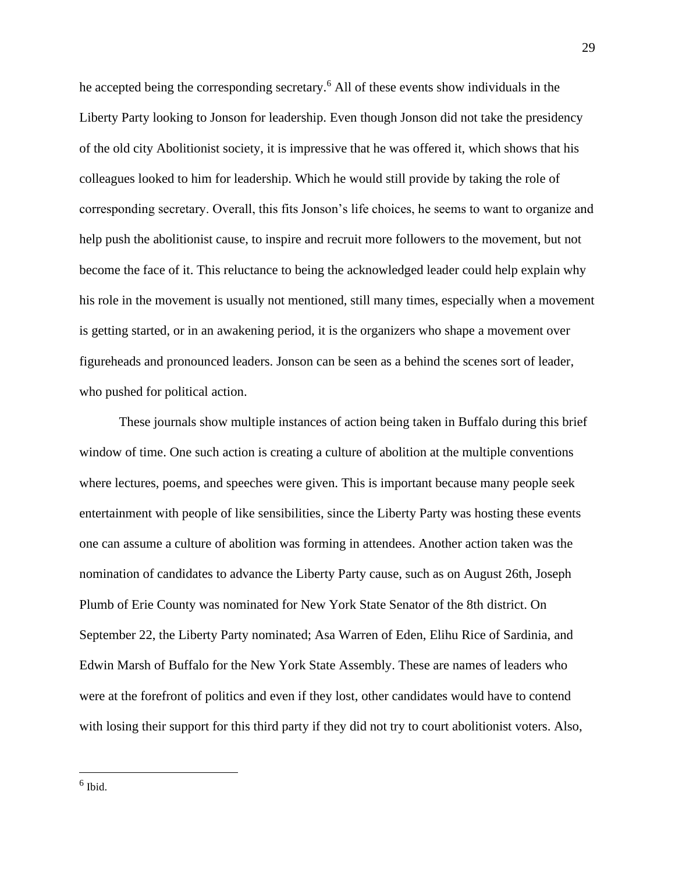he accepted being the corresponding secretary.<sup>6</sup> All of these events show individuals in the Liberty Party looking to Jonson for leadership. Even though Jonson did not take the presidency of the old city Abolitionist society, it is impressive that he was offered it, which shows that his colleagues looked to him for leadership. Which he would still provide by taking the role of corresponding secretary. Overall, this fits Jonson's life choices, he seems to want to organize and help push the abolitionist cause, to inspire and recruit more followers to the movement, but not become the face of it. This reluctance to being the acknowledged leader could help explain why his role in the movement is usually not mentioned, still many times, especially when a movement is getting started, or in an awakening period, it is the organizers who shape a movement over figureheads and pronounced leaders. Jonson can be seen as a behind the scenes sort of leader, who pushed for political action.

These journals show multiple instances of action being taken in Buffalo during this brief window of time. One such action is creating a culture of abolition at the multiple conventions where lectures, poems, and speeches were given. This is important because many people seek entertainment with people of like sensibilities, since the Liberty Party was hosting these events one can assume a culture of abolition was forming in attendees. Another action taken was the nomination of candidates to advance the Liberty Party cause, such as on August 26th, Joseph Plumb of Erie County was nominated for New York State Senator of the 8th district. On September 22, the Liberty Party nominated; Asa Warren of Eden, Elihu Rice of Sardinia, and Edwin Marsh of Buffalo for the New York State Assembly. These are names of leaders who were at the forefront of politics and even if they lost, other candidates would have to contend with losing their support for this third party if they did not try to court abolitionist voters. Also,

<sup>6</sup> Ibid.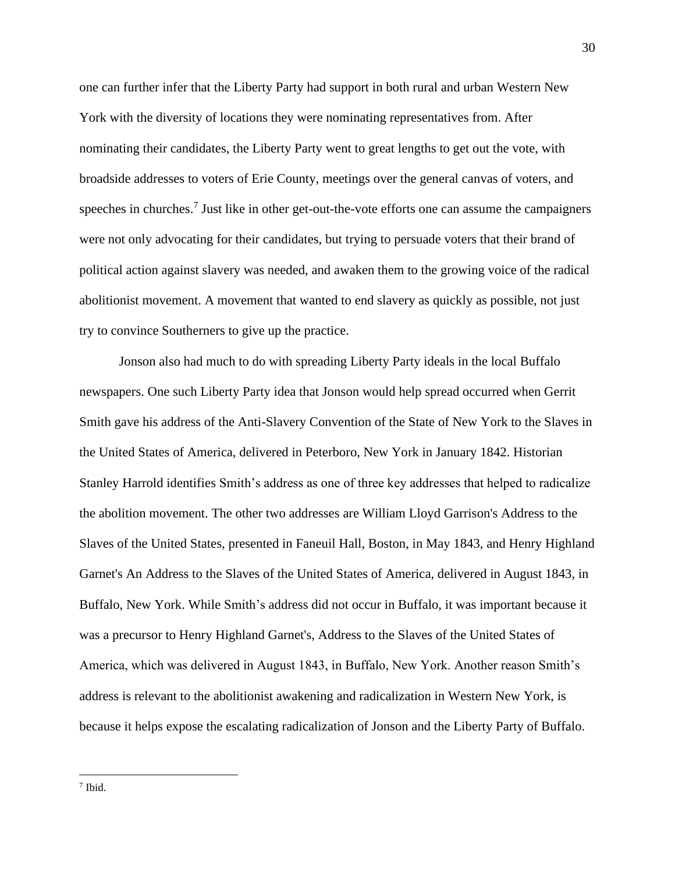one can further infer that the Liberty Party had support in both rural and urban Western New York with the diversity of locations they were nominating representatives from. After nominating their candidates, the Liberty Party went to great lengths to get out the vote, with broadside addresses to voters of Erie County, meetings over the general canvas of voters, and speeches in churches.<sup>7</sup> Just like in other get-out-the-vote efforts one can assume the campaigners were not only advocating for their candidates, but trying to persuade voters that their brand of political action against slavery was needed, and awaken them to the growing voice of the radical abolitionist movement. A movement that wanted to end slavery as quickly as possible, not just try to convince Southerners to give up the practice.

Jonson also had much to do with spreading Liberty Party ideals in the local Buffalo newspapers. One such Liberty Party idea that Jonson would help spread occurred when Gerrit Smith gave his address of the Anti-Slavery Convention of the State of New York to the Slaves in the United States of America, delivered in Peterboro, New York in January 1842. Historian Stanley Harrold identifies Smith's address as one of three key addresses that helped to radicalize the abolition movement. The other two addresses are William Lloyd Garrison's Address to the Slaves of the United States, presented in Faneuil Hall, Boston, in May 1843, and Henry Highland Garnet's An Address to the Slaves of the United States of America, delivered in August 1843, in Buffalo, New York. While Smith's address did not occur in Buffalo, it was important because it was a precursor to Henry Highland Garnet's, Address to the Slaves of the United States of America, which was delivered in August 1843, in Buffalo, New York. Another reason Smith's address is relevant to the abolitionist awakening and radicalization in Western New York, is because it helps expose the escalating radicalization of Jonson and the Liberty Party of Buffalo.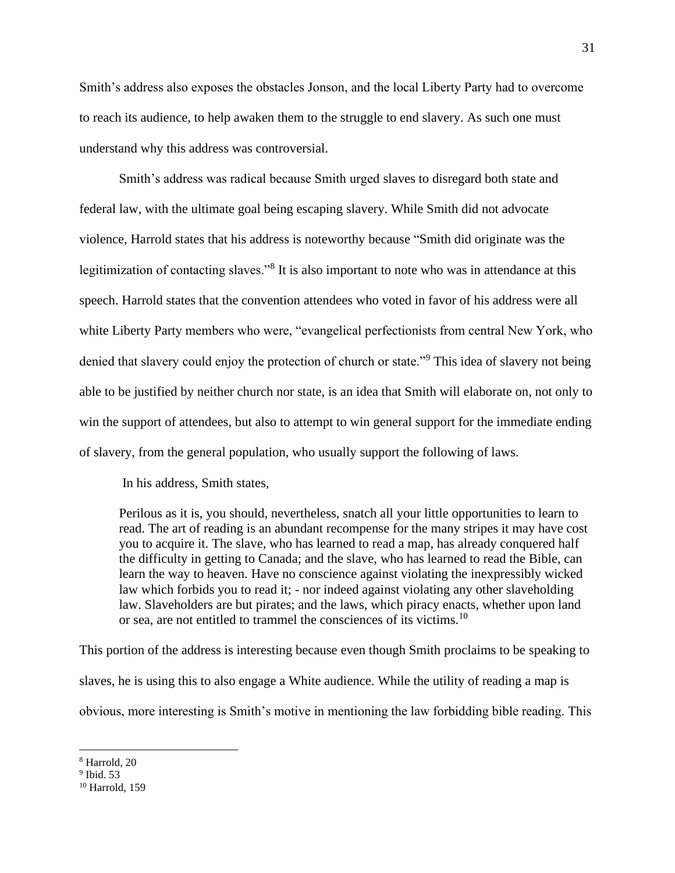Smith's address also exposes the obstacles Jonson, and the local Liberty Party had to overcome to reach its audience, to help awaken them to the struggle to end slavery. As such one must understand why this address was controversial.

Smith's address was radical because Smith urged slaves to disregard both state and federal law, with the ultimate goal being escaping slavery. While Smith did not advocate violence, Harrold states that his address is noteworthy because "Smith did originate was the legitimization of contacting slaves."<sup>8</sup> It is also important to note who was in attendance at this speech. Harrold states that the convention attendees who voted in favor of his address were all white Liberty Party members who were, "evangelical perfectionists from central New York, who denied that slavery could enjoy the protection of church or state."<sup>9</sup> This idea of slavery not being able to be justified by neither church nor state, is an idea that Smith will elaborate on, not only to win the support of attendees, but also to attempt to win general support for the immediate ending of slavery, from the general population, who usually support the following of laws.

In his address, Smith states,

Perilous as it is, you should, nevertheless, snatch all your little opportunities to learn to read. The art of reading is an abundant recompense for the many stripes it may have cost you to acquire it. The slave, who has learned to read a map, has already conquered half the difficulty in getting to Canada; and the slave, who has learned to read the Bible, can learn the way to heaven. Have no conscience against violating the inexpressibly wicked law which forbids you to read it; - nor indeed against violating any other slaveholding law. Slaveholders are but pirates; and the laws, which piracy enacts, whether upon land or sea, are not entitled to trammel the consciences of its victims.<sup>10</sup>

This portion of the address is interesting because even though Smith proclaims to be speaking to slaves, he is using this to also engage a White audience. While the utility of reading a map is obvious, more interesting is Smith's motive in mentioning the law forbidding bible reading. This

<sup>8</sup> Harrold, 20

<sup>9</sup> Ibid. 53

<sup>10</sup> Harrold, 159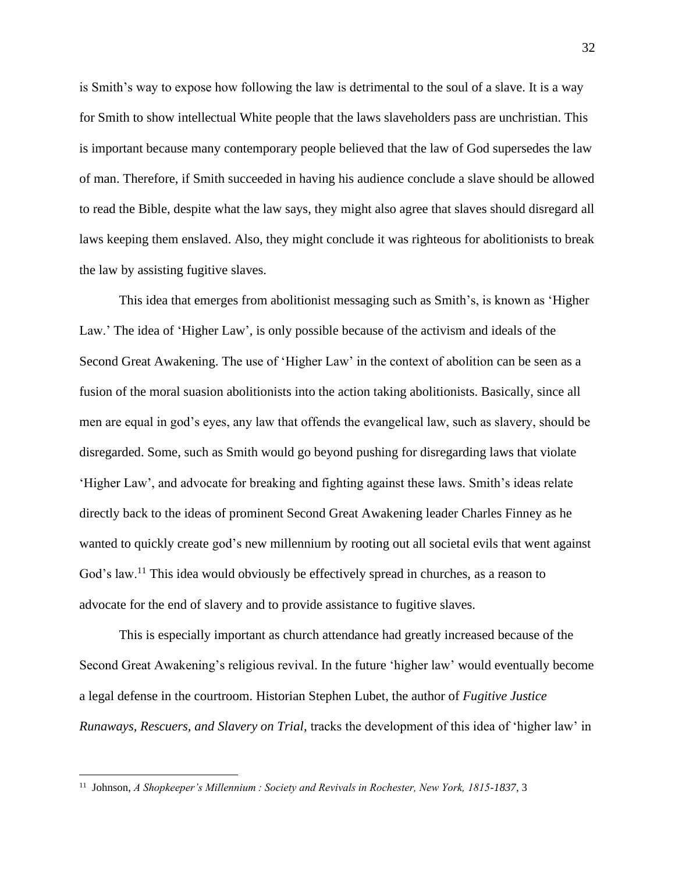is Smith's way to expose how following the law is detrimental to the soul of a slave. It is a way for Smith to show intellectual White people that the laws slaveholders pass are unchristian. This is important because many contemporary people believed that the law of God supersedes the law of man. Therefore, if Smith succeeded in having his audience conclude a slave should be allowed to read the Bible, despite what the law says, they might also agree that slaves should disregard all laws keeping them enslaved. Also, they might conclude it was righteous for abolitionists to break the law by assisting fugitive slaves.

This idea that emerges from abolitionist messaging such as Smith's, is known as 'Higher Law.' The idea of 'Higher Law', is only possible because of the activism and ideals of the Second Great Awakening. The use of 'Higher Law' in the context of abolition can be seen as a fusion of the moral suasion abolitionists into the action taking abolitionists. Basically, since all men are equal in god's eyes, any law that offends the evangelical law, such as slavery, should be disregarded. Some, such as Smith would go beyond pushing for disregarding laws that violate 'Higher Law', and advocate for breaking and fighting against these laws. Smith's ideas relate directly back to the ideas of prominent Second Great Awakening leader Charles Finney as he wanted to quickly create god's new millennium by rooting out all societal evils that went against God's law.<sup>11</sup> This idea would obviously be effectively spread in churches, as a reason to advocate for the end of slavery and to provide assistance to fugitive slaves.

This is especially important as church attendance had greatly increased because of the Second Great Awakening's religious revival. In the future 'higher law' would eventually become a legal defense in the courtroom. Historian Stephen Lubet, the author of *Fugitive Justice Runaways, Rescuers, and Slavery on Trial,* tracks the development of this idea of 'higher law' in

<sup>11</sup> Johnson, *A Shopkeeper's Millennium : Society and Revivals in Rochester, New York, 1815-1837*, 3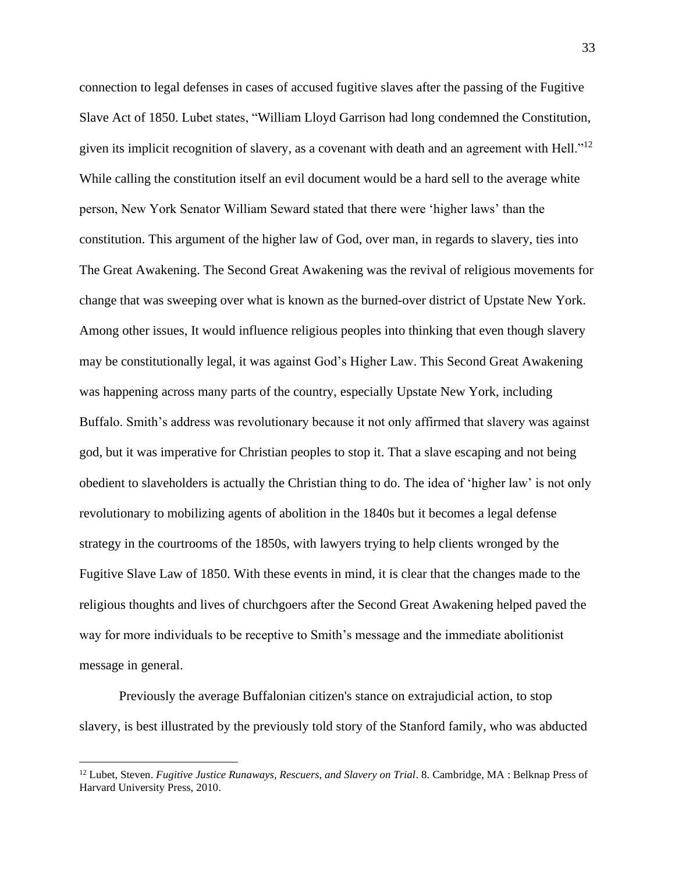connection to legal defenses in cases of accused fugitive slaves after the passing of the Fugitive Slave Act of 1850. Lubet states, "William Lloyd Garrison had long condemned the Constitution, given its implicit recognition of slavery, as a covenant with death and an agreement with Hell."<sup>12</sup> While calling the constitution itself an evil document would be a hard sell to the average white person, New York Senator William Seward stated that there were 'higher laws' than the constitution. This argument of the higher law of God, over man, in regards to slavery, ties into The Great Awakening. The Second Great Awakening was the revival of religious movements for change that was sweeping over what is known as the burned-over district of Upstate New York. Among other issues, It would influence religious peoples into thinking that even though slavery may be constitutionally legal, it was against God's Higher Law. This Second Great Awakening was happening across many parts of the country, especially Upstate New York, including Buffalo. Smith's address was revolutionary because it not only affirmed that slavery was against god, but it was imperative for Christian peoples to stop it. That a slave escaping and not being obedient to slaveholders is actually the Christian thing to do. The idea of 'higher law' is not only revolutionary to mobilizing agents of abolition in the 1840s but it becomes a legal defense strategy in the courtrooms of the 1850s, with lawyers trying to help clients wronged by the Fugitive Slave Law of 1850. With these events in mind, it is clear that the changes made to the religious thoughts and lives of churchgoers after the Second Great Awakening helped paved the way for more individuals to be receptive to Smith's message and the immediate abolitionist message in general.

Previously the average Buffalonian citizen's stance on extrajudicial action, to stop slavery, is best illustrated by the previously told story of the Stanford family, who was abducted

<sup>&</sup>lt;sup>12</sup> Lubet, Steven. *Fugitive Justice Runaways, Rescuers, and Slavery on Trial.* 8. Cambridge, MA : Belknap Press of Harvard University Press, 2010.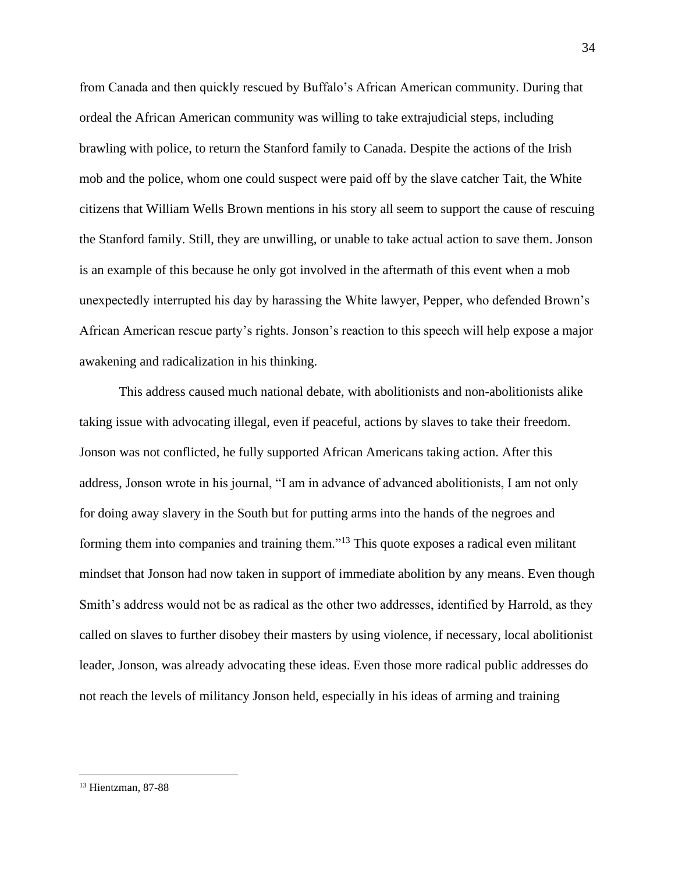from Canada and then quickly rescued by Buffalo's African American community. During that ordeal the African American community was willing to take extrajudicial steps, including brawling with police, to return the Stanford family to Canada. Despite the actions of the Irish mob and the police, whom one could suspect were paid off by the slave catcher Tait, the White citizens that William Wells Brown mentions in his story all seem to support the cause of rescuing the Stanford family. Still, they are unwilling, or unable to take actual action to save them. Jonson is an example of this because he only got involved in the aftermath of this event when a mob unexpectedly interrupted his day by harassing the White lawyer, Pepper, who defended Brown's African American rescue party's rights. Jonson's reaction to this speech will help expose a major awakening and radicalization in his thinking.

This address caused much national debate, with abolitionists and non-abolitionists alike taking issue with advocating illegal, even if peaceful, actions by slaves to take their freedom. Jonson was not conflicted, he fully supported African Americans taking action. After this address, Jonson wrote in his journal, "I am in advance of advanced abolitionists, I am not only for doing away slavery in the South but for putting arms into the hands of the negroes and forming them into companies and training them."<sup>13</sup> This quote exposes a radical even militant mindset that Jonson had now taken in support of immediate abolition by any means. Even though Smith's address would not be as radical as the other two addresses, identified by Harrold, as they called on slaves to further disobey their masters by using violence, if necessary, local abolitionist leader, Jonson, was already advocating these ideas. Even those more radical public addresses do not reach the levels of militancy Jonson held, especially in his ideas of arming and training

<sup>34</sup>

<sup>13</sup> Hientzman, 87-88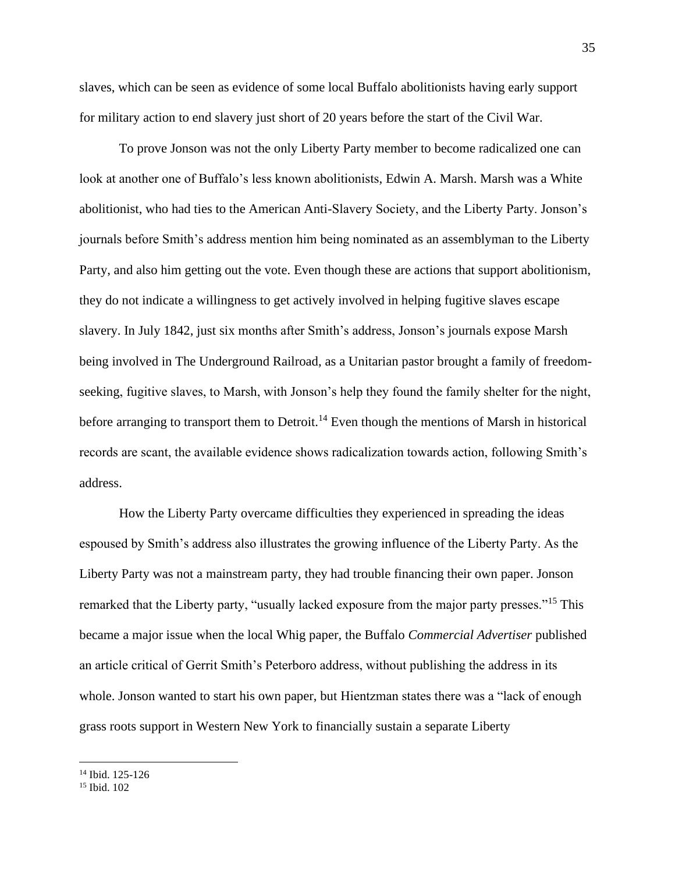slaves, which can be seen as evidence of some local Buffalo abolitionists having early support for military action to end slavery just short of 20 years before the start of the Civil War.

To prove Jonson was not the only Liberty Party member to become radicalized one can look at another one of Buffalo's less known abolitionists, Edwin A. Marsh. Marsh was a White abolitionist, who had ties to the American Anti-Slavery Society, and the Liberty Party. Jonson's journals before Smith's address mention him being nominated as an assemblyman to the Liberty Party, and also him getting out the vote. Even though these are actions that support abolitionism, they do not indicate a willingness to get actively involved in helping fugitive slaves escape slavery. In July 1842, just six months after Smith's address, Jonson's journals expose Marsh being involved in The Underground Railroad, as a Unitarian pastor brought a family of freedomseeking, fugitive slaves, to Marsh, with Jonson's help they found the family shelter for the night, before arranging to transport them to Detroit.<sup>14</sup> Even though the mentions of Marsh in historical records are scant, the available evidence shows radicalization towards action, following Smith's address.

How the Liberty Party overcame difficulties they experienced in spreading the ideas espoused by Smith's address also illustrates the growing influence of the Liberty Party. As the Liberty Party was not a mainstream party, they had trouble financing their own paper. Jonson remarked that the Liberty party, "usually lacked exposure from the major party presses."<sup>15</sup> This became a major issue when the local Whig paper, the Buffalo *Commercial Advertiser* published an article critical of Gerrit Smith's Peterboro address, without publishing the address in its whole. Jonson wanted to start his own paper, but Hientzman states there was a "lack of enough grass roots support in Western New York to financially sustain a separate Liberty

<sup>14</sup> Ibid. 125-126

<sup>15</sup> Ibid. 102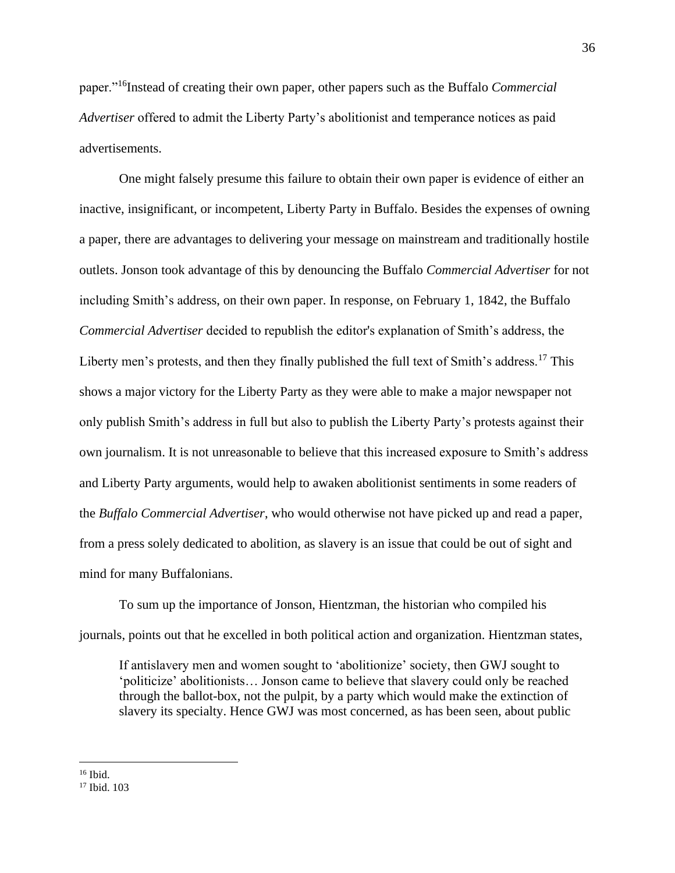paper."<sup>16</sup>Instead of creating their own paper, other papers such as the Buffalo *Commercial Advertiser* offered to admit the Liberty Party's abolitionist and temperance notices as paid advertisements.

One might falsely presume this failure to obtain their own paper is evidence of either an inactive, insignificant, or incompetent, Liberty Party in Buffalo. Besides the expenses of owning a paper, there are advantages to delivering your message on mainstream and traditionally hostile outlets. Jonson took advantage of this by denouncing the Buffalo *Commercial Advertiser* for not including Smith's address, on their own paper. In response, on February 1, 1842, the Buffalo *Commercial Advertiser* decided to republish the editor's explanation of Smith's address, the Liberty men's protests, and then they finally published the full text of Smith's address.<sup>17</sup> This shows a major victory for the Liberty Party as they were able to make a major newspaper not only publish Smith's address in full but also to publish the Liberty Party's protests against their own journalism. It is not unreasonable to believe that this increased exposure to Smith's address and Liberty Party arguments, would help to awaken abolitionist sentiments in some readers of the *Buffalo Commercial Advertiser*, who would otherwise not have picked up and read a paper, from a press solely dedicated to abolition, as slavery is an issue that could be out of sight and mind for many Buffalonians.

To sum up the importance of Jonson, Hientzman, the historian who compiled his journals, points out that he excelled in both political action and organization. Hientzman states,

If antislavery men and women sought to 'abolitionize' society, then GWJ sought to 'politicize' abolitionists… Jonson came to believe that slavery could only be reached through the ballot-box, not the pulpit, by a party which would make the extinction of slavery its specialty. Hence GWJ was most concerned, as has been seen, about public

 $16$  Ibid.

<sup>17</sup> Ibid. 103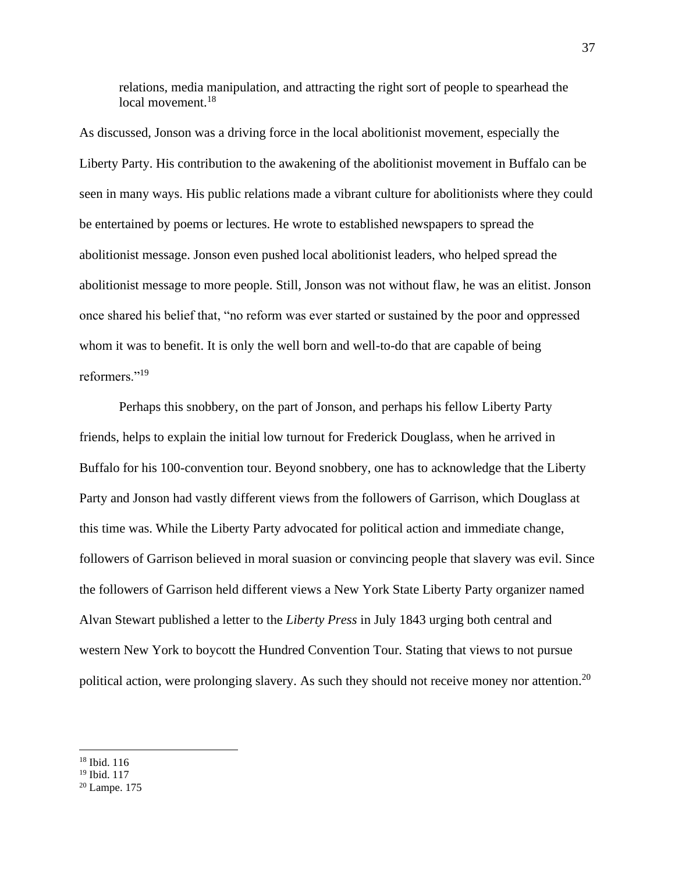relations, media manipulation, and attracting the right sort of people to spearhead the local movement. $18$ 

As discussed, Jonson was a driving force in the local abolitionist movement, especially the Liberty Party. His contribution to the awakening of the abolitionist movement in Buffalo can be seen in many ways. His public relations made a vibrant culture for abolitionists where they could be entertained by poems or lectures. He wrote to established newspapers to spread the abolitionist message. Jonson even pushed local abolitionist leaders, who helped spread the abolitionist message to more people. Still, Jonson was not without flaw, he was an elitist. Jonson once shared his belief that, "no reform was ever started or sustained by the poor and oppressed whom it was to benefit. It is only the well born and well-to-do that are capable of being reformers."<sup>19</sup>

Perhaps this snobbery, on the part of Jonson, and perhaps his fellow Liberty Party friends, helps to explain the initial low turnout for Frederick Douglass, when he arrived in Buffalo for his 100-convention tour. Beyond snobbery, one has to acknowledge that the Liberty Party and Jonson had vastly different views from the followers of Garrison, which Douglass at this time was. While the Liberty Party advocated for political action and immediate change, followers of Garrison believed in moral suasion or convincing people that slavery was evil. Since the followers of Garrison held different views a New York State Liberty Party organizer named Alvan Stewart published a letter to the *Liberty Press* in July 1843 urging both central and western New York to boycott the Hundred Convention Tour. Stating that views to not pursue political action, were prolonging slavery. As such they should not receive money nor attention.<sup>20</sup>

<sup>18</sup> Ibid. 116

<sup>19</sup> Ibid. 117

<sup>20</sup> Lampe. 175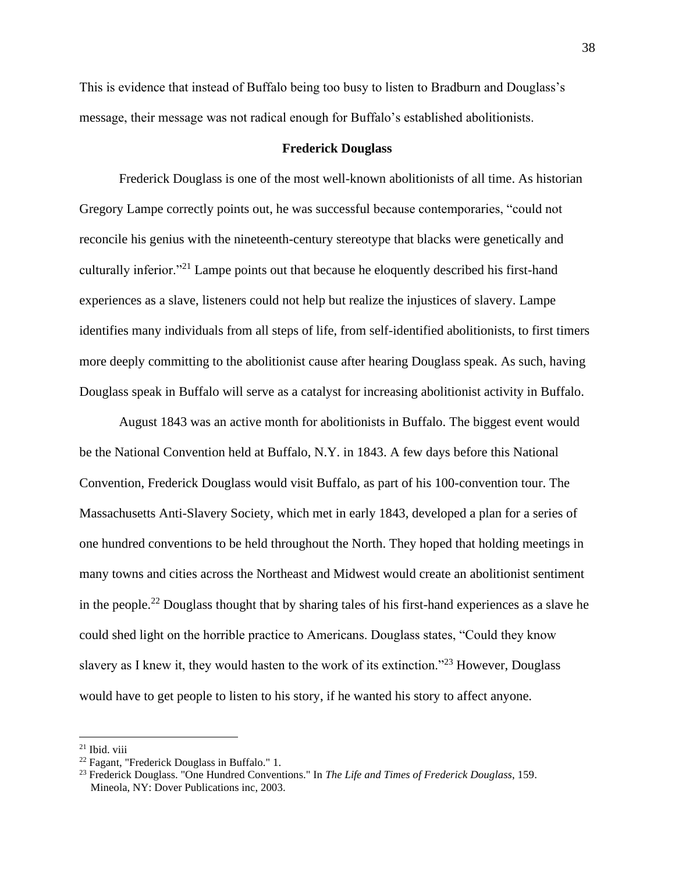This is evidence that instead of Buffalo being too busy to listen to Bradburn and Douglass's message, their message was not radical enough for Buffalo's established abolitionists.

#### **Frederick Douglass**

Frederick Douglass is one of the most well-known abolitionists of all time. As historian Gregory Lampe correctly points out, he was successful because contemporaries, "could not reconcile his genius with the nineteenth-century stereotype that blacks were genetically and culturally inferior."<sup>21</sup> Lampe points out that because he eloquently described his first-hand experiences as a slave, listeners could not help but realize the injustices of slavery. Lampe identifies many individuals from all steps of life, from self-identified abolitionists, to first timers more deeply committing to the abolitionist cause after hearing Douglass speak. As such, having Douglass speak in Buffalo will serve as a catalyst for increasing abolitionist activity in Buffalo.

August 1843 was an active month for abolitionists in Buffalo. The biggest event would be the National Convention held at Buffalo, N.Y. in 1843. A few days before this National Convention, Frederick Douglass would visit Buffalo, as part of his 100-convention tour. The Massachusetts Anti-Slavery Society, which met in early 1843, developed a plan for a series of one hundred conventions to be held throughout the North. They hoped that holding meetings in many towns and cities across the Northeast and Midwest would create an abolitionist sentiment in the people.<sup>22</sup> Douglass thought that by sharing tales of his first-hand experiences as a slave he could shed light on the horrible practice to Americans. Douglass states, "Could they know slavery as I knew it, they would hasten to the work of its extinction."<sup>23</sup> However, Douglass would have to get people to listen to his story, if he wanted his story to affect anyone.

 $21$  Ibid. viii

<sup>22</sup> Fagant, "Frederick Douglass in Buffalo." 1.

<sup>23</sup> Frederick Douglass. "One Hundred Conventions." In *The Life and Times of Frederick Douglass*, 159. Mineola, NY: Dover Publications inc, 2003.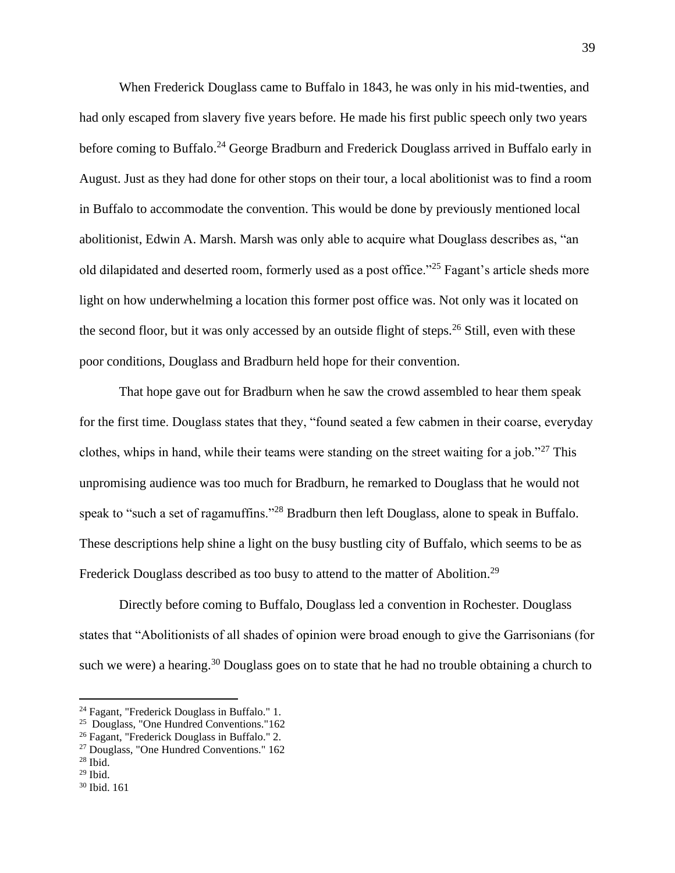When Frederick Douglass came to Buffalo in 1843, he was only in his mid-twenties, and had only escaped from slavery five years before. He made his first public speech only two years before coming to Buffalo.<sup>24</sup> George Bradburn and Frederick Douglass arrived in Buffalo early in August. Just as they had done for other stops on their tour, a local abolitionist was to find a room in Buffalo to accommodate the convention. This would be done by previously mentioned local abolitionist, Edwin A. Marsh. Marsh was only able to acquire what Douglass describes as, "an old dilapidated and deserted room, formerly used as a post office."<sup>25</sup> Fagant's article sheds more light on how underwhelming a location this former post office was. Not only was it located on the second floor, but it was only accessed by an outside flight of steps.<sup>26</sup> Still, even with these poor conditions, Douglass and Bradburn held hope for their convention.

That hope gave out for Bradburn when he saw the crowd assembled to hear them speak for the first time. Douglass states that they, "found seated a few cabmen in their coarse, everyday clothes, whips in hand, while their teams were standing on the street waiting for a job."<sup>27</sup> This unpromising audience was too much for Bradburn, he remarked to Douglass that he would not speak to "such a set of ragamuffins."<sup>28</sup> Bradburn then left Douglass, alone to speak in Buffalo. These descriptions help shine a light on the busy bustling city of Buffalo, which seems to be as Frederick Douglass described as too busy to attend to the matter of Abolition.<sup>29</sup>

Directly before coming to Buffalo, Douglass led a convention in Rochester. Douglass states that "Abolitionists of all shades of opinion were broad enough to give the Garrisonians (for such we were) a hearing.<sup>30</sup> Douglass goes on to state that he had no trouble obtaining a church to

<sup>&</sup>lt;sup>24</sup> Fagant, "Frederick Douglass in Buffalo." 1.

<sup>&</sup>lt;sup>25</sup> Douglass, "One Hundred Conventions."162

<sup>26</sup> Fagant, "Frederick Douglass in Buffalo." 2.

<sup>27</sup> Douglass, "One Hundred Conventions." 162

 $28$  Ibid.

 $29$  Ibid.

<sup>30</sup> Ibid. 161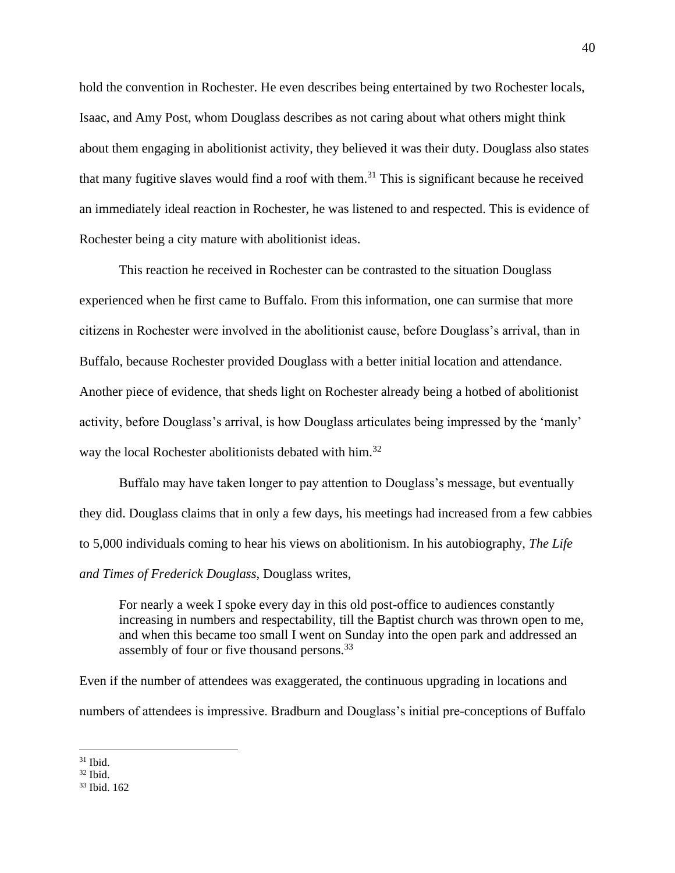hold the convention in Rochester. He even describes being entertained by two Rochester locals, Isaac, and Amy Post, whom Douglass describes as not caring about what others might think about them engaging in abolitionist activity, they believed it was their duty. Douglass also states that many fugitive slaves would find a roof with them.<sup>31</sup> This is significant because he received an immediately ideal reaction in Rochester, he was listened to and respected. This is evidence of Rochester being a city mature with abolitionist ideas.

This reaction he received in Rochester can be contrasted to the situation Douglass experienced when he first came to Buffalo. From this information, one can surmise that more citizens in Rochester were involved in the abolitionist cause, before Douglass's arrival, than in Buffalo, because Rochester provided Douglass with a better initial location and attendance. Another piece of evidence, that sheds light on Rochester already being a hotbed of abolitionist activity, before Douglass's arrival, is how Douglass articulates being impressed by the 'manly' way the local Rochester abolitionists debated with him.<sup>32</sup>

Buffalo may have taken longer to pay attention to Douglass's message, but eventually they did. Douglass claims that in only a few days, his meetings had increased from a few cabbies to 5,000 individuals coming to hear his views on abolitionism. In his autobiography, *The Life and Times of Frederick Douglass,* Douglass writes,

For nearly a week I spoke every day in this old post-office to audiences constantly increasing in numbers and respectability, till the Baptist church was thrown open to me, and when this became too small I went on Sunday into the open park and addressed an assembly of four or five thousand persons.<sup>33</sup>

Even if the number of attendees was exaggerated, the continuous upgrading in locations and numbers of attendees is impressive. Bradburn and Douglass's initial pre-conceptions of Buffalo

<sup>31</sup> Ibid.

 $32$  Ibid.

<sup>33</sup> Ibid. 162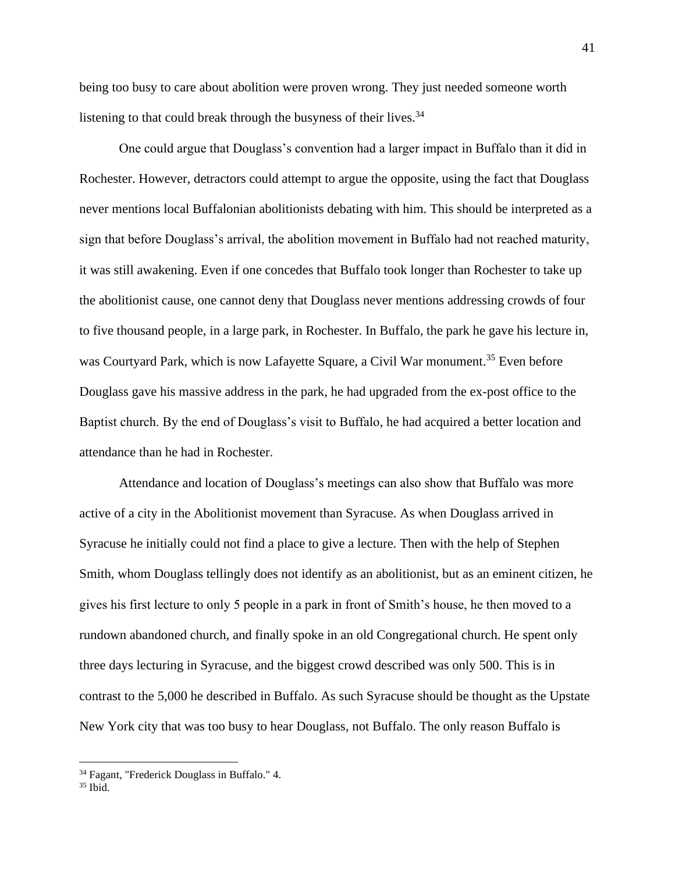being too busy to care about abolition were proven wrong. They just needed someone worth listening to that could break through the busyness of their lives. $34$ 

One could argue that Douglass's convention had a larger impact in Buffalo than it did in Rochester. However, detractors could attempt to argue the opposite, using the fact that Douglass never mentions local Buffalonian abolitionists debating with him. This should be interpreted as a sign that before Douglass's arrival, the abolition movement in Buffalo had not reached maturity, it was still awakening. Even if one concedes that Buffalo took longer than Rochester to take up the abolitionist cause, one cannot deny that Douglass never mentions addressing crowds of four to five thousand people, in a large park, in Rochester. In Buffalo, the park he gave his lecture in, was Courtyard Park, which is now Lafayette Square, a Civil War monument.<sup>35</sup> Even before Douglass gave his massive address in the park, he had upgraded from the ex-post office to the Baptist church. By the end of Douglass's visit to Buffalo, he had acquired a better location and attendance than he had in Rochester.

Attendance and location of Douglass's meetings can also show that Buffalo was more active of a city in the Abolitionist movement than Syracuse. As when Douglass arrived in Syracuse he initially could not find a place to give a lecture. Then with the help of Stephen Smith, whom Douglass tellingly does not identify as an abolitionist, but as an eminent citizen, he gives his first lecture to only 5 people in a park in front of Smith's house, he then moved to a rundown abandoned church, and finally spoke in an old Congregational church. He spent only three days lecturing in Syracuse, and the biggest crowd described was only 500. This is in contrast to the 5,000 he described in Buffalo. As such Syracuse should be thought as the Upstate New York city that was too busy to hear Douglass, not Buffalo. The only reason Buffalo is

<sup>&</sup>lt;sup>34</sup> Fagant, "Frederick Douglass in Buffalo." 4.

 $35$  Ibid.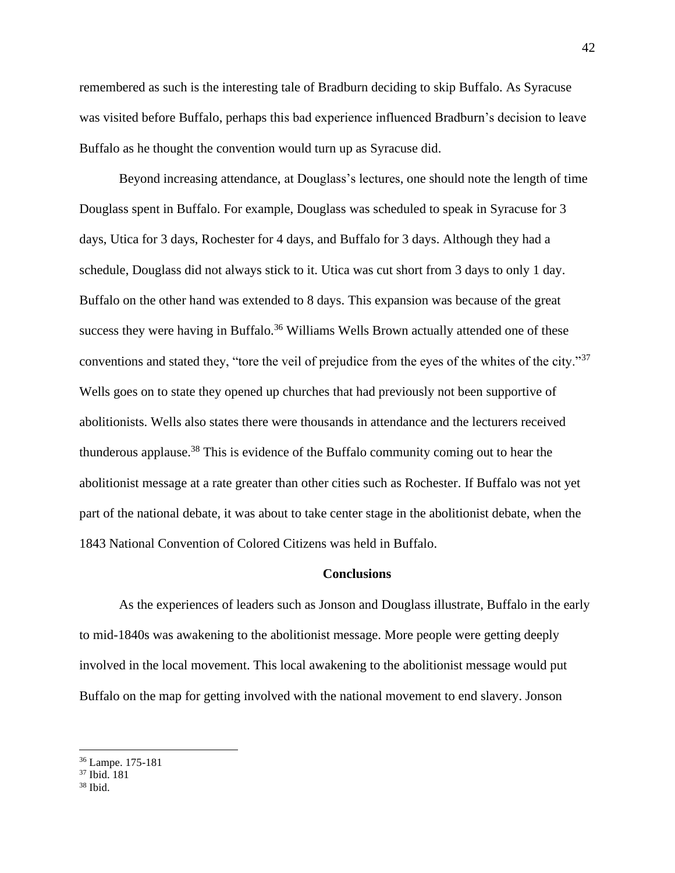remembered as such is the interesting tale of Bradburn deciding to skip Buffalo. As Syracuse was visited before Buffalo, perhaps this bad experience influenced Bradburn's decision to leave Buffalo as he thought the convention would turn up as Syracuse did.

Beyond increasing attendance, at Douglass's lectures, one should note the length of time Douglass spent in Buffalo. For example, Douglass was scheduled to speak in Syracuse for 3 days, Utica for 3 days, Rochester for 4 days, and Buffalo for 3 days. Although they had a schedule, Douglass did not always stick to it. Utica was cut short from 3 days to only 1 day. Buffalo on the other hand was extended to 8 days. This expansion was because of the great success they were having in Buffalo.<sup>36</sup> Williams Wells Brown actually attended one of these conventions and stated they, "tore the veil of prejudice from the eyes of the whites of the city."<sup>37</sup> Wells goes on to state they opened up churches that had previously not been supportive of abolitionists. Wells also states there were thousands in attendance and the lecturers received thunderous applause.<sup>38</sup> This is evidence of the Buffalo community coming out to hear the abolitionist message at a rate greater than other cities such as Rochester. If Buffalo was not yet part of the national debate, it was about to take center stage in the abolitionist debate, when the 1843 National Convention of Colored Citizens was held in Buffalo.

### **Conclusions**

As the experiences of leaders such as Jonson and Douglass illustrate, Buffalo in the early to mid-1840s was awakening to the abolitionist message. More people were getting deeply involved in the local movement. This local awakening to the abolitionist message would put Buffalo on the map for getting involved with the national movement to end slavery. Jonson

<sup>36</sup> Lampe. 175-181

<sup>37</sup> Ibid. 181

 $38$  Ibid.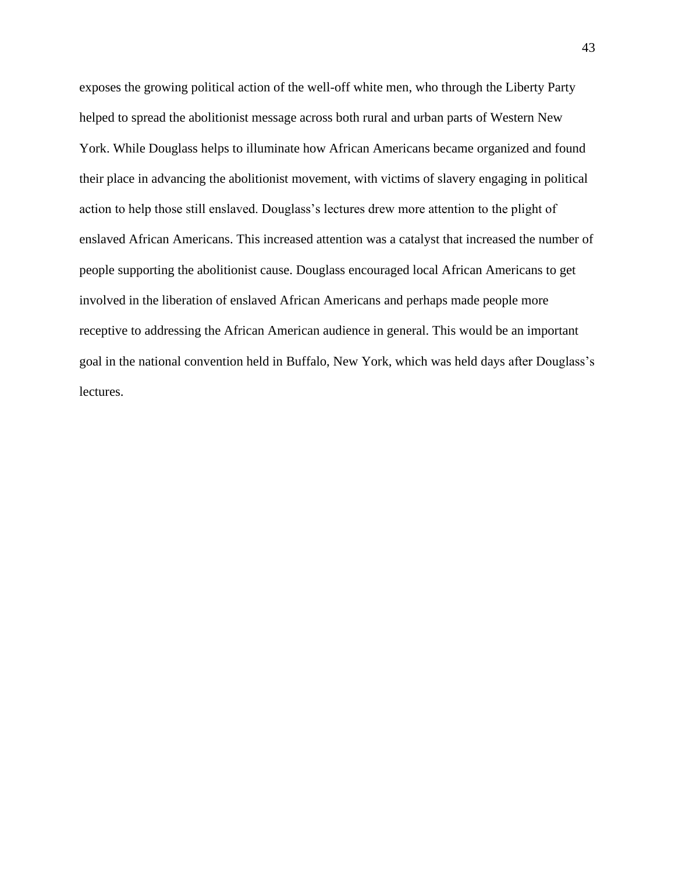exposes the growing political action of the well-off white men, who through the Liberty Party helped to spread the abolitionist message across both rural and urban parts of Western New York. While Douglass helps to illuminate how African Americans became organized and found their place in advancing the abolitionist movement, with victims of slavery engaging in political action to help those still enslaved. Douglass's lectures drew more attention to the plight of enslaved African Americans. This increased attention was a catalyst that increased the number of people supporting the abolitionist cause. Douglass encouraged local African Americans to get involved in the liberation of enslaved African Americans and perhaps made people more receptive to addressing the African American audience in general. This would be an important goal in the national convention held in Buffalo, New York, which was held days after Douglass's lectures.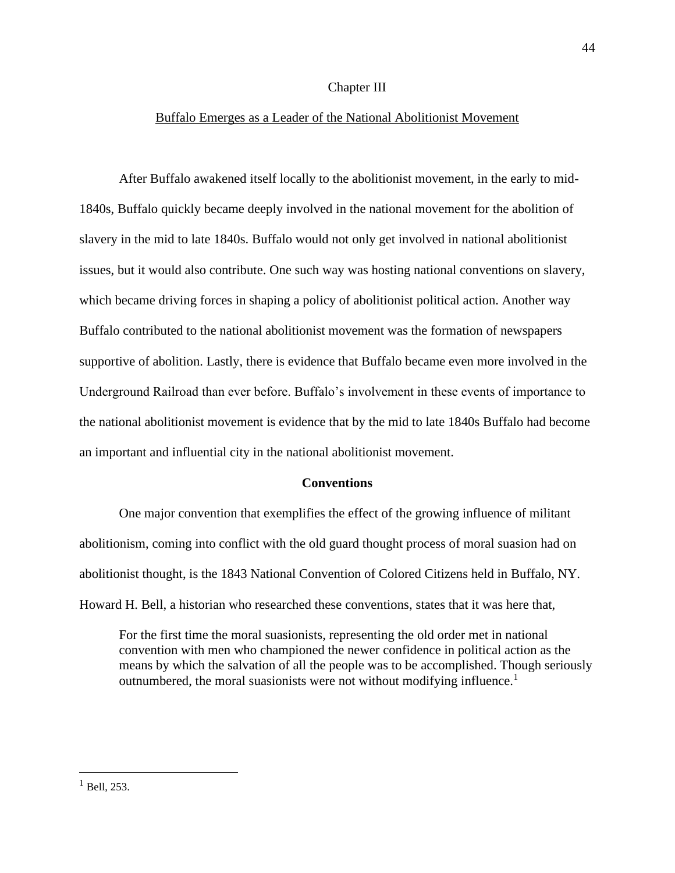#### Chapter III

### Buffalo Emerges as a Leader of the National Abolitionist Movement

After Buffalo awakened itself locally to the abolitionist movement, in the early to mid-1840s, Buffalo quickly became deeply involved in the national movement for the abolition of slavery in the mid to late 1840s. Buffalo would not only get involved in national abolitionist issues, but it would also contribute. One such way was hosting national conventions on slavery, which became driving forces in shaping a policy of abolitionist political action. Another way Buffalo contributed to the national abolitionist movement was the formation of newspapers supportive of abolition. Lastly, there is evidence that Buffalo became even more involved in the Underground Railroad than ever before. Buffalo's involvement in these events of importance to the national abolitionist movement is evidence that by the mid to late 1840s Buffalo had become an important and influential city in the national abolitionist movement.

#### **Conventions**

One major convention that exemplifies the effect of the growing influence of militant abolitionism, coming into conflict with the old guard thought process of moral suasion had on abolitionist thought, is the 1843 National Convention of Colored Citizens held in Buffalo, NY. Howard H. Bell, a historian who researched these conventions, states that it was here that,

For the first time the moral suasionists, representing the old order met in national convention with men who championed the newer confidence in political action as the means by which the salvation of all the people was to be accomplished. Though seriously outnumbered, the moral suasionists were not without modifying influence.<sup>1</sup>

 $<sup>1</sup>$  Bell, 253.</sup>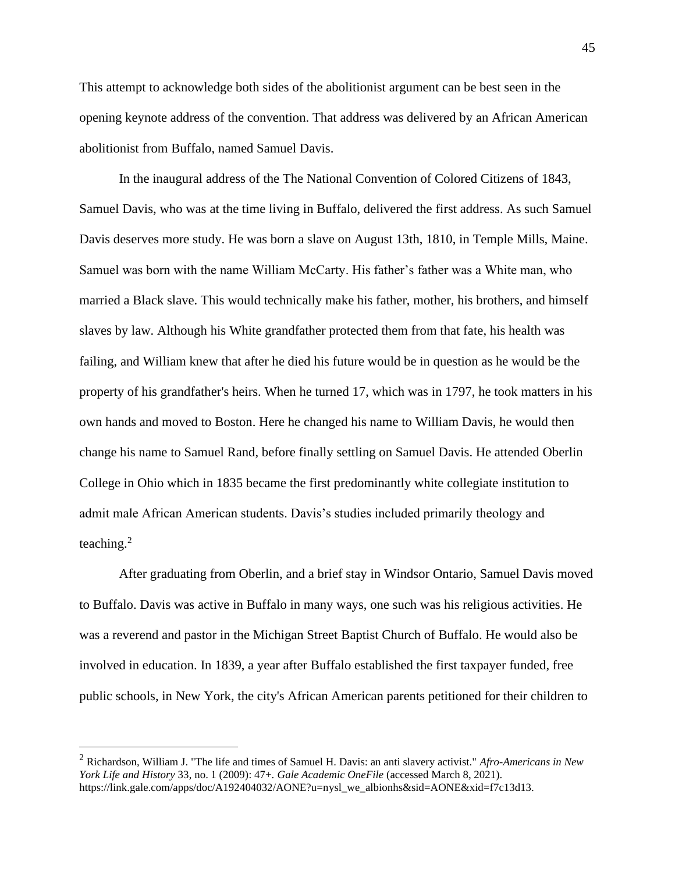This attempt to acknowledge both sides of the abolitionist argument can be best seen in the opening keynote address of the convention. That address was delivered by an African American abolitionist from Buffalo, named Samuel Davis.

In the inaugural address of the The National Convention of Colored Citizens of 1843, Samuel Davis, who was at the time living in Buffalo, delivered the first address. As such Samuel Davis deserves more study. He was born a slave on August 13th, 1810, in Temple Mills, Maine. Samuel was born with the name William McCarty. His father's father was a White man, who married a Black slave. This would technically make his father, mother, his brothers, and himself slaves by law. Although his White grandfather protected them from that fate, his health was failing, and William knew that after he died his future would be in question as he would be the property of his grandfather's heirs. When he turned 17, which was in 1797, he took matters in his own hands and moved to Boston. Here he changed his name to William Davis, he would then change his name to Samuel Rand, before finally settling on Samuel Davis. He attended Oberlin College in Ohio which in 1835 became the first predominantly white collegiate institution to admit male African American students. Davis's studies included primarily theology and teaching.<sup>2</sup>

After graduating from Oberlin, and a brief stay in Windsor Ontario, Samuel Davis moved to Buffalo. Davis was active in Buffalo in many ways, one such was his religious activities. He was a reverend and pastor in the Michigan Street Baptist Church of Buffalo. He would also be involved in education. In 1839, a year after Buffalo established the first taxpayer funded, free public schools, in New York, the city's African American parents petitioned for their children to

<sup>2</sup> Richardson, William J. "The life and times of Samuel H. Davis: an anti slavery activist." *Afro-Americans in New York Life and History* 33, no. 1 (2009): 47+. *Gale Academic OneFile* (accessed March 8, 2021). https://link.gale.com/apps/doc/A192404032/AONE?u=nysl\_we\_albionhs&sid=AONE&xid=f7c13d13.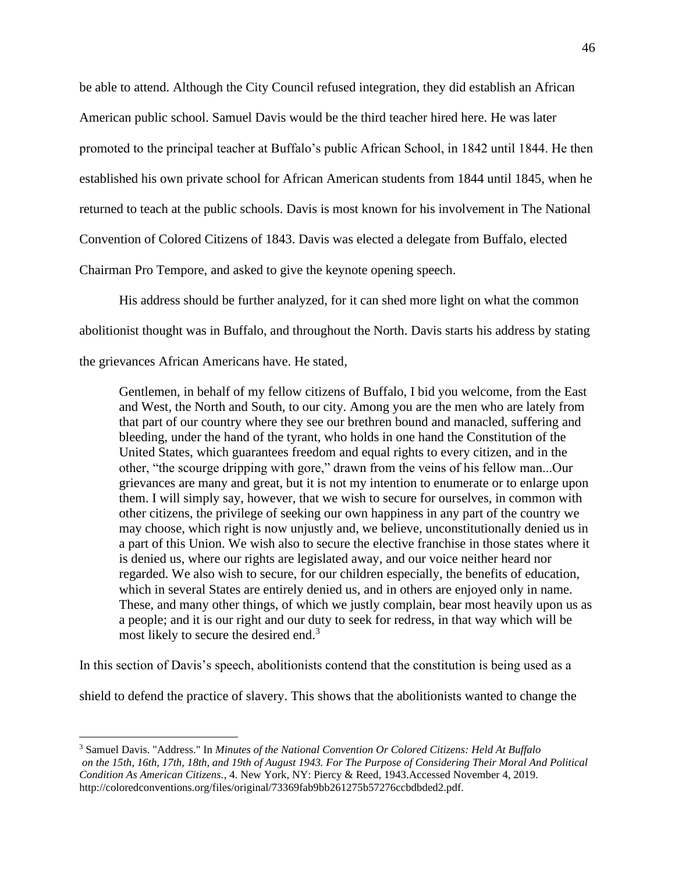be able to attend. Although the City Council refused integration, they did establish an African American public school. Samuel Davis would be the third teacher hired here. He was later promoted to the principal teacher at Buffalo's public African School, in 1842 until 1844. He then established his own private school for African American students from 1844 until 1845, when he returned to teach at the public schools. Davis is most known for his involvement in The National Convention of Colored Citizens of 1843. Davis was elected a delegate from Buffalo, elected Chairman Pro Tempore, and asked to give the keynote opening speech.

His address should be further analyzed, for it can shed more light on what the common abolitionist thought was in Buffalo, and throughout the North. Davis starts his address by stating the grievances African Americans have. He stated,

Gentlemen, in behalf of my fellow citizens of Buffalo, I bid you welcome, from the East and West, the North and South, to our city. Among you are the men who are lately from that part of our country where they see our brethren bound and manacled, suffering and bleeding, under the hand of the tyrant, who holds in one hand the Constitution of the United States, which guarantees freedom and equal rights to every citizen, and in the other, "the scourge dripping with gore," drawn from the veins of his fellow man...Our grievances are many and great, but it is not my intention to enumerate or to enlarge upon them. I will simply say, however, that we wish to secure for ourselves, in common with other citizens, the privilege of seeking our own happiness in any part of the country we may choose, which right is now unjustly and, we believe, unconstitutionally denied us in a part of this Union. We wish also to secure the elective franchise in those states where it is denied us, where our rights are legislated away, and our voice neither heard nor regarded. We also wish to secure, for our children especially, the benefits of education, which in several States are entirely denied us, and in others are enjoyed only in name. These, and many other things, of which we justly complain, bear most heavily upon us as a people; and it is our right and our duty to seek for redress, in that way which will be most likely to secure the desired end.<sup>3</sup>

In this section of Davis's speech, abolitionists contend that the constitution is being used as a

shield to defend the practice of slavery. This shows that the abolitionists wanted to change the

<sup>3</sup> Samuel Davis. "Address." In *Minutes of the National Convention Or Colored Citizens: Held At Buffalo on the 15th, 16th, 17th, 18th, and 19th of August 1943. For The Purpose of Considering Their Moral And Political Condition As American Citizens.*, 4. New York, NY: Piercy & Reed, 1943.Accessed November 4, 2019. http://coloredconventions.org/files/original/73369fab9bb261275b57276ccbdbded2.pdf.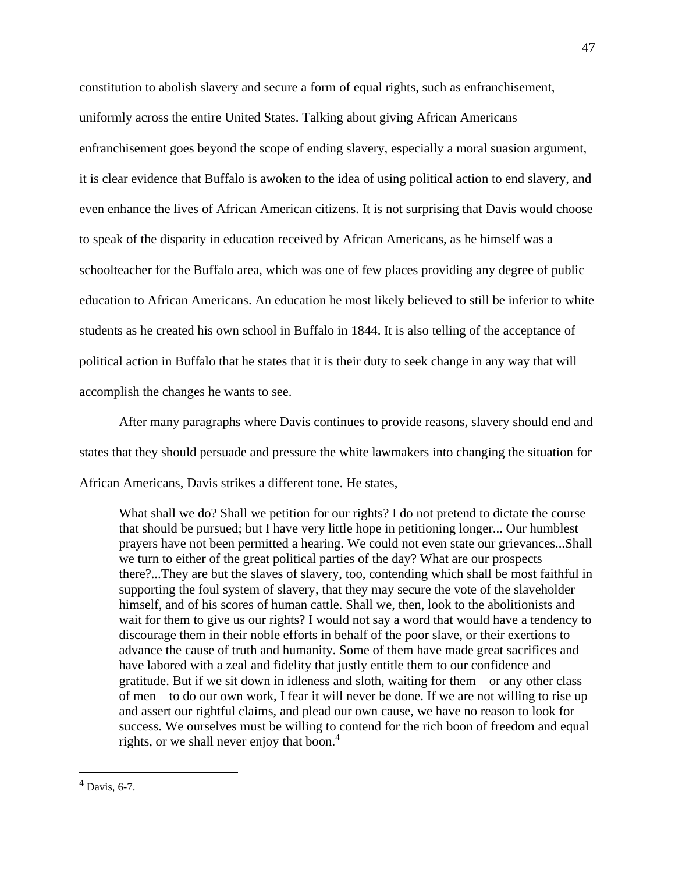constitution to abolish slavery and secure a form of equal rights, such as enfranchisement, uniformly across the entire United States. Talking about giving African Americans enfranchisement goes beyond the scope of ending slavery, especially a moral suasion argument, it is clear evidence that Buffalo is awoken to the idea of using political action to end slavery, and even enhance the lives of African American citizens. It is not surprising that Davis would choose to speak of the disparity in education received by African Americans, as he himself was a schoolteacher for the Buffalo area, which was one of few places providing any degree of public education to African Americans. An education he most likely believed to still be inferior to white students as he created his own school in Buffalo in 1844. It is also telling of the acceptance of political action in Buffalo that he states that it is their duty to seek change in any way that will accomplish the changes he wants to see.

After many paragraphs where Davis continues to provide reasons, slavery should end and states that they should persuade and pressure the white lawmakers into changing the situation for African Americans, Davis strikes a different tone. He states,

What shall we do? Shall we petition for our rights? I do not pretend to dictate the course that should be pursued; but I have very little hope in petitioning longer... Our humblest prayers have not been permitted a hearing. We could not even state our grievances...Shall we turn to either of the great political parties of the day? What are our prospects there?...They are but the slaves of slavery, too, contending which shall be most faithful in supporting the foul system of slavery, that they may secure the vote of the slaveholder himself, and of his scores of human cattle. Shall we, then, look to the abolitionists and wait for them to give us our rights? I would not say a word that would have a tendency to discourage them in their noble efforts in behalf of the poor slave, or their exertions to advance the cause of truth and humanity. Some of them have made great sacrifices and have labored with a zeal and fidelity that justly entitle them to our confidence and gratitude. But if we sit down in idleness and sloth, waiting for them—or any other class of men—to do our own work, I fear it will never be done. If we are not willing to rise up and assert our rightful claims, and plead our own cause, we have no reason to look for success. We ourselves must be willing to contend for the rich boon of freedom and equal rights, or we shall never enjoy that boon. $4$ 

 $<sup>4</sup>$  Davis, 6-7.</sup>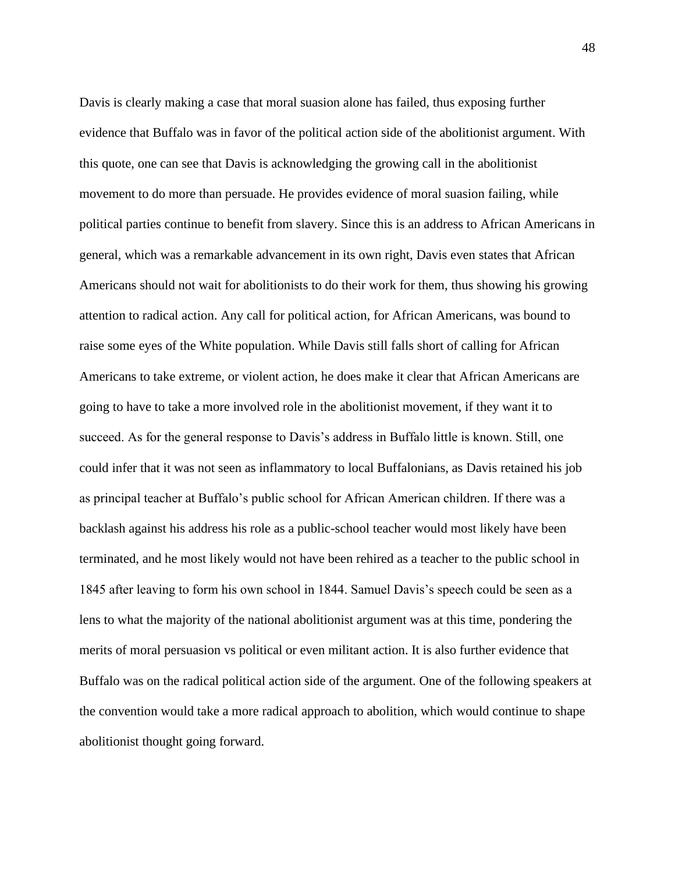Davis is clearly making a case that moral suasion alone has failed, thus exposing further evidence that Buffalo was in favor of the political action side of the abolitionist argument. With this quote, one can see that Davis is acknowledging the growing call in the abolitionist movement to do more than persuade. He provides evidence of moral suasion failing, while political parties continue to benefit from slavery. Since this is an address to African Americans in general, which was a remarkable advancement in its own right, Davis even states that African Americans should not wait for abolitionists to do their work for them, thus showing his growing attention to radical action. Any call for political action, for African Americans, was bound to raise some eyes of the White population. While Davis still falls short of calling for African Americans to take extreme, or violent action, he does make it clear that African Americans are going to have to take a more involved role in the abolitionist movement, if they want it to succeed. As for the general response to Davis's address in Buffalo little is known. Still, one could infer that it was not seen as inflammatory to local Buffalonians, as Davis retained his job as principal teacher at Buffalo's public school for African American children. If there was a backlash against his address his role as a public-school teacher would most likely have been terminated, and he most likely would not have been rehired as a teacher to the public school in 1845 after leaving to form his own school in 1844. Samuel Davis's speech could be seen as a lens to what the majority of the national abolitionist argument was at this time, pondering the merits of moral persuasion vs political or even militant action. It is also further evidence that Buffalo was on the radical political action side of the argument. One of the following speakers at the convention would take a more radical approach to abolition, which would continue to shape abolitionist thought going forward.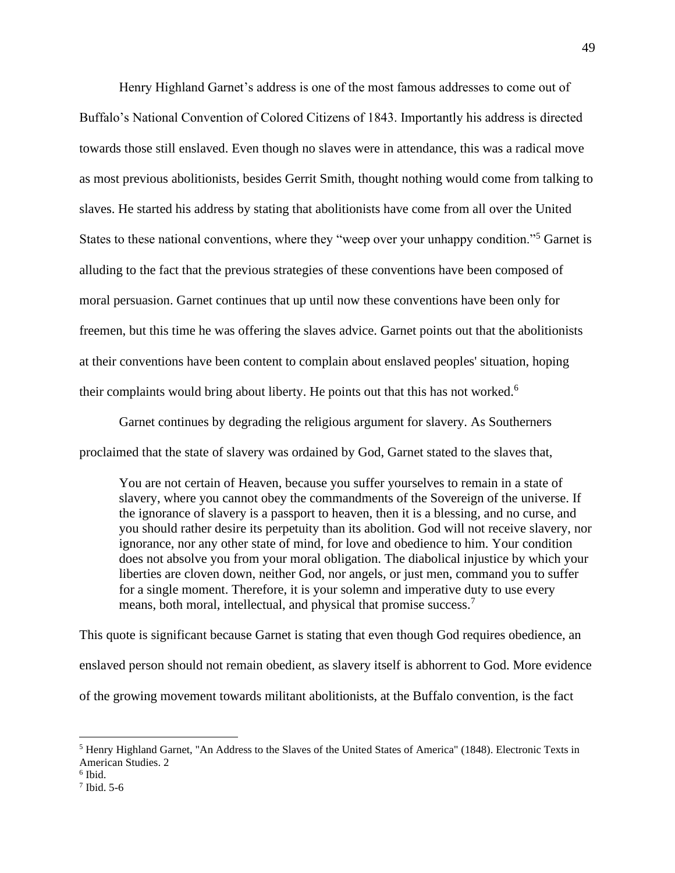Henry Highland Garnet's address is one of the most famous addresses to come out of Buffalo's National Convention of Colored Citizens of 1843. Importantly his address is directed towards those still enslaved. Even though no slaves were in attendance, this was a radical move as most previous abolitionists, besides Gerrit Smith, thought nothing would come from talking to slaves. He started his address by stating that abolitionists have come from all over the United States to these national conventions, where they "weep over your unhappy condition."<sup>5</sup> Garnet is alluding to the fact that the previous strategies of these conventions have been composed of moral persuasion. Garnet continues that up until now these conventions have been only for freemen, but this time he was offering the slaves advice. Garnet points out that the abolitionists at their conventions have been content to complain about enslaved peoples' situation, hoping their complaints would bring about liberty. He points out that this has not worked.<sup>6</sup>

Garnet continues by degrading the religious argument for slavery. As Southerners proclaimed that the state of slavery was ordained by God, Garnet stated to the slaves that,

You are not certain of Heaven, because you suffer yourselves to remain in a state of slavery, where you cannot obey the commandments of the Sovereign of the universe. If the ignorance of slavery is a passport to heaven, then it is a blessing, and no curse, and you should rather desire its perpetuity than its abolition. God will not receive slavery, nor ignorance, nor any other state of mind, for love and obedience to him. Your condition does not absolve you from your moral obligation. The diabolical injustice by which your liberties are cloven down, neither God, nor angels, or just men, command you to suffer for a single moment. Therefore, it is your solemn and imperative duty to use every means, both moral, intellectual, and physical that promise success.<sup>7</sup>

This quote is significant because Garnet is stating that even though God requires obedience, an enslaved person should not remain obedient, as slavery itself is abhorrent to God. More evidence of the growing movement towards militant abolitionists, at the Buffalo convention, is the fact

<sup>5</sup> Henry Highland Garnet, "An Address to the Slaves of the United States of America" (1848). Electronic Texts in American Studies. 2

<sup>6</sup> Ibid.

<sup>7</sup> Ibid. 5-6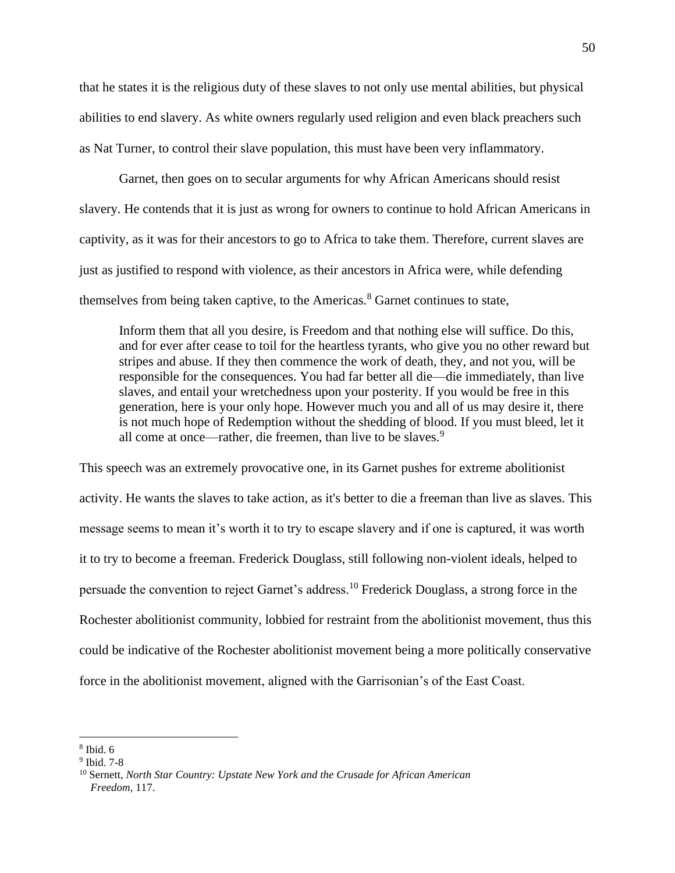that he states it is the religious duty of these slaves to not only use mental abilities, but physical abilities to end slavery. As white owners regularly used religion and even black preachers such as Nat Turner, to control their slave population, this must have been very inflammatory.

Garnet, then goes on to secular arguments for why African Americans should resist slavery. He contends that it is just as wrong for owners to continue to hold African Americans in captivity, as it was for their ancestors to go to Africa to take them. Therefore, current slaves are just as justified to respond with violence, as their ancestors in Africa were, while defending themselves from being taken captive, to the Americas.<sup>8</sup> Garnet continues to state,

Inform them that all you desire, is Freedom and that nothing else will suffice. Do this, and for ever after cease to toil for the heartless tyrants, who give you no other reward but stripes and abuse. If they then commence the work of death, they, and not you, will be responsible for the consequences. You had far better all die—die immediately, than live slaves, and entail your wretchedness upon your posterity. If you would be free in this generation, here is your only hope. However much you and all of us may desire it, there is not much hope of Redemption without the shedding of blood. If you must bleed, let it all come at once—rather, die freemen, than live to be slaves.<sup>9</sup>

This speech was an extremely provocative one, in its Garnet pushes for extreme abolitionist activity. He wants the slaves to take action, as it's better to die a freeman than live as slaves. This message seems to mean it's worth it to try to escape slavery and if one is captured, it was worth it to try to become a freeman. Frederick Douglass, still following non-violent ideals, helped to persuade the convention to reject Garnet's address.<sup>10</sup> Frederick Douglass, a strong force in the Rochester abolitionist community, lobbied for restraint from the abolitionist movement, thus this could be indicative of the Rochester abolitionist movement being a more politically conservative force in the abolitionist movement, aligned with the Garrisonian's of the East Coast.

<sup>8</sup> Ibid. 6

<sup>9</sup> Ibid. 7-8

<sup>10</sup> Sernett, *North Star Country: Upstate New York and the Crusade for African American Freedom*, 117.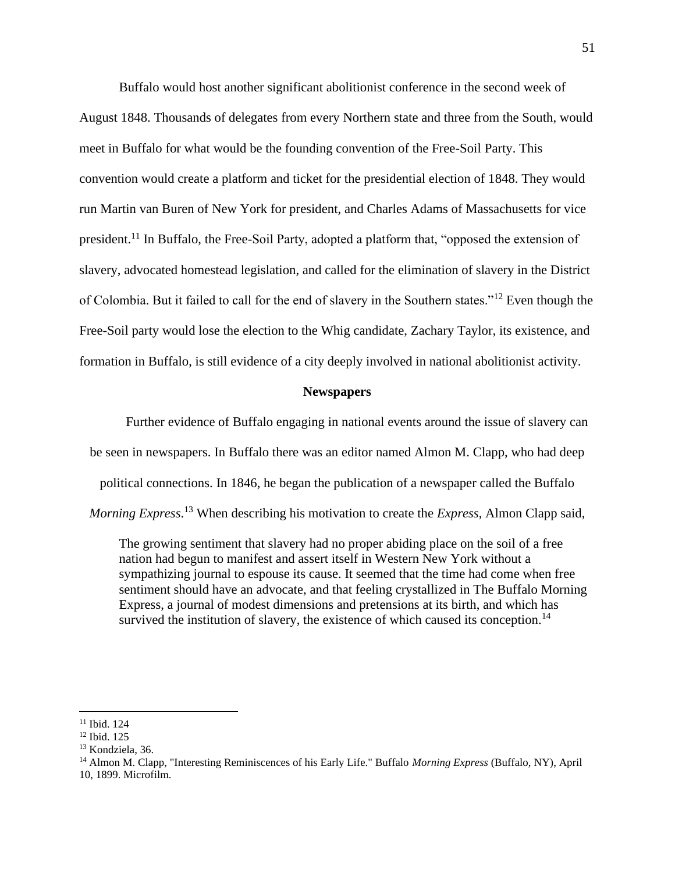Buffalo would host another significant abolitionist conference in the second week of August 1848. Thousands of delegates from every Northern state and three from the South, would meet in Buffalo for what would be the founding convention of the Free-Soil Party. This convention would create a platform and ticket for the presidential election of 1848. They would run Martin van Buren of New York for president, and Charles Adams of Massachusetts for vice president.<sup>11</sup> In Buffalo, the Free-Soil Party, adopted a platform that, "opposed the extension of slavery, advocated homestead legislation, and called for the elimination of slavery in the District of Colombia. But it failed to call for the end of slavery in the Southern states."<sup>12</sup> Even though the Free-Soil party would lose the election to the Whig candidate, Zachary Taylor, its existence, and formation in Buffalo, is still evidence of a city deeply involved in national abolitionist activity.

# **Newspapers**

Further evidence of Buffalo engaging in national events around the issue of slavery can

be seen in newspapers. In Buffalo there was an editor named Almon M. Clapp, who had deep

political connections. In 1846, he began the publication of a newspaper called the Buffalo

*Morning Express*. <sup>13</sup> When describing his motivation to create the *Express*, Almon Clapp said,

The growing sentiment that slavery had no proper abiding place on the soil of a free nation had begun to manifest and assert itself in Western New York without a sympathizing journal to espouse its cause. It seemed that the time had come when free sentiment should have an advocate, and that feeling crystallized in The Buffalo Morning Express, a journal of modest dimensions and pretensions at its birth, and which has survived the institution of slavery, the existence of which caused its conception.<sup>14</sup>

<sup>&</sup>lt;sup>11</sup> Ibid. 124

<sup>12</sup> Ibid. 125

<sup>&</sup>lt;sup>13</sup> Kondziela, 36.

<sup>14</sup> Almon M. Clapp, "Interesting Reminiscences of his Early Life." Buffalo *Morning Express* (Buffalo, NY), April 10, 1899. Microfilm.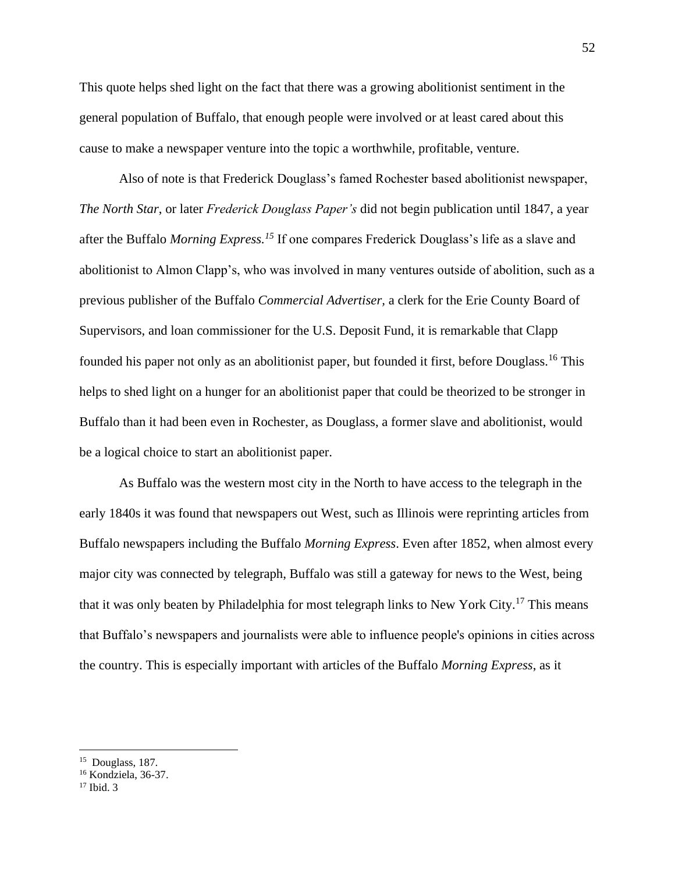This quote helps shed light on the fact that there was a growing abolitionist sentiment in the general population of Buffalo, that enough people were involved or at least cared about this cause to make a newspaper venture into the topic a worthwhile, profitable, venture.

Also of note is that Frederick Douglass's famed Rochester based abolitionist newspaper, *The North Star*, or later *Frederick Douglass Paper's* did not begin publication until 1847, a year after the Buffalo *Morning Express.<sup>15</sup>* If one compares Frederick Douglass's life as a slave and abolitionist to Almon Clapp's, who was involved in many ventures outside of abolition, such as a previous publisher of the Buffalo *Commercial Advertiser,* a clerk for the Erie County Board of Supervisors, and loan commissioner for the U.S. Deposit Fund, it is remarkable that Clapp founded his paper not only as an abolitionist paper, but founded it first, before Douglass.<sup>16</sup> This helps to shed light on a hunger for an abolitionist paper that could be theorized to be stronger in Buffalo than it had been even in Rochester, as Douglass, a former slave and abolitionist, would be a logical choice to start an abolitionist paper.

As Buffalo was the western most city in the North to have access to the telegraph in the early 1840s it was found that newspapers out West, such as Illinois were reprinting articles from Buffalo newspapers including the Buffalo *Morning Express*. Even after 1852, when almost every major city was connected by telegraph, Buffalo was still a gateway for news to the West, being that it was only beaten by Philadelphia for most telegraph links to New York City.<sup>17</sup> This means that Buffalo's newspapers and journalists were able to influence people's opinions in cities across the country. This is especially important with articles of the Buffalo *Morning Express*, as it

<sup>&</sup>lt;sup>15</sup> Douglass, 187.

<sup>16</sup> Kondziela, 36-37.

 $17$  Ibid. 3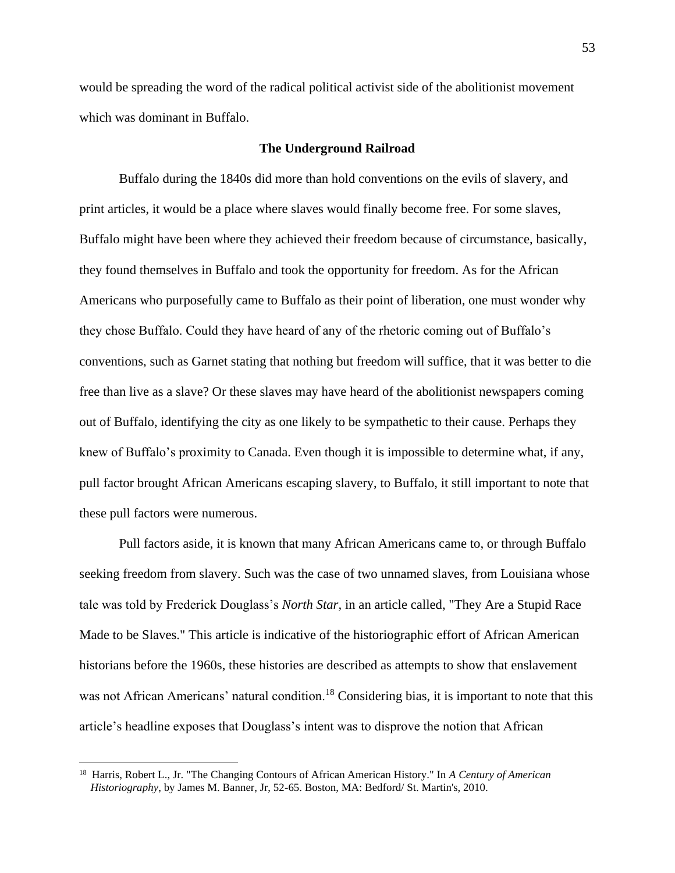would be spreading the word of the radical political activist side of the abolitionist movement which was dominant in Buffalo.

# **The Underground Railroad**

Buffalo during the 1840s did more than hold conventions on the evils of slavery, and print articles, it would be a place where slaves would finally become free. For some slaves, Buffalo might have been where they achieved their freedom because of circumstance, basically, they found themselves in Buffalo and took the opportunity for freedom. As for the African Americans who purposefully came to Buffalo as their point of liberation, one must wonder why they chose Buffalo. Could they have heard of any of the rhetoric coming out of Buffalo's conventions, such as Garnet stating that nothing but freedom will suffice, that it was better to die free than live as a slave? Or these slaves may have heard of the abolitionist newspapers coming out of Buffalo, identifying the city as one likely to be sympathetic to their cause. Perhaps they knew of Buffalo's proximity to Canada. Even though it is impossible to determine what, if any, pull factor brought African Americans escaping slavery, to Buffalo, it still important to note that these pull factors were numerous.

Pull factors aside, it is known that many African Americans came to, or through Buffalo seeking freedom from slavery. Such was the case of two unnamed slaves, from Louisiana whose tale was told by Frederick Douglass's *North Star,* in an article called, "They Are a Stupid Race Made to be Slaves." This article is indicative of the historiographic effort of African American historians before the 1960s, these histories are described as attempts to show that enslavement was not African Americans' natural condition.<sup>18</sup> Considering bias, it is important to note that this article's headline exposes that Douglass's intent was to disprove the notion that African

<sup>18</sup> Harris, Robert L., Jr. "The Changing Contours of African American History." In *A Century of American Historiography*, by James M. Banner, Jr, 52-65. Boston, MA: Bedford/ St. Martin's, 2010.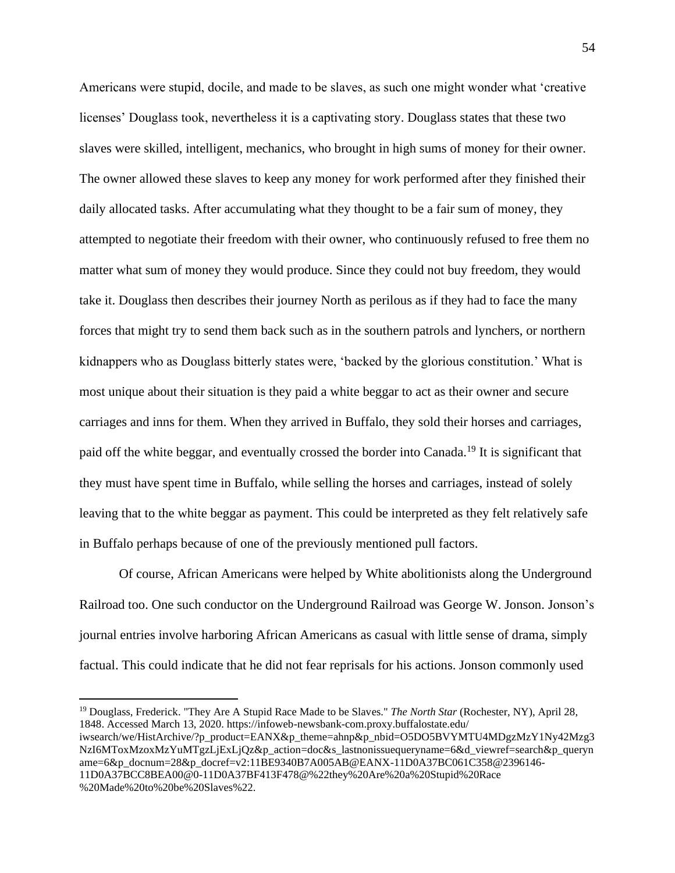Americans were stupid, docile, and made to be slaves, as such one might wonder what 'creative licenses' Douglass took, nevertheless it is a captivating story. Douglass states that these two slaves were skilled, intelligent, mechanics, who brought in high sums of money for their owner. The owner allowed these slaves to keep any money for work performed after they finished their daily allocated tasks. After accumulating what they thought to be a fair sum of money, they attempted to negotiate their freedom with their owner, who continuously refused to free them no matter what sum of money they would produce. Since they could not buy freedom, they would take it. Douglass then describes their journey North as perilous as if they had to face the many forces that might try to send them back such as in the southern patrols and lynchers, or northern kidnappers who as Douglass bitterly states were, 'backed by the glorious constitution.' What is most unique about their situation is they paid a white beggar to act as their owner and secure carriages and inns for them. When they arrived in Buffalo, they sold their horses and carriages, paid off the white beggar, and eventually crossed the border into Canada.<sup>19</sup> It is significant that they must have spent time in Buffalo, while selling the horses and carriages, instead of solely leaving that to the white beggar as payment. This could be interpreted as they felt relatively safe in Buffalo perhaps because of one of the previously mentioned pull factors.

Of course, African Americans were helped by White abolitionists along the Underground Railroad too. One such conductor on the Underground Railroad was George W. Jonson. Jonson's journal entries involve harboring African Americans as casual with little sense of drama, simply factual. This could indicate that he did not fear reprisals for his actions. Jonson commonly used

<sup>19</sup> Douglass, Frederick. "They Are A Stupid Race Made to be Slaves." *The North Star* (Rochester, NY), April 28, 1848. Accessed March 13, 2020. https://infoweb-newsbank-com.proxy.buffalostate.edu/ iwsearch/we/HistArchive/?p\_product=EANX&p\_theme=ahnp&p\_nbid=O5DO5BVYMTU4MDgzMzY1Ny42Mzg3 NzI6MToxMzoxMzYuMTgzLjExLjQz&p\_action=doc&s\_lastnonissuequeryname=6&d\_viewref=search&p\_queryn ame=6&p\_docnum=28&p\_docref=v2:11BE9340B7A005AB@EANX-11D0A37BC061C358@2396146- 11D0A37BCC8BEA00@0-11D0A37BF413F478@%22they%20Are%20a%20Stupid%20Race %20Made%20to%20be%20Slaves%22.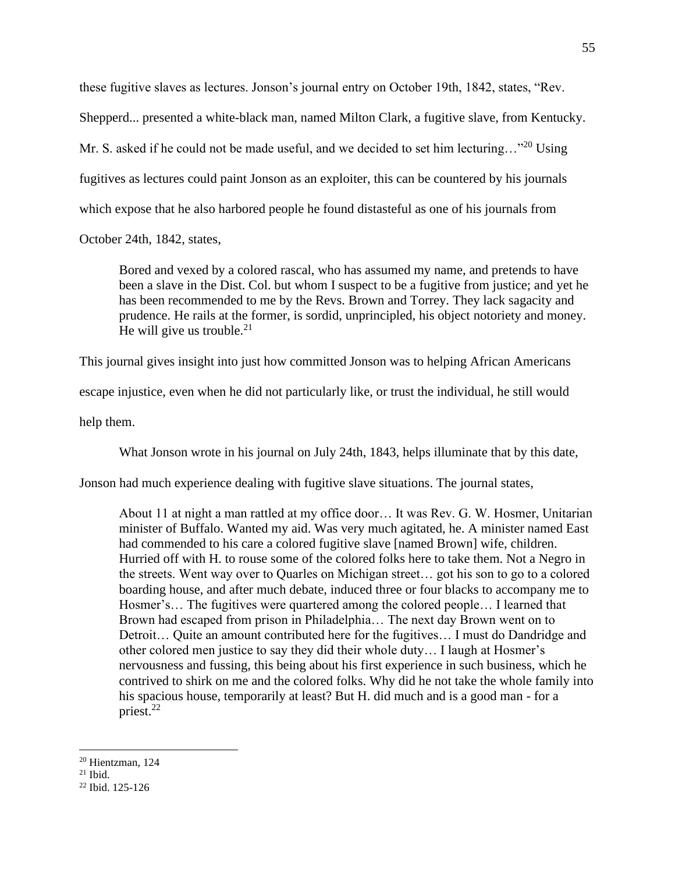these fugitive slaves as lectures. Jonson's journal entry on October 19th, 1842, states, "Rev.

Shepperd... presented a white-black man, named Milton Clark, a fugitive slave, from Kentucky.

Mr. S. asked if he could not be made useful, and we decided to set him lecturing..."<sup>20</sup> Using

fugitives as lectures could paint Jonson as an exploiter, this can be countered by his journals

which expose that he also harbored people he found distasteful as one of his journals from

October 24th, 1842, states,

Bored and vexed by a colored rascal, who has assumed my name, and pretends to have been a slave in the Dist. Col. but whom I suspect to be a fugitive from justice; and yet he has been recommended to me by the Revs. Brown and Torrey. They lack sagacity and prudence. He rails at the former, is sordid, unprincipled, his object notoriety and money. He will give us trouble.<sup>21</sup>

This journal gives insight into just how committed Jonson was to helping African Americans

escape injustice, even when he did not particularly like, or trust the individual, he still would

help them.

What Jonson wrote in his journal on July 24th, 1843, helps illuminate that by this date,

Jonson had much experience dealing with fugitive slave situations. The journal states,

About 11 at night a man rattled at my office door… It was Rev. G. W. Hosmer, Unitarian minister of Buffalo. Wanted my aid. Was very much agitated, he. A minister named East had commended to his care a colored fugitive slave [named Brown] wife, children. Hurried off with H. to rouse some of the colored folks here to take them. Not a Negro in the streets. Went way over to Quarles on Michigan street… got his son to go to a colored boarding house, and after much debate, induced three or four blacks to accompany me to Hosmer's… The fugitives were quartered among the colored people… I learned that Brown had escaped from prison in Philadelphia… The next day Brown went on to Detroit… Quite an amount contributed here for the fugitives… I must do Dandridge and other colored men justice to say they did their whole duty… I laugh at Hosmer's nervousness and fussing, this being about his first experience in such business, which he contrived to shirk on me and the colored folks. Why did he not take the whole family into his spacious house, temporarily at least? But H. did much and is a good man - for a priest.<sup>22</sup>

<sup>20</sup> Hientzman, 124

 $21$  Ibid.

<sup>22</sup> Ibid. 125-126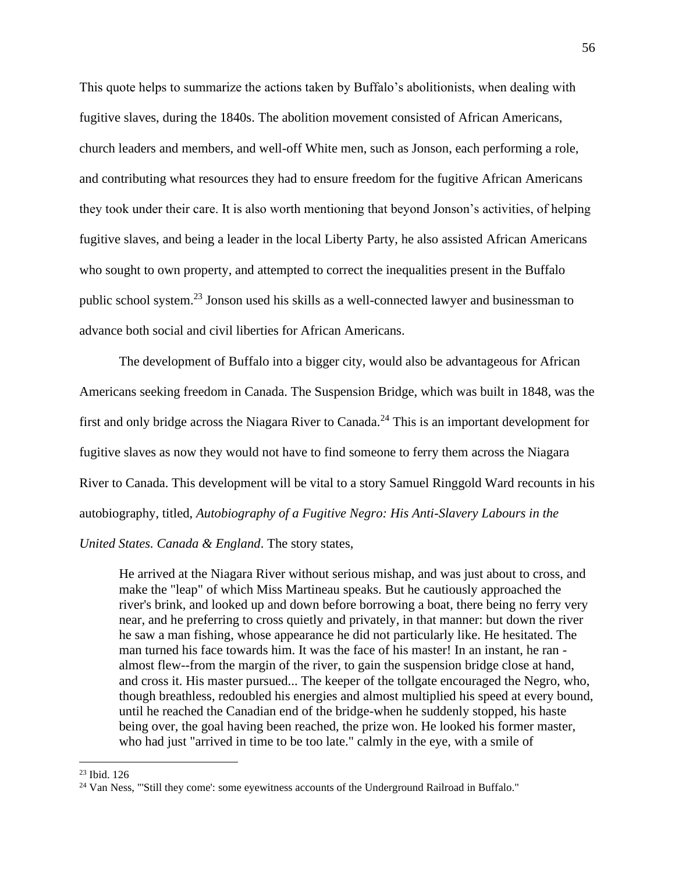This quote helps to summarize the actions taken by Buffalo's abolitionists, when dealing with fugitive slaves, during the 1840s. The abolition movement consisted of African Americans, church leaders and members, and well-off White men, such as Jonson, each performing a role, and contributing what resources they had to ensure freedom for the fugitive African Americans they took under their care. It is also worth mentioning that beyond Jonson's activities, of helping fugitive slaves, and being a leader in the local Liberty Party, he also assisted African Americans who sought to own property, and attempted to correct the inequalities present in the Buffalo public school system.<sup>23</sup> Jonson used his skills as a well-connected lawyer and businessman to advance both social and civil liberties for African Americans.

The development of Buffalo into a bigger city, would also be advantageous for African Americans seeking freedom in Canada. The Suspension Bridge, which was built in 1848, was the first and only bridge across the Niagara River to Canada.<sup>24</sup> This is an important development for fugitive slaves as now they would not have to find someone to ferry them across the Niagara River to Canada. This development will be vital to a story Samuel Ringgold Ward recounts in his autobiography, titled, *Autobiography of a Fugitive Negro: His Anti-Slavery Labours in the* 

*United States. Canada & England*. The story states,

He arrived at the Niagara River without serious mishap, and was just about to cross, and make the "leap" of which Miss Martineau speaks. But he cautiously approached the river's brink, and looked up and down before borrowing a boat, there being no ferry very near, and he preferring to cross quietly and privately, in that manner: but down the river he saw a man fishing, whose appearance he did not particularly like. He hesitated. The man turned his face towards him. It was the face of his master! In an instant, he ran almost flew--from the margin of the river, to gain the suspension bridge close at hand, and cross it. His master pursued... The keeper of the tollgate encouraged the Negro, who, though breathless, redoubled his energies and almost multiplied his speed at every bound, until he reached the Canadian end of the bridge-when he suddenly stopped, his haste being over, the goal having been reached, the prize won. He looked his former master, who had just "arrived in time to be too late." calmly in the eye, with a smile of

<sup>23</sup> Ibid. 126

<sup>&</sup>lt;sup>24</sup> Van Ness, "'Still they come': some eyewitness accounts of the Underground Railroad in Buffalo."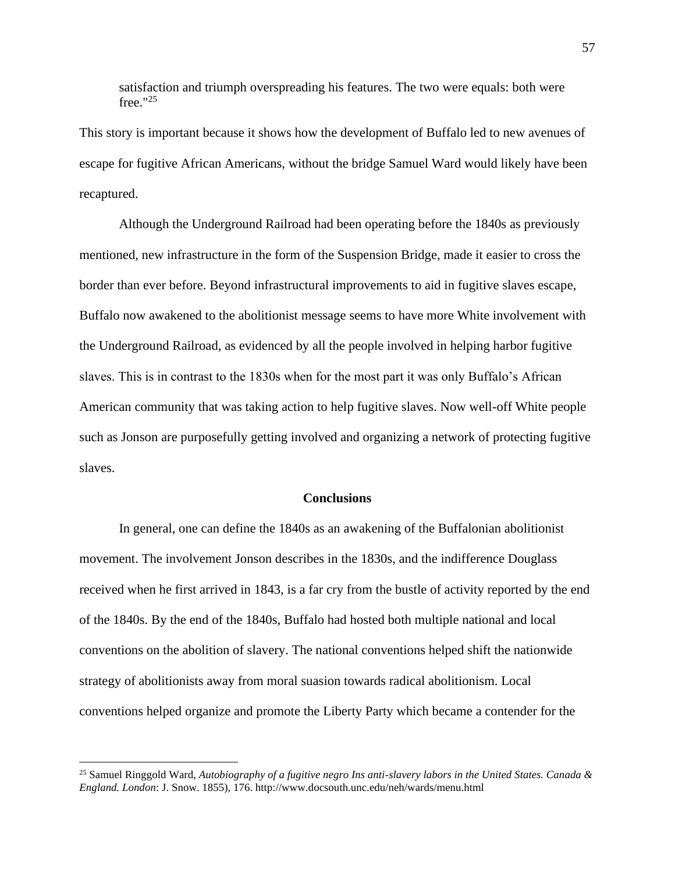satisfaction and triumph overspreading his features. The two were equals: both were free." $25$ 

This story is important because it shows how the development of Buffalo led to new avenues of escape for fugitive African Americans, without the bridge Samuel Ward would likely have been recaptured.

Although the Underground Railroad had been operating before the 1840s as previously mentioned, new infrastructure in the form of the Suspension Bridge, made it easier to cross the border than ever before. Beyond infrastructural improvements to aid in fugitive slaves escape, Buffalo now awakened to the abolitionist message seems to have more White involvement with the Underground Railroad, as evidenced by all the people involved in helping harbor fugitive slaves. This is in contrast to the 1830s when for the most part it was only Buffalo's African American community that was taking action to help fugitive slaves. Now well-off White people such as Jonson are purposefully getting involved and organizing a network of protecting fugitive slaves.

# **Conclusions**

In general, one can define the 1840s as an awakening of the Buffalonian abolitionist movement. The involvement Jonson describes in the 1830s, and the indifference Douglass received when he first arrived in 1843, is a far cry from the bustle of activity reported by the end of the 1840s. By the end of the 1840s, Buffalo had hosted both multiple national and local conventions on the abolition of slavery. The national conventions helped shift the nationwide strategy of abolitionists away from moral suasion towards radical abolitionism. Local conventions helped organize and promote the Liberty Party which became a contender for the

<sup>25</sup> Samuel Ringgold Ward, *Autobiography of a fugitive negro Ins anti-slavery labors in the United States. Canada & England. London*: J. Snow. 1855), 176. http://www.docsouth.unc.edu/neh/wards/menu.html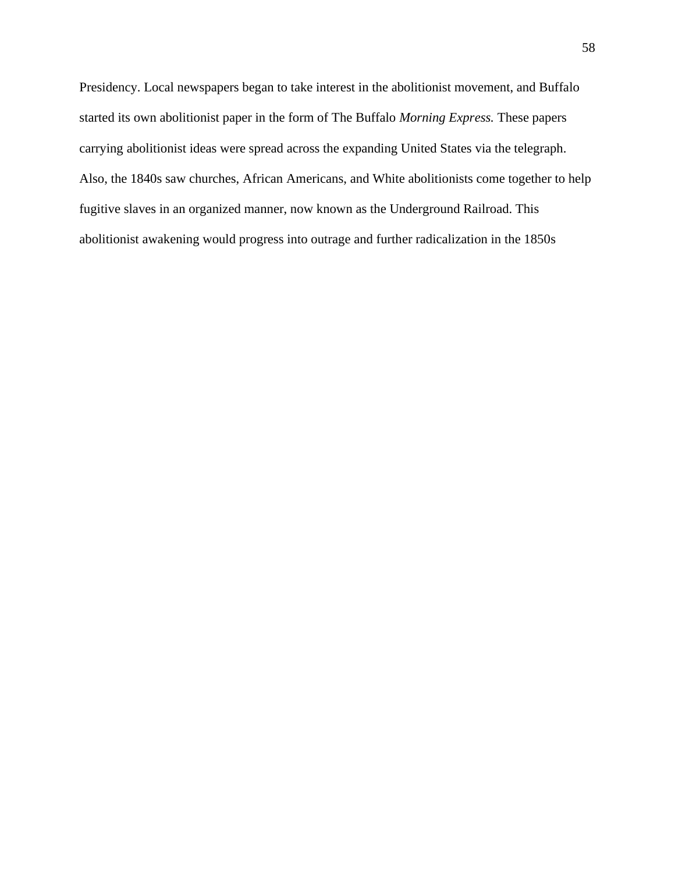Presidency. Local newspapers began to take interest in the abolitionist movement, and Buffalo started its own abolitionist paper in the form of The Buffalo *Morning Express.* These papers carrying abolitionist ideas were spread across the expanding United States via the telegraph. Also, the 1840s saw churches, African Americans, and White abolitionists come together to help fugitive slaves in an organized manner, now known as the Underground Railroad. This abolitionist awakening would progress into outrage and further radicalization in the 1850s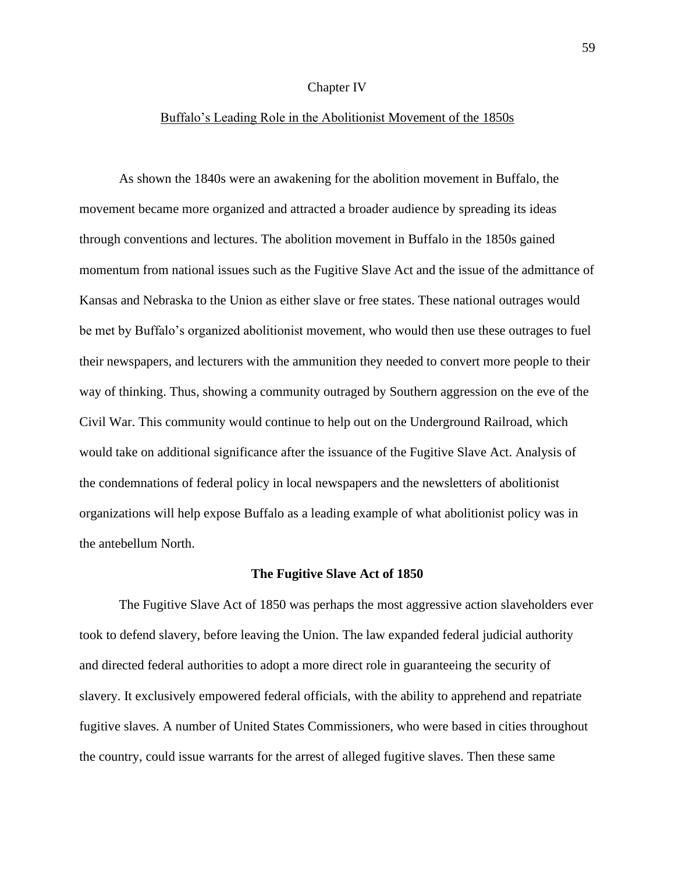#### Chapter IV

# Buffalo's Leading Role in the Abolitionist Movement of the 1850s

As shown the 1840s were an awakening for the abolition movement in Buffalo, the movement became more organized and attracted a broader audience by spreading its ideas through conventions and lectures. The abolition movement in Buffalo in the 1850s gained momentum from national issues such as the Fugitive Slave Act and the issue of the admittance of Kansas and Nebraska to the Union as either slave or free states. These national outrages would be met by Buffalo's organized abolitionist movement, who would then use these outrages to fuel their newspapers, and lecturers with the ammunition they needed to convert more people to their way of thinking. Thus, showing a community outraged by Southern aggression on the eve of the Civil War. This community would continue to help out on the Underground Railroad, which would take on additional significance after the issuance of the Fugitive Slave Act. Analysis of the condemnations of federal policy in local newspapers and the newsletters of abolitionist organizations will help expose Buffalo as a leading example of what abolitionist policy was in the antebellum North.

#### **The Fugitive Slave Act of 1850**

The Fugitive Slave Act of 1850 was perhaps the most aggressive action slaveholders ever took to defend slavery, before leaving the Union. The law expanded federal judicial authority and directed federal authorities to adopt a more direct role in guaranteeing the security of slavery. It exclusively empowered federal officials, with the ability to apprehend and repatriate fugitive slaves. A number of United States Commissioners, who were based in cities throughout the country, could issue warrants for the arrest of alleged fugitive slaves. Then these same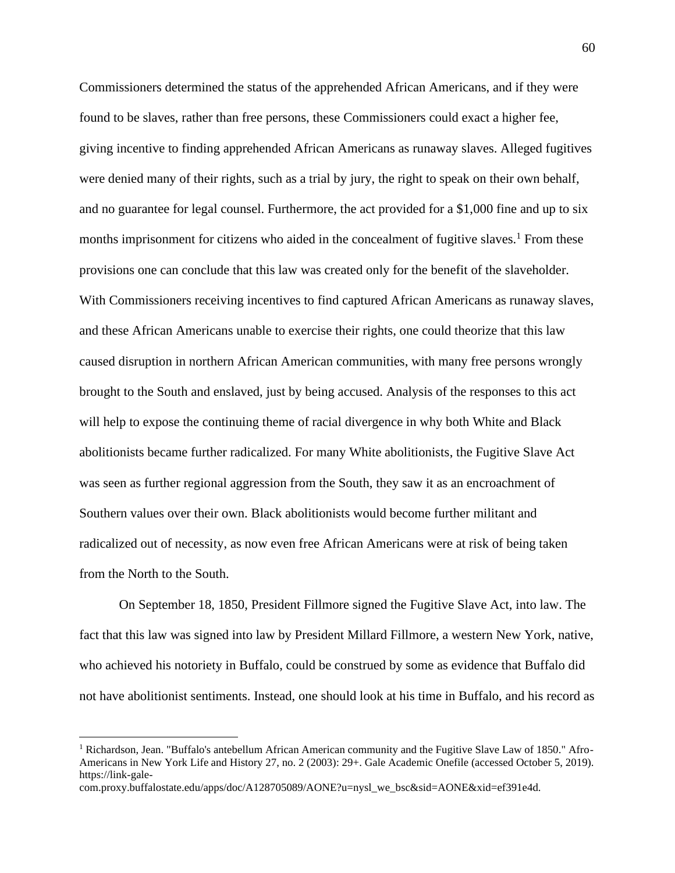Commissioners determined the status of the apprehended African Americans, and if they were found to be slaves, rather than free persons, these Commissioners could exact a higher fee, giving incentive to finding apprehended African Americans as runaway slaves. Alleged fugitives were denied many of their rights, such as a trial by jury, the right to speak on their own behalf, and no guarantee for legal counsel. Furthermore, the act provided for a \$1,000 fine and up to six months imprisonment for citizens who aided in the concealment of fugitive slaves.<sup>1</sup> From these provisions one can conclude that this law was created only for the benefit of the slaveholder. With Commissioners receiving incentives to find captured African Americans as runaway slaves, and these African Americans unable to exercise their rights, one could theorize that this law caused disruption in northern African American communities, with many free persons wrongly brought to the South and enslaved, just by being accused. Analysis of the responses to this act will help to expose the continuing theme of racial divergence in why both White and Black abolitionists became further radicalized. For many White abolitionists, the Fugitive Slave Act was seen as further regional aggression from the South, they saw it as an encroachment of Southern values over their own. Black abolitionists would become further militant and radicalized out of necessity, as now even free African Americans were at risk of being taken from the North to the South.

On September 18, 1850, President Fillmore signed the Fugitive Slave Act, into law. The fact that this law was signed into law by President Millard Fillmore, a western New York, native, who achieved his notoriety in Buffalo, could be construed by some as evidence that Buffalo did not have abolitionist sentiments. Instead, one should look at his time in Buffalo, and his record as

<sup>&</sup>lt;sup>1</sup> Richardson, Jean. "Buffalo's antebellum African American community and the Fugitive Slave Law of 1850." Afro-Americans in New York Life and History 27, no. 2 (2003): 29+. Gale Academic Onefile (accessed October 5, 2019). https://link-gale-

com.proxy.buffalostate.edu/apps/doc/A128705089/AONE?u=nysl\_we\_bsc&sid=AONE&xid=ef391e4d.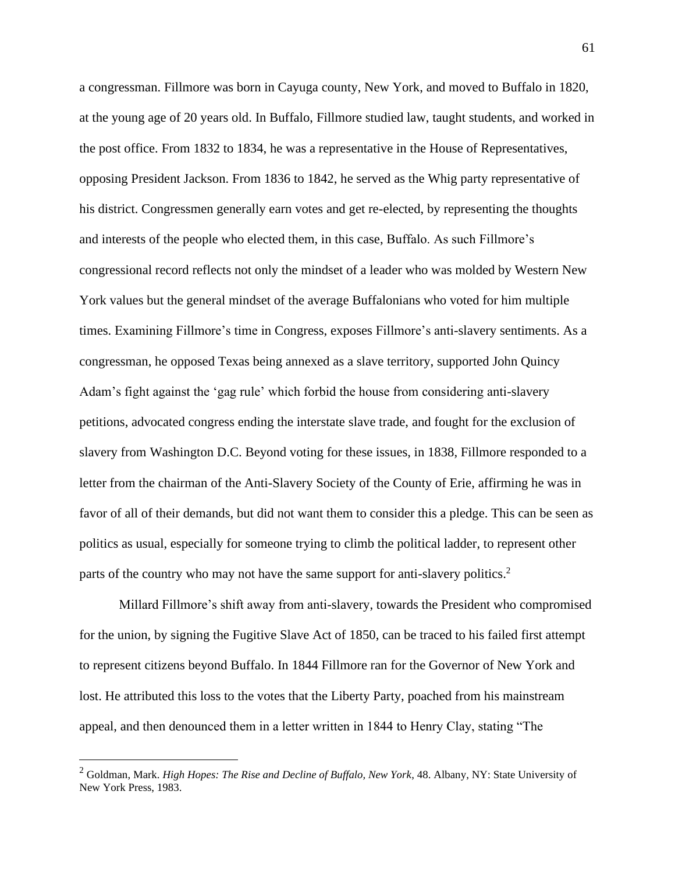a congressman. Fillmore was born in Cayuga county, New York, and moved to Buffalo in 1820, at the young age of 20 years old. In Buffalo, Fillmore studied law, taught students, and worked in the post office. From 1832 to 1834, he was a representative in the House of Representatives, opposing President Jackson. From 1836 to 1842, he served as the Whig party representative of his district. Congressmen generally earn votes and get re-elected, by representing the thoughts and interests of the people who elected them, in this case, Buffalo. As such Fillmore's congressional record reflects not only the mindset of a leader who was molded by Western New York values but the general mindset of the average Buffalonians who voted for him multiple times. Examining Fillmore's time in Congress, exposes Fillmore's anti-slavery sentiments. As a congressman, he opposed Texas being annexed as a slave territory, supported John Quincy Adam's fight against the 'gag rule' which forbid the house from considering anti-slavery petitions, advocated congress ending the interstate slave trade, and fought for the exclusion of slavery from Washington D.C. Beyond voting for these issues, in 1838, Fillmore responded to a letter from the chairman of the Anti-Slavery Society of the County of Erie, affirming he was in favor of all of their demands, but did not want them to consider this a pledge. This can be seen as politics as usual, especially for someone trying to climb the political ladder, to represent other parts of the country who may not have the same support for anti-slavery politics.<sup>2</sup>

Millard Fillmore's shift away from anti-slavery, towards the President who compromised for the union, by signing the Fugitive Slave Act of 1850, can be traced to his failed first attempt to represent citizens beyond Buffalo. In 1844 Fillmore ran for the Governor of New York and lost. He attributed this loss to the votes that the Liberty Party, poached from his mainstream appeal, and then denounced them in a letter written in 1844 to Henry Clay, stating "The

<sup>2</sup> Goldman, Mark. *High Hopes: The Rise and Decline of Buffalo, New York*, 48. Albany, NY: State University of New York Press, 1983.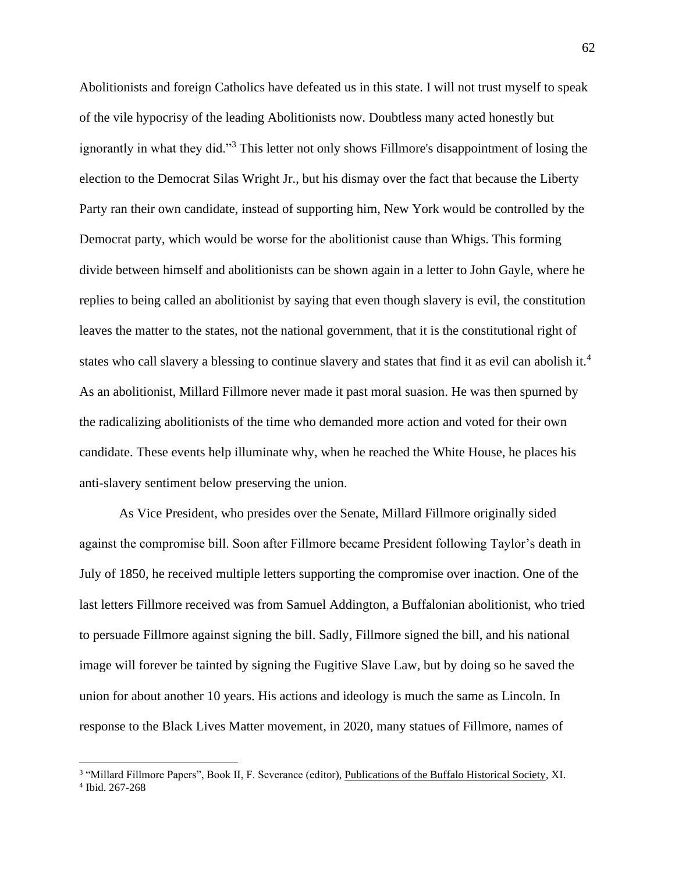Abolitionists and foreign Catholics have defeated us in this state. I will not trust myself to speak of the vile hypocrisy of the leading Abolitionists now. Doubtless many acted honestly but ignorantly in what they did."<sup>3</sup> This letter not only shows Fillmore's disappointment of losing the election to the Democrat Silas Wright Jr., but his dismay over the fact that because the Liberty Party ran their own candidate, instead of supporting him, New York would be controlled by the Democrat party, which would be worse for the abolitionist cause than Whigs. This forming divide between himself and abolitionists can be shown again in a letter to John Gayle, where he replies to being called an abolitionist by saying that even though slavery is evil, the constitution leaves the matter to the states, not the national government, that it is the constitutional right of states who call slavery a blessing to continue slavery and states that find it as evil can abolish it.<sup>4</sup> As an abolitionist, Millard Fillmore never made it past moral suasion. He was then spurned by the radicalizing abolitionists of the time who demanded more action and voted for their own candidate. These events help illuminate why, when he reached the White House, he places his anti-slavery sentiment below preserving the union.

As Vice President, who presides over the Senate, Millard Fillmore originally sided against the compromise bill. Soon after Fillmore became President following Taylor's death in July of 1850, he received multiple letters supporting the compromise over inaction. One of the last letters Fillmore received was from Samuel Addington, a Buffalonian abolitionist, who tried to persuade Fillmore against signing the bill. Sadly, Fillmore signed the bill, and his national image will forever be tainted by signing the Fugitive Slave Law, but by doing so he saved the union for about another 10 years. His actions and ideology is much the same as Lincoln. In response to the Black Lives Matter movement, in 2020, many statues of Fillmore, names of

<sup>&</sup>lt;sup>3</sup> "Millard Fillmore Papers", Book II, F. Severance (editor), Publications of the Buffalo Historical Society, XI. 4 Ibid. 267-268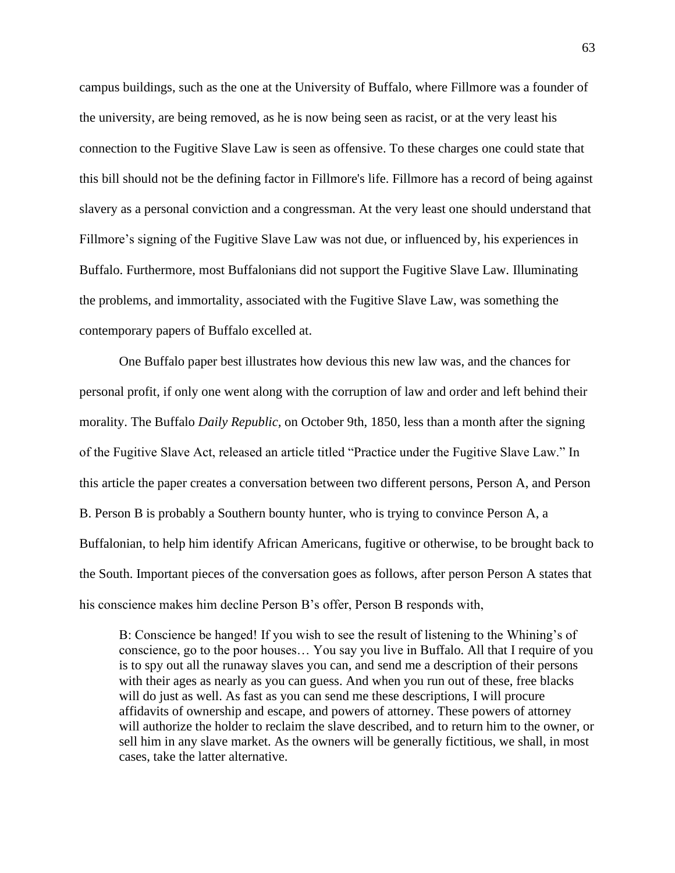campus buildings, such as the one at the University of Buffalo, where Fillmore was a founder of the university, are being removed, as he is now being seen as racist, or at the very least his connection to the Fugitive Slave Law is seen as offensive. To these charges one could state that this bill should not be the defining factor in Fillmore's life. Fillmore has a record of being against slavery as a personal conviction and a congressman. At the very least one should understand that Fillmore's signing of the Fugitive Slave Law was not due, or influenced by, his experiences in Buffalo. Furthermore, most Buffalonians did not support the Fugitive Slave Law. Illuminating the problems, and immortality, associated with the Fugitive Slave Law, was something the contemporary papers of Buffalo excelled at.

One Buffalo paper best illustrates how devious this new law was, and the chances for personal profit, if only one went along with the corruption of law and order and left behind their morality. The Buffalo *Daily Republic,* on October 9th, 1850, less than a month after the signing of the Fugitive Slave Act, released an article titled "Practice under the Fugitive Slave Law." In this article the paper creates a conversation between two different persons, Person A, and Person B. Person B is probably a Southern bounty hunter, who is trying to convince Person A, a Buffalonian, to help him identify African Americans, fugitive or otherwise, to be brought back to the South. Important pieces of the conversation goes as follows, after person Person A states that his conscience makes him decline Person B's offer, Person B responds with,

B: Conscience be hanged! If you wish to see the result of listening to the Whining's of conscience, go to the poor houses… You say you live in Buffalo. All that I require of you is to spy out all the runaway slaves you can, and send me a description of their persons with their ages as nearly as you can guess. And when you run out of these, free blacks will do just as well. As fast as you can send me these descriptions, I will procure affidavits of ownership and escape, and powers of attorney. These powers of attorney will authorize the holder to reclaim the slave described, and to return him to the owner, or sell him in any slave market. As the owners will be generally fictitious, we shall, in most cases, take the latter alternative.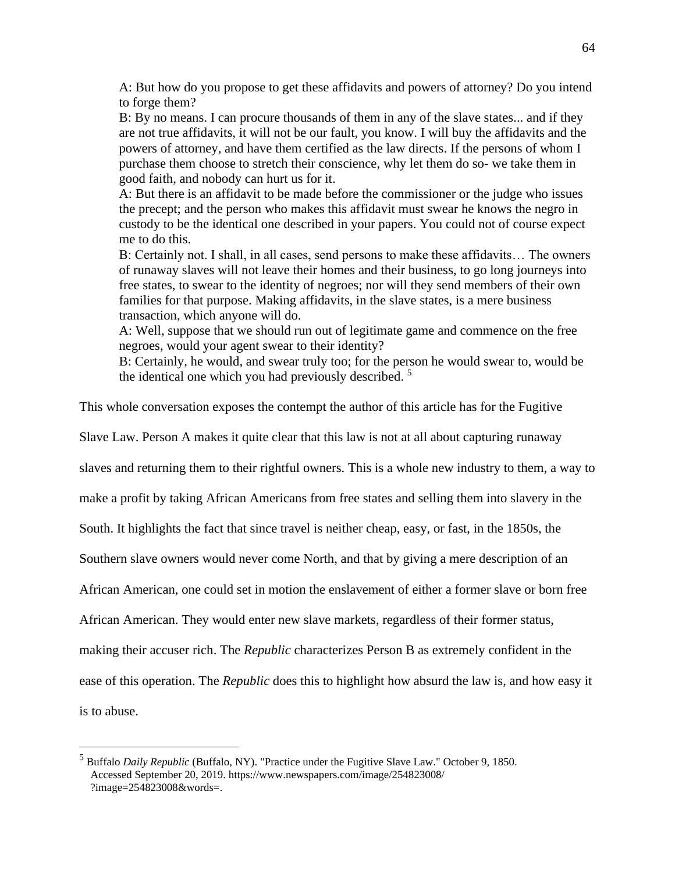A: But how do you propose to get these affidavits and powers of attorney? Do you intend to forge them?

B: By no means. I can procure thousands of them in any of the slave states... and if they are not true affidavits, it will not be our fault, you know. I will buy the affidavits and the powers of attorney, and have them certified as the law directs. If the persons of whom I purchase them choose to stretch their conscience, why let them do so- we take them in good faith, and nobody can hurt us for it.

A: But there is an affidavit to be made before the commissioner or the judge who issues the precept; and the person who makes this affidavit must swear he knows the negro in custody to be the identical one described in your papers. You could not of course expect me to do this.

B: Certainly not. I shall, in all cases, send persons to make these affidavits… The owners of runaway slaves will not leave their homes and their business, to go long journeys into free states, to swear to the identity of negroes; nor will they send members of their own families for that purpose. Making affidavits, in the slave states, is a mere business transaction, which anyone will do.

A: Well, suppose that we should run out of legitimate game and commence on the free negroes, would your agent swear to their identity?

B: Certainly, he would, and swear truly too; for the person he would swear to, would be the identical one which you had previously described.<sup>5</sup>

This whole conversation exposes the contempt the author of this article has for the Fugitive

Slave Law. Person A makes it quite clear that this law is not at all about capturing runaway

slaves and returning them to their rightful owners. This is a whole new industry to them, a way to

make a profit by taking African Americans from free states and selling them into slavery in the

South. It highlights the fact that since travel is neither cheap, easy, or fast, in the 1850s, the

Southern slave owners would never come North, and that by giving a mere description of an

African American, one could set in motion the enslavement of either a former slave or born free

African American. They would enter new slave markets, regardless of their former status,

making their accuser rich. The *Republic* characterizes Person B as extremely confident in the

ease of this operation. The *Republic* does this to highlight how absurd the law is, and how easy it

is to abuse.

<sup>5</sup> Buffalo *Daily Republic* (Buffalo, NY). "Practice under the Fugitive Slave Law." October 9, 1850. Accessed September 20, 2019. https://www.newspapers.com/image/254823008/ ?image=254823008&words=.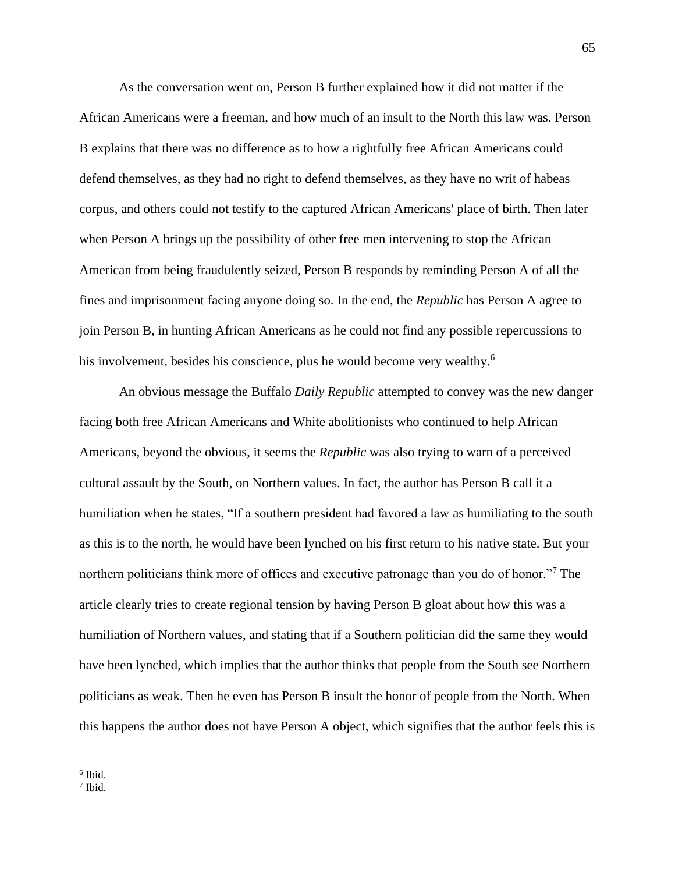As the conversation went on, Person B further explained how it did not matter if the African Americans were a freeman, and how much of an insult to the North this law was. Person B explains that there was no difference as to how a rightfully free African Americans could defend themselves, as they had no right to defend themselves, as they have no writ of habeas corpus, and others could not testify to the captured African Americans' place of birth. Then later when Person A brings up the possibility of other free men intervening to stop the African American from being fraudulently seized, Person B responds by reminding Person A of all the fines and imprisonment facing anyone doing so. In the end, the *Republic* has Person A agree to join Person B, in hunting African Americans as he could not find any possible repercussions to his involvement, besides his conscience, plus he would become very wealthy.<sup>6</sup>

An obvious message the Buffalo *Daily Republic* attempted to convey was the new danger facing both free African Americans and White abolitionists who continued to help African Americans, beyond the obvious, it seems the *Republic* was also trying to warn of a perceived cultural assault by the South, on Northern values. In fact, the author has Person B call it a humiliation when he states, "If a southern president had favored a law as humiliating to the south as this is to the north, he would have been lynched on his first return to his native state. But your northern politicians think more of offices and executive patronage than you do of honor.<sup>"7</sup> The article clearly tries to create regional tension by having Person B gloat about how this was a humiliation of Northern values, and stating that if a Southern politician did the same they would have been lynched, which implies that the author thinks that people from the South see Northern politicians as weak. Then he even has Person B insult the honor of people from the North. When this happens the author does not have Person A object, which signifies that the author feels this is

<sup>6</sup> Ibid.

<sup>7</sup> Ibid.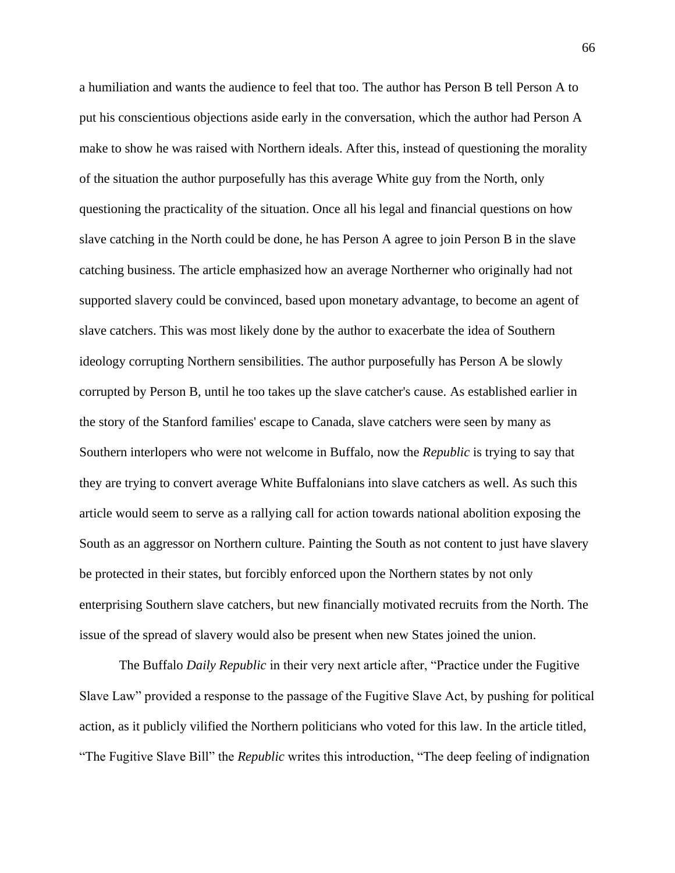a humiliation and wants the audience to feel that too. The author has Person B tell Person A to put his conscientious objections aside early in the conversation, which the author had Person A make to show he was raised with Northern ideals. After this, instead of questioning the morality of the situation the author purposefully has this average White guy from the North, only questioning the practicality of the situation. Once all his legal and financial questions on how slave catching in the North could be done, he has Person A agree to join Person B in the slave catching business. The article emphasized how an average Northerner who originally had not supported slavery could be convinced, based upon monetary advantage, to become an agent of slave catchers. This was most likely done by the author to exacerbate the idea of Southern ideology corrupting Northern sensibilities. The author purposefully has Person A be slowly corrupted by Person B, until he too takes up the slave catcher's cause. As established earlier in the story of the Stanford families' escape to Canada, slave catchers were seen by many as Southern interlopers who were not welcome in Buffalo, now the *Republic* is trying to say that they are trying to convert average White Buffalonians into slave catchers as well. As such this article would seem to serve as a rallying call for action towards national abolition exposing the South as an aggressor on Northern culture. Painting the South as not content to just have slavery be protected in their states, but forcibly enforced upon the Northern states by not only enterprising Southern slave catchers, but new financially motivated recruits from the North. The issue of the spread of slavery would also be present when new States joined the union.

The Buffalo *Daily Republic* in their very next article after, "Practice under the Fugitive Slave Law" provided a response to the passage of the Fugitive Slave Act, by pushing for political action, as it publicly vilified the Northern politicians who voted for this law. In the article titled, "The Fugitive Slave Bill" the *Republic* writes this introduction, "The deep feeling of indignation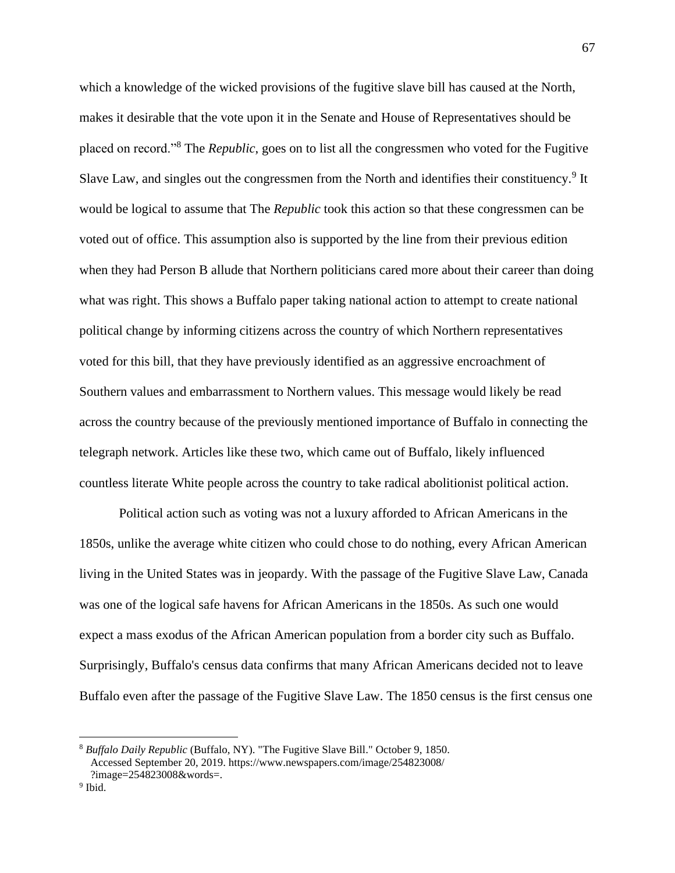which a knowledge of the wicked provisions of the fugitive slave bill has caused at the North, makes it desirable that the vote upon it in the Senate and House of Representatives should be placed on record."<sup>8</sup> The *Republic*, goes on to list all the congressmen who voted for the Fugitive Slave Law, and singles out the congressmen from the North and identifies their constituency.<sup>9</sup> It would be logical to assume that The *Republic* took this action so that these congressmen can be voted out of office. This assumption also is supported by the line from their previous edition when they had Person B allude that Northern politicians cared more about their career than doing what was right. This shows a Buffalo paper taking national action to attempt to create national political change by informing citizens across the country of which Northern representatives voted for this bill, that they have previously identified as an aggressive encroachment of Southern values and embarrassment to Northern values. This message would likely be read across the country because of the previously mentioned importance of Buffalo in connecting the telegraph network. Articles like these two, which came out of Buffalo, likely influenced countless literate White people across the country to take radical abolitionist political action.

Political action such as voting was not a luxury afforded to African Americans in the 1850s, unlike the average white citizen who could chose to do nothing, every African American living in the United States was in jeopardy. With the passage of the Fugitive Slave Law, Canada was one of the logical safe havens for African Americans in the 1850s. As such one would expect a mass exodus of the African American population from a border city such as Buffalo. Surprisingly, Buffalo's census data confirms that many African Americans decided not to leave Buffalo even after the passage of the Fugitive Slave Law. The 1850 census is the first census one

<sup>8</sup> *Buffalo Daily Republic* (Buffalo, NY). "The Fugitive Slave Bill." October 9, 1850. Accessed September 20, 2019. https://www.newspapers.com/image/254823008/ ?image=254823008&words=.

<sup>&</sup>lt;sup>9</sup> Ibid.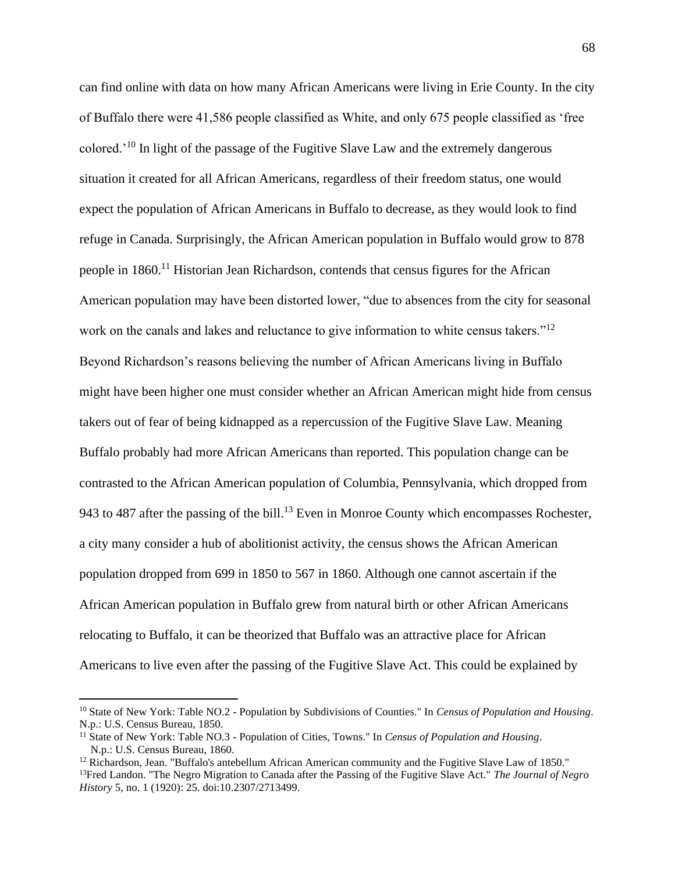can find online with data on how many African Americans were living in Erie County. In the city of Buffalo there were 41,586 people classified as White, and only 675 people classified as 'free colored.'<sup>10</sup> In light of the passage of the Fugitive Slave Law and the extremely dangerous situation it created for all African Americans, regardless of their freedom status, one would expect the population of African Americans in Buffalo to decrease, as they would look to find refuge in Canada. Surprisingly, the African American population in Buffalo would grow to 878 people in 1860.<sup>11</sup> Historian Jean Richardson, contends that census figures for the African American population may have been distorted lower, "due to absences from the city for seasonal work on the canals and lakes and reluctance to give information to white census takers."<sup>12</sup> Beyond Richardson's reasons believing the number of African Americans living in Buffalo might have been higher one must consider whether an African American might hide from census takers out of fear of being kidnapped as a repercussion of the Fugitive Slave Law. Meaning Buffalo probably had more African Americans than reported. This population change can be contrasted to the African American population of Columbia, Pennsylvania, which dropped from 943 to 487 after the passing of the bill.<sup>13</sup> Even in Monroe County which encompasses Rochester, a city many consider a hub of abolitionist activity, the census shows the African American population dropped from 699 in 1850 to 567 in 1860. Although one cannot ascertain if the African American population in Buffalo grew from natural birth or other African Americans relocating to Buffalo, it can be theorized that Buffalo was an attractive place for African Americans to live even after the passing of the Fugitive Slave Act. This could be explained by

<sup>10</sup> State of New York: Table NO.2 - Population by Subdivisions of Counties." In *Census of Population and Housing*. N.p.: U.S. Census Bureau, 1850.

<sup>11</sup> State of New York: Table NO.3 - Population of Cities, Towns." In *Census of Population and Housing*. N.p.: U.S. Census Bureau, 1860.

<sup>&</sup>lt;sup>12</sup> Richardson, Jean. "Buffalo's antebellum African American community and the Fugitive Slave Law of 1850." <sup>13</sup>Fred Landon. "The Negro Migration to Canada after the Passing of the Fugitive Slave Act." *The Journal of Negro History* 5, no. 1 (1920): 25. doi:10.2307/2713499.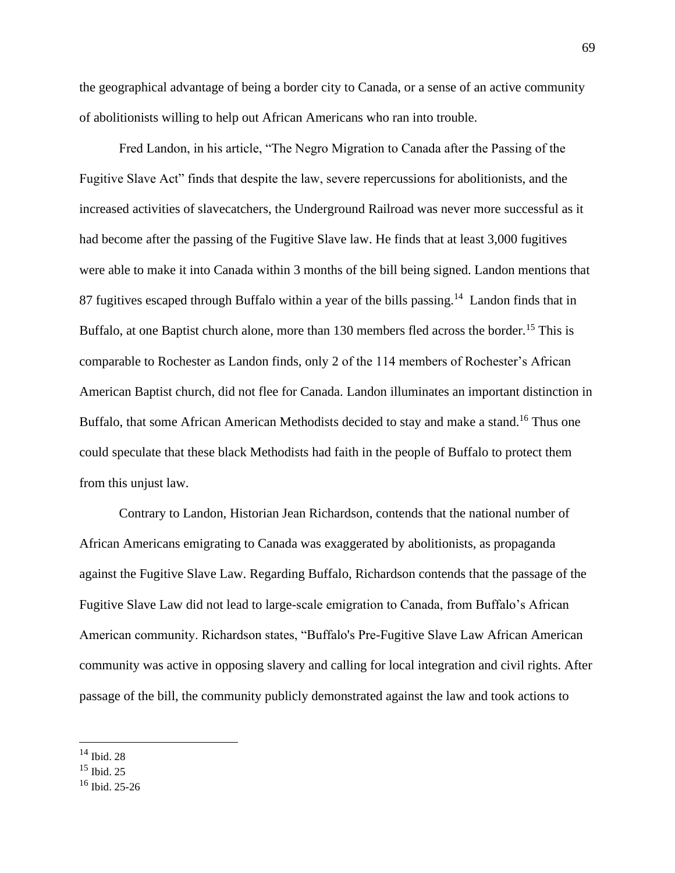the geographical advantage of being a border city to Canada, or a sense of an active community of abolitionists willing to help out African Americans who ran into trouble.

Fred Landon, in his article, "The Negro Migration to Canada after the Passing of the Fugitive Slave Act" finds that despite the law, severe repercussions for abolitionists, and the increased activities of slavecatchers, the Underground Railroad was never more successful as it had become after the passing of the Fugitive Slave law. He finds that at least 3,000 fugitives were able to make it into Canada within 3 months of the bill being signed. Landon mentions that 87 fugitives escaped through Buffalo within a year of the bills passing.<sup>14</sup> Landon finds that in Buffalo, at one Baptist church alone, more than 130 members fled across the border.<sup>15</sup> This is comparable to Rochester as Landon finds, only 2 of the 114 members of Rochester's African American Baptist church, did not flee for Canada. Landon illuminates an important distinction in Buffalo, that some African American Methodists decided to stay and make a stand.<sup>16</sup> Thus one could speculate that these black Methodists had faith in the people of Buffalo to protect them from this unjust law.

Contrary to Landon, Historian Jean Richardson, contends that the national number of African Americans emigrating to Canada was exaggerated by abolitionists, as propaganda against the Fugitive Slave Law. Regarding Buffalo, Richardson contends that the passage of the Fugitive Slave Law did not lead to large-scale emigration to Canada, from Buffalo's African American community. Richardson states, "Buffalo's Pre-Fugitive Slave Law African American community was active in opposing slavery and calling for local integration and civil rights. After passage of the bill, the community publicly demonstrated against the law and took actions to

<sup>14</sup> Ibid. 28

<sup>15</sup> Ibid. 25

 $16$  Ibid. 25-26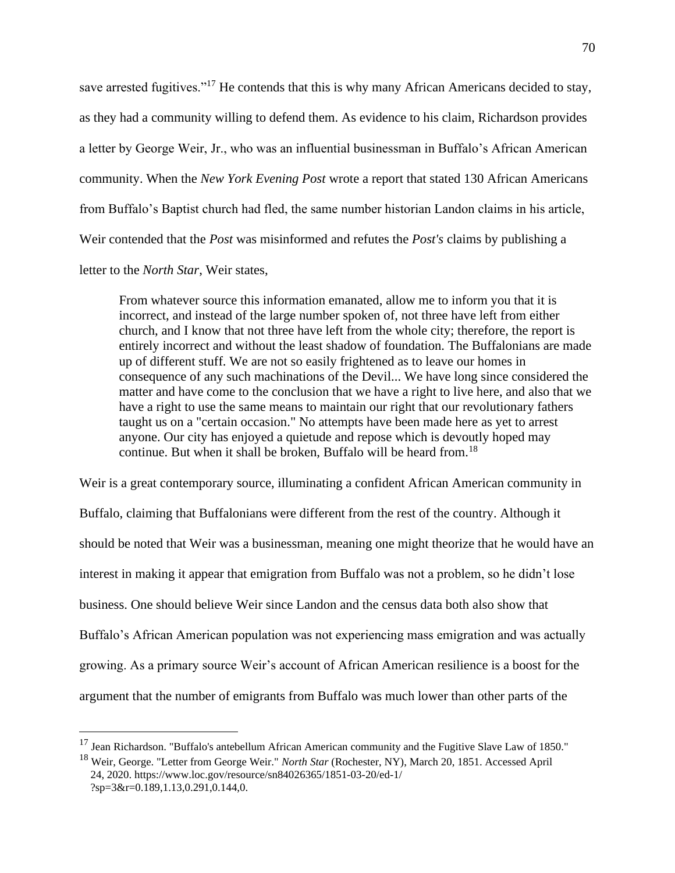save arrested fugitives."<sup>17</sup> He contends that this is why many African Americans decided to stay, as they had a community willing to defend them. As evidence to his claim, Richardson provides a letter by George Weir, Jr., who was an influential businessman in Buffalo's African American community. When the *New York Evening Post* wrote a report that stated 130 African Americans from Buffalo's Baptist church had fled, the same number historian Landon claims in his article, Weir contended that the *Post* was misinformed and refutes the *Post's* claims by publishing a

letter to the *North Star*, Weir states,

From whatever source this information emanated, allow me to inform you that it is incorrect, and instead of the large number spoken of, not three have left from either church, and I know that not three have left from the whole city; therefore, the report is entirely incorrect and without the least shadow of foundation. The Buffalonians are made up of different stuff. We are not so easily frightened as to leave our homes in consequence of any such machinations of the Devil... We have long since considered the matter and have come to the conclusion that we have a right to live here, and also that we have a right to use the same means to maintain our right that our revolutionary fathers taught us on a "certain occasion." No attempts have been made here as yet to arrest anyone. Our city has enjoyed a quietude and repose which is devoutly hoped may continue. But when it shall be broken, Buffalo will be heard from.<sup>18</sup>

Weir is a great contemporary source, illuminating a confident African American community in Buffalo, claiming that Buffalonians were different from the rest of the country. Although it should be noted that Weir was a businessman, meaning one might theorize that he would have an interest in making it appear that emigration from Buffalo was not a problem, so he didn't lose business. One should believe Weir since Landon and the census data both also show that Buffalo's African American population was not experiencing mass emigration and was actually growing. As a primary source Weir's account of African American resilience is a boost for the argument that the number of emigrants from Buffalo was much lower than other parts of the

 $17$  Jean Richardson. "Buffalo's antebellum African American community and the Fugitive Slave Law of 1850."

<sup>18</sup> Weir, George. "Letter from George Weir." *North Star* (Rochester, NY), March 20, 1851. Accessed April 24, 2020. https://www.loc.gov/resource/sn84026365/1851-03-20/ed-1/ ?sp=3&r=0.189,1.13,0.291,0.144,0.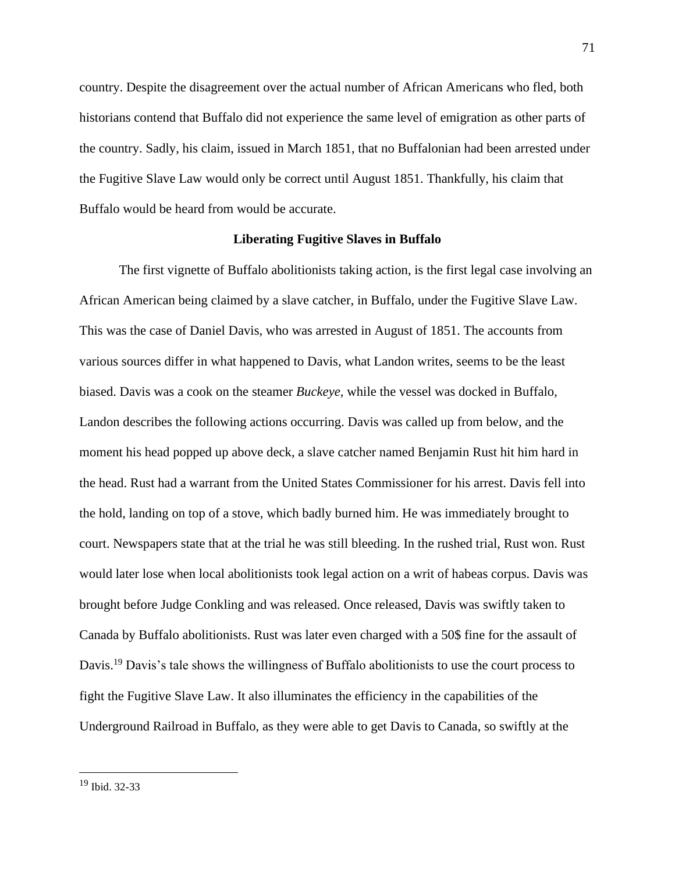country. Despite the disagreement over the actual number of African Americans who fled, both historians contend that Buffalo did not experience the same level of emigration as other parts of the country. Sadly, his claim, issued in March 1851, that no Buffalonian had been arrested under the Fugitive Slave Law would only be correct until August 1851. Thankfully, his claim that Buffalo would be heard from would be accurate.

### **Liberating Fugitive Slaves in Buffalo**

The first vignette of Buffalo abolitionists taking action, is the first legal case involving an African American being claimed by a slave catcher, in Buffalo, under the Fugitive Slave Law. This was the case of Daniel Davis, who was arrested in August of 1851. The accounts from various sources differ in what happened to Davis, what Landon writes, seems to be the least biased. Davis was a cook on the steamer *Buckeye,* while the vessel was docked in Buffalo, Landon describes the following actions occurring. Davis was called up from below, and the moment his head popped up above deck, a slave catcher named Benjamin Rust hit him hard in the head. Rust had a warrant from the United States Commissioner for his arrest. Davis fell into the hold, landing on top of a stove, which badly burned him. He was immediately brought to court. Newspapers state that at the trial he was still bleeding. In the rushed trial, Rust won. Rust would later lose when local abolitionists took legal action on a writ of habeas corpus. Davis was brought before Judge Conkling and was released. Once released, Davis was swiftly taken to Canada by Buffalo abolitionists. Rust was later even charged with a 50\$ fine for the assault of Davis.<sup>19</sup> Davis's tale shows the willingness of Buffalo abolitionists to use the court process to fight the Fugitive Slave Law. It also illuminates the efficiency in the capabilities of the Underground Railroad in Buffalo, as they were able to get Davis to Canada, so swiftly at the

<sup>19</sup> Ibid. 32-33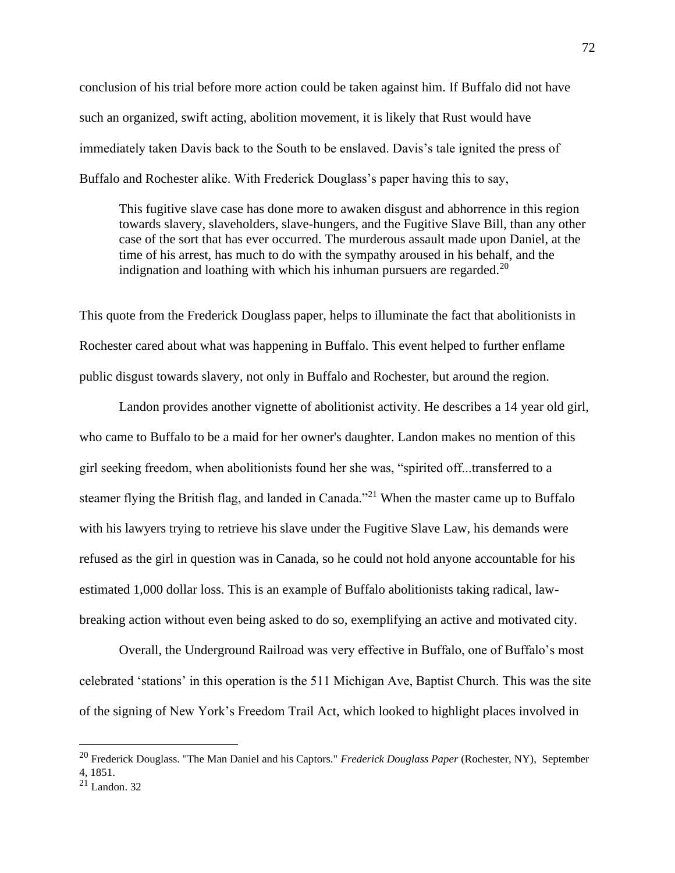conclusion of his trial before more action could be taken against him. If Buffalo did not have such an organized, swift acting, abolition movement, it is likely that Rust would have immediately taken Davis back to the South to be enslaved. Davis's tale ignited the press of Buffalo and Rochester alike. With Frederick Douglass's paper having this to say,

This fugitive slave case has done more to awaken disgust and abhorrence in this region towards slavery, slaveholders, slave-hungers, and the Fugitive Slave Bill, than any other case of the sort that has ever occurred. The murderous assault made upon Daniel, at the time of his arrest, has much to do with the sympathy aroused in his behalf, and the indignation and loathing with which his inhuman pursuers are regarded.<sup>20</sup>

This quote from the Frederick Douglass paper, helps to illuminate the fact that abolitionists in Rochester cared about what was happening in Buffalo. This event helped to further enflame public disgust towards slavery, not only in Buffalo and Rochester, but around the region.

Landon provides another vignette of abolitionist activity. He describes a 14 year old girl, who came to Buffalo to be a maid for her owner's daughter. Landon makes no mention of this girl seeking freedom, when abolitionists found her she was, "spirited off...transferred to a steamer flying the British flag, and landed in Canada."<sup>21</sup> When the master came up to Buffalo with his lawyers trying to retrieve his slave under the Fugitive Slave Law, his demands were refused as the girl in question was in Canada, so he could not hold anyone accountable for his estimated 1,000 dollar loss. This is an example of Buffalo abolitionists taking radical, lawbreaking action without even being asked to do so, exemplifying an active and motivated city.

Overall, the Underground Railroad was very effective in Buffalo, one of Buffalo's most celebrated 'stations' in this operation is the 511 Michigan Ave, Baptist Church. This was the site of the signing of New York's Freedom Trail Act, which looked to highlight places involved in

<sup>20</sup> Frederick Douglass. "The Man Daniel and his Captors." *Frederick Douglass Paper* (Rochester, NY), September 4, 1851.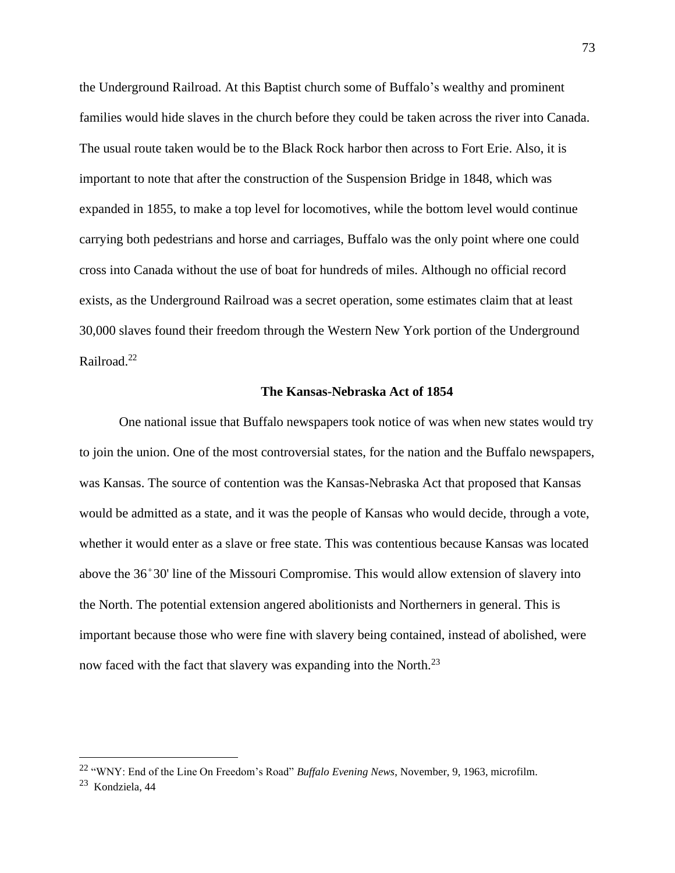the Underground Railroad. At this Baptist church some of Buffalo's wealthy and prominent families would hide slaves in the church before they could be taken across the river into Canada. The usual route taken would be to the Black Rock harbor then across to Fort Erie. Also, it is important to note that after the construction of the Suspension Bridge in 1848, which was expanded in 1855, to make a top level for locomotives, while the bottom level would continue carrying both pedestrians and horse and carriages, Buffalo was the only point where one could cross into Canada without the use of boat for hundreds of miles. Although no official record exists, as the Underground Railroad was a secret operation, some estimates claim that at least 30,000 slaves found their freedom through the Western New York portion of the Underground Railroad.<sup>22</sup>

#### **The Kansas-Nebraska Act of 1854**

One national issue that Buffalo newspapers took notice of was when new states would try to join the union. One of the most controversial states, for the nation and the Buffalo newspapers, was Kansas. The source of contention was the Kansas-Nebraska Act that proposed that Kansas would be admitted as a state, and it was the people of Kansas who would decide, through a vote, whether it would enter as a slave or free state. This was contentious because Kansas was located above the 36 ̊30' line of the Missouri Compromise. This would allow extension of slavery into the North. The potential extension angered abolitionists and Northerners in general. This is important because those who were fine with slavery being contained, instead of abolished, were now faced with the fact that slavery was expanding into the North.<sup>23</sup>

<sup>22</sup> "WNY: End of the Line On Freedom's Road" *Buffalo Evening News*, November, 9, 1963, microfilm.

<sup>&</sup>lt;sup>23</sup> Kondziela, 44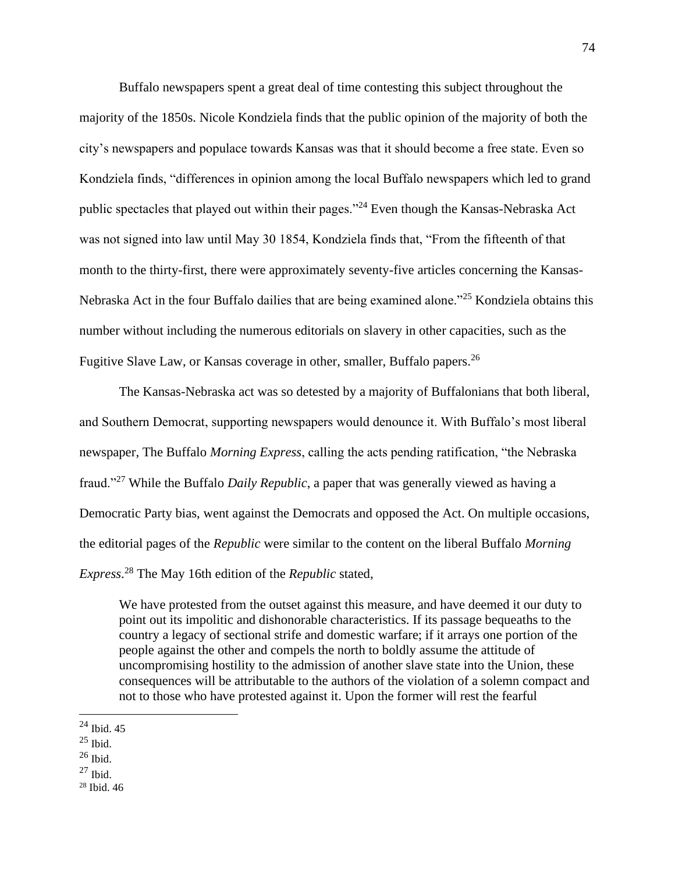Buffalo newspapers spent a great deal of time contesting this subject throughout the majority of the 1850s. Nicole Kondziela finds that the public opinion of the majority of both the city's newspapers and populace towards Kansas was that it should become a free state. Even so Kondziela finds, "differences in opinion among the local Buffalo newspapers which led to grand public spectacles that played out within their pages."<sup>24</sup> Even though the Kansas-Nebraska Act was not signed into law until May 30 1854, Kondziela finds that, "From the fifteenth of that month to the thirty-first, there were approximately seventy-five articles concerning the Kansas-Nebraska Act in the four Buffalo dailies that are being examined alone."<sup>25</sup> Kondziela obtains this number without including the numerous editorials on slavery in other capacities, such as the Fugitive Slave Law, or Kansas coverage in other, smaller, Buffalo papers.<sup>26</sup>

The Kansas-Nebraska act was so detested by a majority of Buffalonians that both liberal, and Southern Democrat, supporting newspapers would denounce it. With Buffalo's most liberal newspaper, The Buffalo *Morning Express*, calling the acts pending ratification, "the Nebraska fraud."<sup>27</sup> While the Buffalo *Daily Republic*, a paper that was generally viewed as having a Democratic Party bias, went against the Democrats and opposed the Act. On multiple occasions, the editorial pages of the *Republic* were similar to the content on the liberal Buffalo *Morning Express*. <sup>28</sup> The May 16th edition of the *Republic* stated,

We have protested from the outset against this measure, and have deemed it our duty to point out its impolitic and dishonorable characteristics. If its passage bequeaths to the country a legacy of sectional strife and domestic warfare; if it arrays one portion of the people against the other and compels the north to boldly assume the attitude of uncompromising hostility to the admission of another slave state into the Union, these consequences will be attributable to the authors of the violation of a solemn compact and not to those who have protested against it. Upon the former will rest the fearful

 $24$  Ibid. 45

 $25$  Ibid.

 $26$  Ibid.

 $^{27}$  Ibid.

<sup>28</sup> Ibid. 46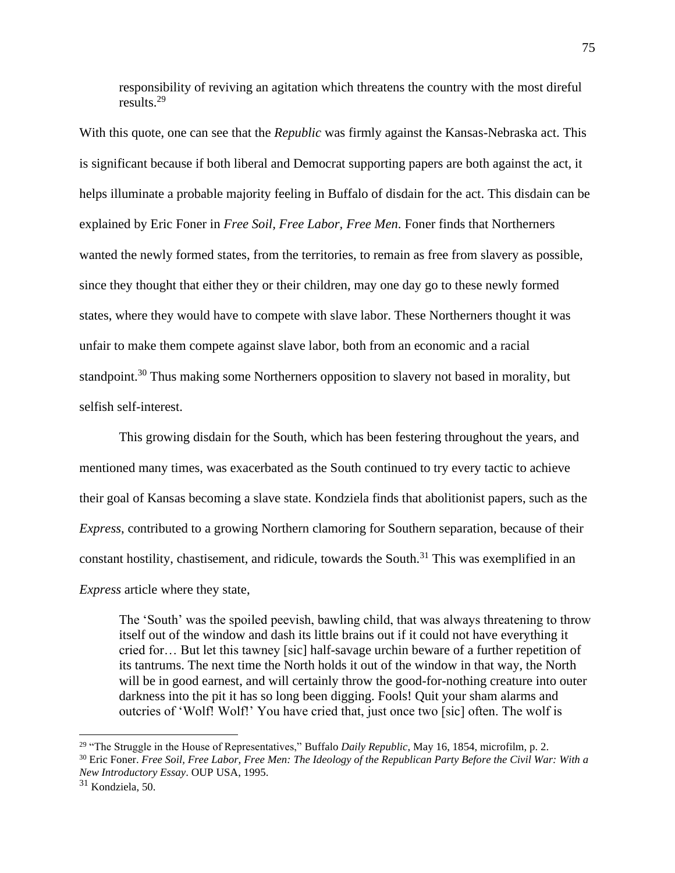responsibility of reviving an agitation which threatens the country with the most direful results.<sup>29</sup>

With this quote, one can see that the *Republic* was firmly against the Kansas-Nebraska act. This is significant because if both liberal and Democrat supporting papers are both against the act, it helps illuminate a probable majority feeling in Buffalo of disdain for the act. This disdain can be explained by Eric Foner in *Free Soil, Free Labor, Free Men*. Foner finds that Northerners wanted the newly formed states, from the territories, to remain as free from slavery as possible, since they thought that either they or their children, may one day go to these newly formed states, where they would have to compete with slave labor. These Northerners thought it was unfair to make them compete against slave labor, both from an economic and a racial standpoint.<sup>30</sup> Thus making some Northerners opposition to slavery not based in morality, but selfish self-interest.

This growing disdain for the South, which has been festering throughout the years, and mentioned many times, was exacerbated as the South continued to try every tactic to achieve their goal of Kansas becoming a slave state. Kondziela finds that abolitionist papers, such as the *Express*, contributed to a growing Northern clamoring for Southern separation, because of their constant hostility, chastisement, and ridicule, towards the South.<sup>31</sup> This was exemplified in an *Express* article where they state,

The 'South' was the spoiled peevish, bawling child, that was always threatening to throw itself out of the window and dash its little brains out if it could not have everything it cried for… But let this tawney [sic] half-savage urchin beware of a further repetition of its tantrums. The next time the North holds it out of the window in that way, the North will be in good earnest, and will certainly throw the good-for-nothing creature into outer darkness into the pit it has so long been digging. Fools! Quit your sham alarms and outcries of 'Wolf! Wolf!' You have cried that, just once two [sic] often. The wolf is

<sup>29</sup> "The Struggle in the House of Representatives," Buffalo *Daily Republic*, May 16, 1854, microfilm, p. 2. <sup>30</sup> Eric Foner. *Free Soil, Free Labor, Free Men: The Ideology of the Republican Party Before the Civil War: With a New Introductory Essay*. OUP USA, 1995.

<sup>31</sup> Kondziela, 50.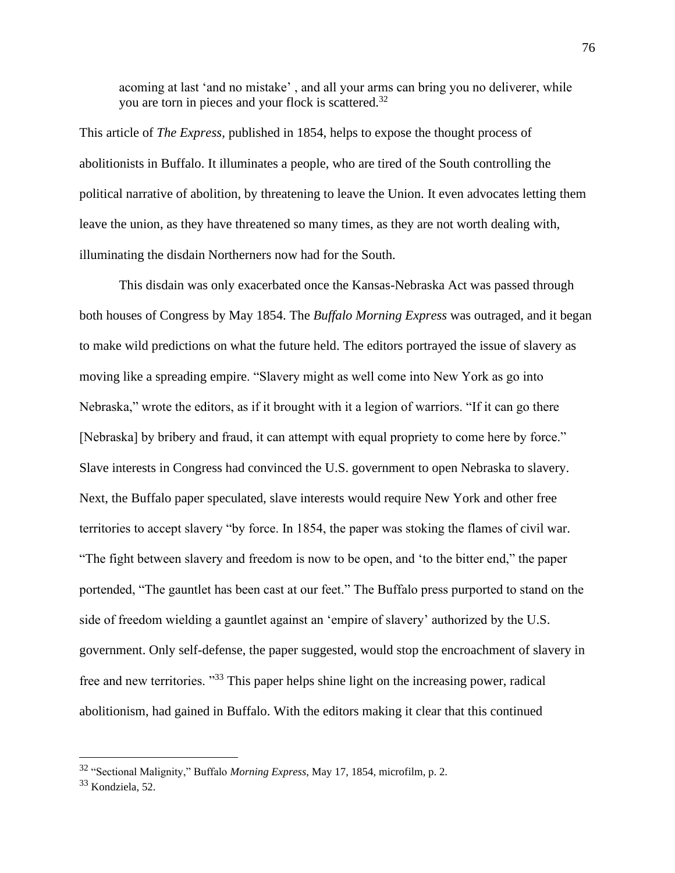acoming at last 'and no mistake' , and all your arms can bring you no deliverer, while you are torn in pieces and your flock is scattered.<sup>32</sup>

This article of *The Express,* published in 1854, helps to expose the thought process of abolitionists in Buffalo. It illuminates a people, who are tired of the South controlling the political narrative of abolition, by threatening to leave the Union. It even advocates letting them leave the union, as they have threatened so many times, as they are not worth dealing with, illuminating the disdain Northerners now had for the South.

This disdain was only exacerbated once the Kansas-Nebraska Act was passed through both houses of Congress by May 1854. The *Buffalo Morning Express* was outraged, and it began to make wild predictions on what the future held. The editors portrayed the issue of slavery as moving like a spreading empire. "Slavery might as well come into New York as go into Nebraska," wrote the editors, as if it brought with it a legion of warriors. "If it can go there [Nebraska] by bribery and fraud, it can attempt with equal propriety to come here by force." Slave interests in Congress had convinced the U.S. government to open Nebraska to slavery. Next, the Buffalo paper speculated, slave interests would require New York and other free territories to accept slavery "by force. In 1854, the paper was stoking the flames of civil war. "The fight between slavery and freedom is now to be open, and 'to the bitter end," the paper portended, "The gauntlet has been cast at our feet." The Buffalo press purported to stand on the side of freedom wielding a gauntlet against an 'empire of slavery' authorized by the U.S. government. Only self-defense, the paper suggested, would stop the encroachment of slavery in free and new territories. "<sup>33</sup> This paper helps shine light on the increasing power, radical abolitionism, had gained in Buffalo. With the editors making it clear that this continued

<sup>32</sup> "Sectional Malignity," Buffalo *Morning Express*, May 17, 1854, microfilm, p. 2.

<sup>33</sup> Kondziela, 52.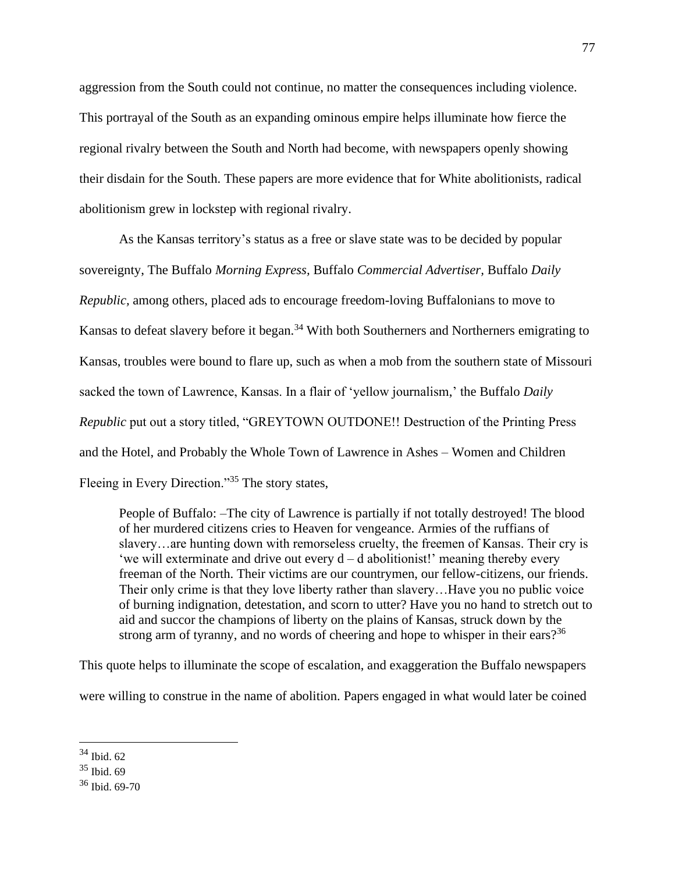aggression from the South could not continue, no matter the consequences including violence. This portrayal of the South as an expanding ominous empire helps illuminate how fierce the regional rivalry between the South and North had become, with newspapers openly showing their disdain for the South. These papers are more evidence that for White abolitionists, radical abolitionism grew in lockstep with regional rivalry.

As the Kansas territory's status as a free or slave state was to be decided by popular sovereignty, The Buffalo *Morning Express,* Buffalo *Commercial Advertiser,* Buffalo *Daily Republic,* among others, placed ads to encourage freedom-loving Buffalonians to move to Kansas to defeat slavery before it began.<sup>34</sup> With both Southerners and Northerners emigrating to Kansas, troubles were bound to flare up, such as when a mob from the southern state of Missouri sacked the town of Lawrence, Kansas. In a flair of 'yellow journalism,' the Buffalo *Daily Republic* put out a story titled, "GREYTOWN OUTDONE!! Destruction of the Printing Press and the Hotel, and Probably the Whole Town of Lawrence in Ashes – Women and Children Fleeing in Every Direction."<sup>35</sup> The story states,

People of Buffalo: –The city of Lawrence is partially if not totally destroyed! The blood of her murdered citizens cries to Heaven for vengeance. Armies of the ruffians of slavery…are hunting down with remorseless cruelty, the freemen of Kansas. Their cry is 'we will exterminate and drive out every  $d - d$  abolitionist!' meaning thereby every freeman of the North. Their victims are our countrymen, our fellow-citizens, our friends. Their only crime is that they love liberty rather than slavery...Have you no public voice of burning indignation, detestation, and scorn to utter? Have you no hand to stretch out to aid and succor the champions of liberty on the plains of Kansas, struck down by the strong arm of tyranny, and no words of cheering and hope to whisper in their ears?<sup>36</sup>

This quote helps to illuminate the scope of escalation, and exaggeration the Buffalo newspapers were willing to construe in the name of abolition. Papers engaged in what would later be coined

<sup>34</sup> Ibid. 62

<sup>35</sup> Ibid. 69

<sup>36</sup> Ibid. 69-70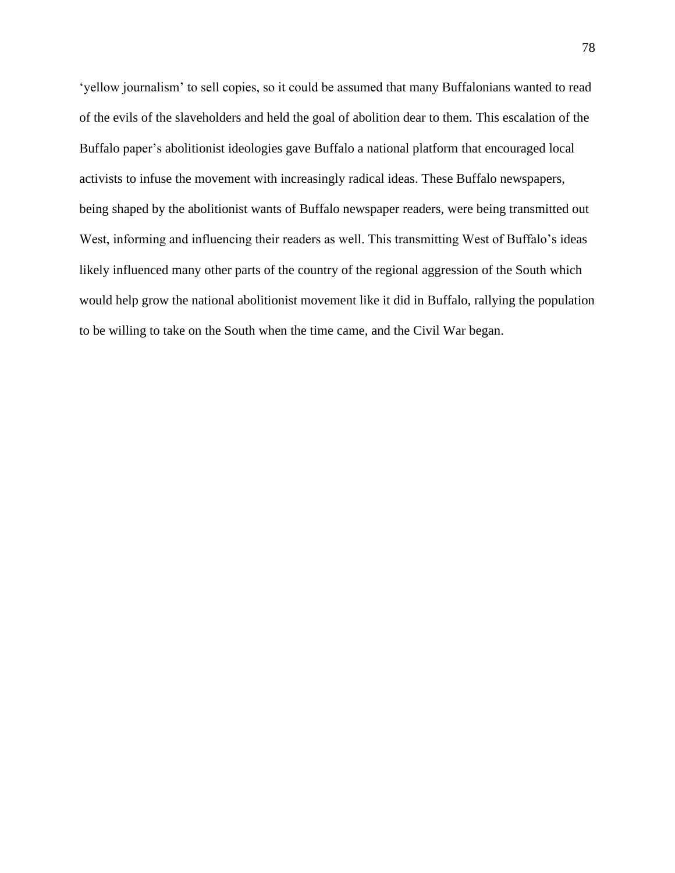'yellow journalism' to sell copies, so it could be assumed that many Buffalonians wanted to read of the evils of the slaveholders and held the goal of abolition dear to them. This escalation of the Buffalo paper's abolitionist ideologies gave Buffalo a national platform that encouraged local activists to infuse the movement with increasingly radical ideas. These Buffalo newspapers, being shaped by the abolitionist wants of Buffalo newspaper readers, were being transmitted out West, informing and influencing their readers as well. This transmitting West of Buffalo's ideas likely influenced many other parts of the country of the regional aggression of the South which would help grow the national abolitionist movement like it did in Buffalo, rallying the population to be willing to take on the South when the time came, and the Civil War began.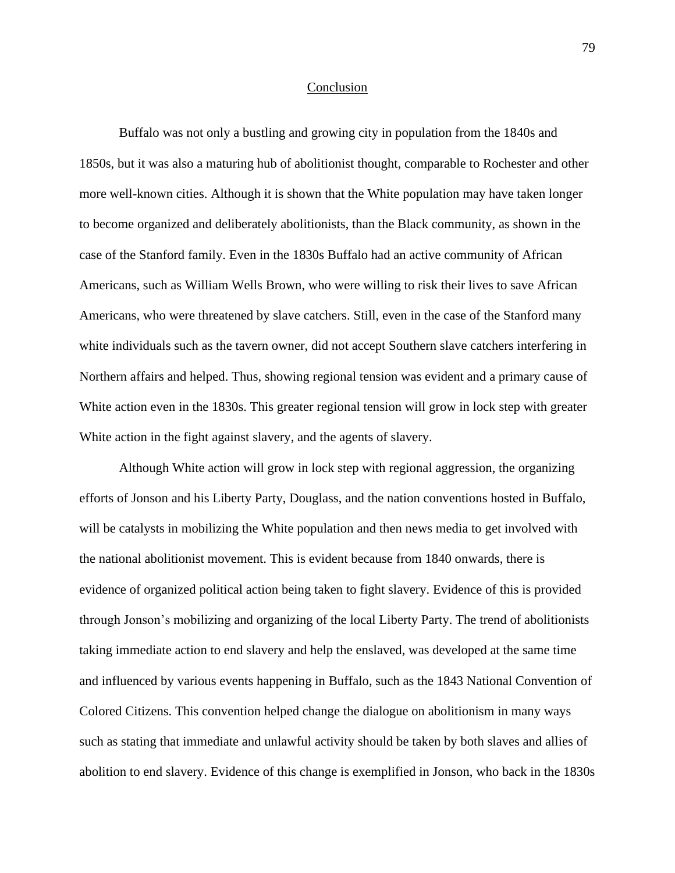#### Conclusion

Buffalo was not only a bustling and growing city in population from the 1840s and 1850s, but it was also a maturing hub of abolitionist thought, comparable to Rochester and other more well-known cities. Although it is shown that the White population may have taken longer to become organized and deliberately abolitionists, than the Black community, as shown in the case of the Stanford family. Even in the 1830s Buffalo had an active community of African Americans, such as William Wells Brown, who were willing to risk their lives to save African Americans, who were threatened by slave catchers. Still, even in the case of the Stanford many white individuals such as the tavern owner, did not accept Southern slave catchers interfering in Northern affairs and helped. Thus, showing regional tension was evident and a primary cause of White action even in the 1830s. This greater regional tension will grow in lock step with greater White action in the fight against slavery, and the agents of slavery.

Although White action will grow in lock step with regional aggression, the organizing efforts of Jonson and his Liberty Party, Douglass, and the nation conventions hosted in Buffalo, will be catalysts in mobilizing the White population and then news media to get involved with the national abolitionist movement. This is evident because from 1840 onwards, there is evidence of organized political action being taken to fight slavery. Evidence of this is provided through Jonson's mobilizing and organizing of the local Liberty Party. The trend of abolitionists taking immediate action to end slavery and help the enslaved, was developed at the same time and influenced by various events happening in Buffalo, such as the 1843 National Convention of Colored Citizens. This convention helped change the dialogue on abolitionism in many ways such as stating that immediate and unlawful activity should be taken by both slaves and allies of abolition to end slavery. Evidence of this change is exemplified in Jonson, who back in the 1830s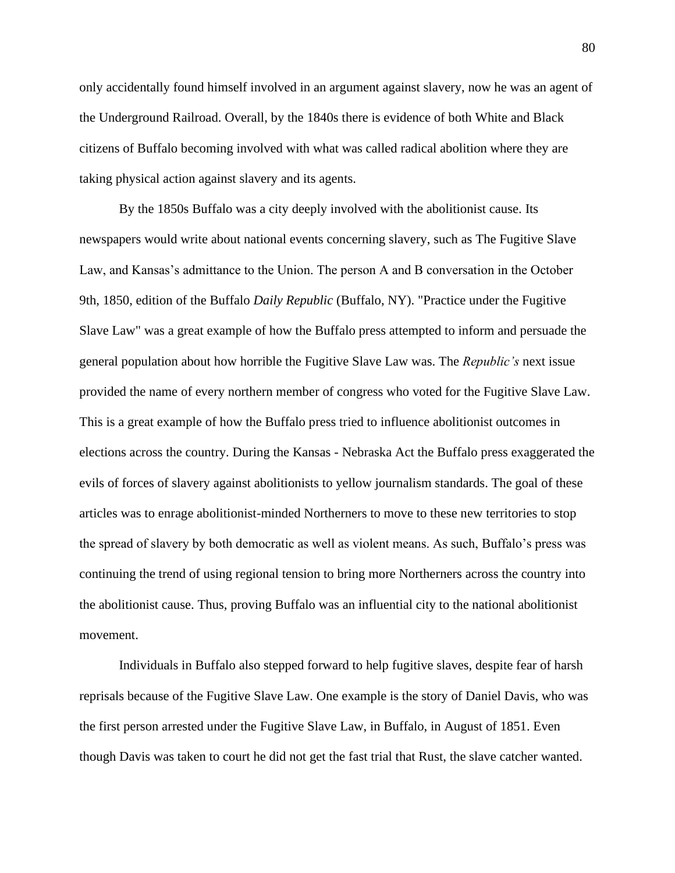only accidentally found himself involved in an argument against slavery, now he was an agent of the Underground Railroad. Overall, by the 1840s there is evidence of both White and Black citizens of Buffalo becoming involved with what was called radical abolition where they are taking physical action against slavery and its agents.

By the 1850s Buffalo was a city deeply involved with the abolitionist cause. Its newspapers would write about national events concerning slavery, such as The Fugitive Slave Law, and Kansas's admittance to the Union. The person A and B conversation in the October 9th, 1850, edition of the Buffalo *Daily Republic* (Buffalo, NY). "Practice under the Fugitive Slave Law" was a great example of how the Buffalo press attempted to inform and persuade the general population about how horrible the Fugitive Slave Law was. The *Republic's* next issue provided the name of every northern member of congress who voted for the Fugitive Slave Law. This is a great example of how the Buffalo press tried to influence abolitionist outcomes in elections across the country. During the Kansas - Nebraska Act the Buffalo press exaggerated the evils of forces of slavery against abolitionists to yellow journalism standards. The goal of these articles was to enrage abolitionist-minded Northerners to move to these new territories to stop the spread of slavery by both democratic as well as violent means. As such, Buffalo's press was continuing the trend of using regional tension to bring more Northerners across the country into the abolitionist cause. Thus, proving Buffalo was an influential city to the national abolitionist movement.

Individuals in Buffalo also stepped forward to help fugitive slaves, despite fear of harsh reprisals because of the Fugitive Slave Law. One example is the story of Daniel Davis, who was the first person arrested under the Fugitive Slave Law, in Buffalo, in August of 1851. Even though Davis was taken to court he did not get the fast trial that Rust, the slave catcher wanted.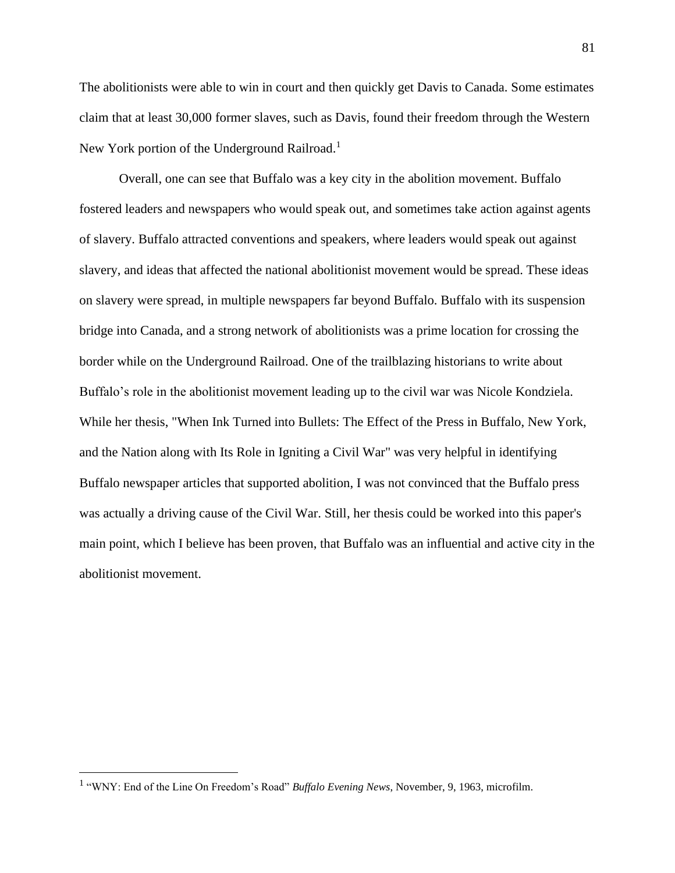The abolitionists were able to win in court and then quickly get Davis to Canada. Some estimates claim that at least 30,000 former slaves, such as Davis, found their freedom through the Western New York portion of the Underground Railroad.<sup>1</sup>

Overall, one can see that Buffalo was a key city in the abolition movement. Buffalo fostered leaders and newspapers who would speak out, and sometimes take action against agents of slavery. Buffalo attracted conventions and speakers, where leaders would speak out against slavery, and ideas that affected the national abolitionist movement would be spread. These ideas on slavery were spread, in multiple newspapers far beyond Buffalo. Buffalo with its suspension bridge into Canada, and a strong network of abolitionists was a prime location for crossing the border while on the Underground Railroad. One of the trailblazing historians to write about Buffalo's role in the abolitionist movement leading up to the civil war was Nicole Kondziela. While her thesis, "When Ink Turned into Bullets: The Effect of the Press in Buffalo, New York, and the Nation along with Its Role in Igniting a Civil War" was very helpful in identifying Buffalo newspaper articles that supported abolition, I was not convinced that the Buffalo press was actually a driving cause of the Civil War. Still, her thesis could be worked into this paper's main point, which I believe has been proven, that Buffalo was an influential and active city in the abolitionist movement.

<sup>&</sup>lt;sup>1</sup> "WNY: End of the Line On Freedom's Road" *Buffalo Evening News*, November, 9, 1963, microfilm.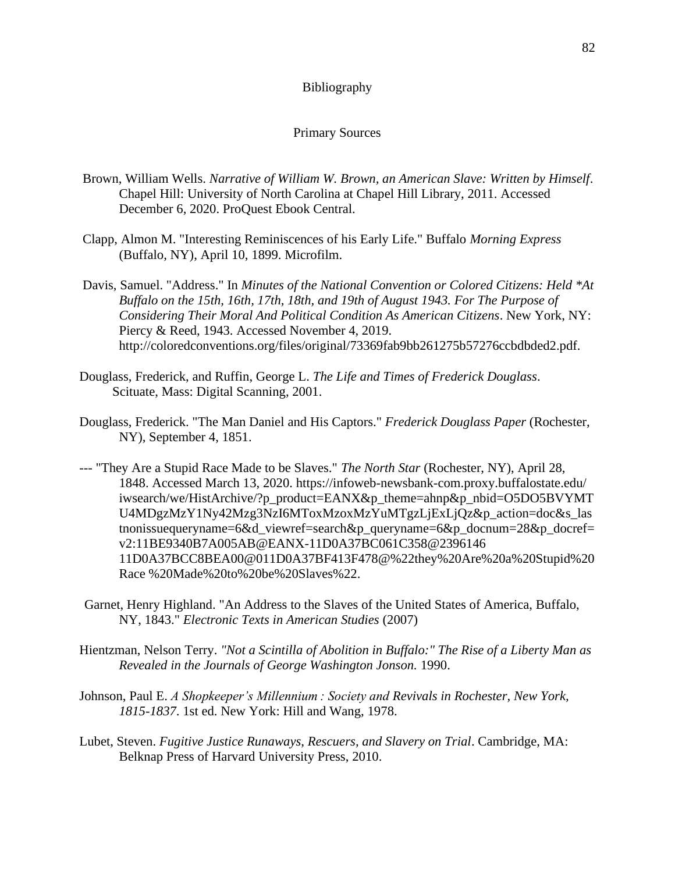## Bibliography

# Primary Sources

- Brown, William Wells. *Narrative of William W. Brown, an American Slave: Written by Himself*. Chapel Hill: University of North Carolina at Chapel Hill Library, 2011. Accessed December 6, 2020. ProQuest Ebook Central.
- Clapp, Almon M. "Interesting Reminiscences of his Early Life." Buffalo *Morning Express* (Buffalo, NY), April 10, 1899. Microfilm.
- Davis, Samuel. "Address." In *Minutes of the National Convention or Colored Citizens: Held \*At Buffalo on the 15th, 16th, 17th, 18th, and 19th of August 1943. For The Purpose of Considering Their Moral And Political Condition As American Citizens*. New York, NY: Piercy & Reed, 1943. Accessed November 4, 2019. http://coloredconventions.org/files/original/73369fab9bb261275b57276ccbdbded2.pdf.
- Douglass, Frederick, and Ruffin, George L. *The Life and Times of Frederick Douglass*. Scituate, Mass: Digital Scanning, 2001.
- Douglass, Frederick. "The Man Daniel and His Captors." *Frederick Douglass Paper* (Rochester, NY), September 4, 1851.
- --- "They Are a Stupid Race Made to be Slaves." *The North Star* (Rochester, NY), April 28, 1848. Accessed March 13, 2020. https://infoweb-newsbank-com.proxy.buffalostate.edu/ iwsearch/we/HistArchive/?p\_product=EANX&p\_theme=ahnp&p\_nbid=O5DO5BVYMT U4MDgzMzY1Ny42Mzg3NzI6MToxMzoxMzYuMTgzLjExLjQz&p\_action=doc&s\_las tnonissuequeryname=6&d\_viewref=search&p\_queryname=6&p\_docnum=28&p\_docref= v2:11BE9340B7A005AB@EANX-11D0A37BC061C358@2396146 11D0A37BCC8BEA00@011D0A37BF413F478@%22they%20Are%20a%20Stupid%20 Race %20Made%20to%20be%20Slaves%22.
- Garnet, Henry Highland. "An Address to the Slaves of the United States of America, Buffalo, NY, 1843." *Electronic Texts in American Studies* (2007)
- Hientzman, Nelson Terry. *"Not a Scintilla of Abolition in Buffalo:" The Rise of a Liberty Man as Revealed in the Journals of George Washington Jonson.* 1990.
- Johnson, Paul E. *A Shopkeeper's Millennium : Society and Revivals in Rochester, New York, 1815-1837*. 1st ed. New York: Hill and Wang, 1978.
- Lubet, Steven. *Fugitive Justice Runaways, Rescuers, and Slavery on Trial*. Cambridge, MA: Belknap Press of Harvard University Press, 2010.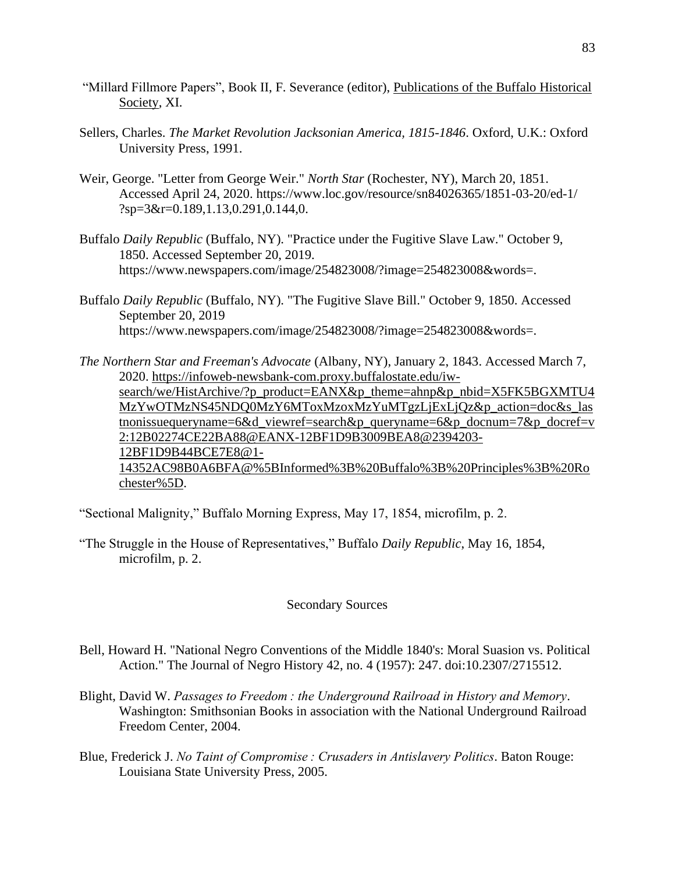- "Millard Fillmore Papers", Book II, F. Severance (editor), Publications of the Buffalo Historical Society, XI.
- Sellers, Charles. *The Market Revolution Jacksonian America, 1815-1846*. Oxford, U.K.: Oxford University Press, 1991.
- Weir, George. "Letter from George Weir." *North Star* (Rochester, NY), March 20, 1851. Accessed April 24, 2020. https://www.loc.gov/resource/sn84026365/1851-03-20/ed-1/ ?sp=3&r=0.189,1.13,0.291,0.144,0.
- Buffalo *Daily Republic* (Buffalo, NY). "Practice under the Fugitive Slave Law." October 9, 1850. Accessed September 20, 2019. https://www.newspapers.com/image/254823008/?image=254823008&words=.
- Buffalo *Daily Republic* (Buffalo, NY). "The Fugitive Slave Bill." October 9, 1850. Accessed September 20, 2019 https://www.newspapers.com/image/254823008/?image=254823008&words=.
- *The Northern Star and Freeman's Advocate* (Albany, NY), January 2, 1843. Accessed March 7, 2020. [https://infoweb-newsbank-com.proxy.buffalostate.edu/iw](https://infoweb-newsbank-com.proxy.buffalostate.edu/iw-search/we/HistArchive/?p_product=EANX&p_theme=ahnp&p_nbid=X5FK5BGXMTU4MzYwOTMzNS45NDQ0MzY6MToxMzoxMzYuMTgzLjExLjQz&p_action=doc&s_lastnonissuequeryname=6&d_viewref=search&p_queryname=6&p_docnum=7&p_docref=v2:12B02274CE22BA88@EANX-12BF1D9B3009BEA8@2394203-12BF1D9B44BCE7E8@1-14352AC98B0A6BFA@%5BInformed%3B%20Buffalo%3B%20Principles%3B%20Rochester%5D)[search/we/HistArchive/?p\\_product=EANX&p\\_theme=ahnp&p\\_nbid=X5FK5BGXMTU4](https://infoweb-newsbank-com.proxy.buffalostate.edu/iw-search/we/HistArchive/?p_product=EANX&p_theme=ahnp&p_nbid=X5FK5BGXMTU4MzYwOTMzNS45NDQ0MzY6MToxMzoxMzYuMTgzLjExLjQz&p_action=doc&s_lastnonissuequeryname=6&d_viewref=search&p_queryname=6&p_docnum=7&p_docref=v2:12B02274CE22BA88@EANX-12BF1D9B3009BEA8@2394203-12BF1D9B44BCE7E8@1-14352AC98B0A6BFA@%5BInformed%3B%20Buffalo%3B%20Principles%3B%20Rochester%5D) [MzYwOTMzNS45NDQ0MzY6MToxMzoxMzYuMTgzLjExLjQz&p\\_action=doc&s\\_las](https://infoweb-newsbank-com.proxy.buffalostate.edu/iw-search/we/HistArchive/?p_product=EANX&p_theme=ahnp&p_nbid=X5FK5BGXMTU4MzYwOTMzNS45NDQ0MzY6MToxMzoxMzYuMTgzLjExLjQz&p_action=doc&s_lastnonissuequeryname=6&d_viewref=search&p_queryname=6&p_docnum=7&p_docref=v2:12B02274CE22BA88@EANX-12BF1D9B3009BEA8@2394203-12BF1D9B44BCE7E8@1-14352AC98B0A6BFA@%5BInformed%3B%20Buffalo%3B%20Principles%3B%20Rochester%5D) [tnonissuequeryname=6&d\\_viewref=search&p\\_queryname=6&p\\_docnum=7&p\\_docref=v](https://infoweb-newsbank-com.proxy.buffalostate.edu/iw-search/we/HistArchive/?p_product=EANX&p_theme=ahnp&p_nbid=X5FK5BGXMTU4MzYwOTMzNS45NDQ0MzY6MToxMzoxMzYuMTgzLjExLjQz&p_action=doc&s_lastnonissuequeryname=6&d_viewref=search&p_queryname=6&p_docnum=7&p_docref=v2:12B02274CE22BA88@EANX-12BF1D9B3009BEA8@2394203-12BF1D9B44BCE7E8@1-14352AC98B0A6BFA@%5BInformed%3B%20Buffalo%3B%20Principles%3B%20Rochester%5D) [2:12B02274CE22BA88@EANX-12BF1D9B3009BEA8@2394203-](https://infoweb-newsbank-com.proxy.buffalostate.edu/iw-search/we/HistArchive/?p_product=EANX&p_theme=ahnp&p_nbid=X5FK5BGXMTU4MzYwOTMzNS45NDQ0MzY6MToxMzoxMzYuMTgzLjExLjQz&p_action=doc&s_lastnonissuequeryname=6&d_viewref=search&p_queryname=6&p_docnum=7&p_docref=v2:12B02274CE22BA88@EANX-12BF1D9B3009BEA8@2394203-12BF1D9B44BCE7E8@1-14352AC98B0A6BFA@%5BInformed%3B%20Buffalo%3B%20Principles%3B%20Rochester%5D) [12BF1D9B44BCE7E8@1-](https://infoweb-newsbank-com.proxy.buffalostate.edu/iw-search/we/HistArchive/?p_product=EANX&p_theme=ahnp&p_nbid=X5FK5BGXMTU4MzYwOTMzNS45NDQ0MzY6MToxMzoxMzYuMTgzLjExLjQz&p_action=doc&s_lastnonissuequeryname=6&d_viewref=search&p_queryname=6&p_docnum=7&p_docref=v2:12B02274CE22BA88@EANX-12BF1D9B3009BEA8@2394203-12BF1D9B44BCE7E8@1-14352AC98B0A6BFA@%5BInformed%3B%20Buffalo%3B%20Principles%3B%20Rochester%5D) [14352AC98B0A6BFA@%5BInformed%3B%20Buffalo%3B%20Principles%3B%20Ro](https://infoweb-newsbank-com.proxy.buffalostate.edu/iw-search/we/HistArchive/?p_product=EANX&p_theme=ahnp&p_nbid=X5FK5BGXMTU4MzYwOTMzNS45NDQ0MzY6MToxMzoxMzYuMTgzLjExLjQz&p_action=doc&s_lastnonissuequeryname=6&d_viewref=search&p_queryname=6&p_docnum=7&p_docref=v2:12B02274CE22BA88@EANX-12BF1D9B3009BEA8@2394203-12BF1D9B44BCE7E8@1-14352AC98B0A6BFA@%5BInformed%3B%20Buffalo%3B%20Principles%3B%20Rochester%5D) [chester%5D.](https://infoweb-newsbank-com.proxy.buffalostate.edu/iw-search/we/HistArchive/?p_product=EANX&p_theme=ahnp&p_nbid=X5FK5BGXMTU4MzYwOTMzNS45NDQ0MzY6MToxMzoxMzYuMTgzLjExLjQz&p_action=doc&s_lastnonissuequeryname=6&d_viewref=search&p_queryname=6&p_docnum=7&p_docref=v2:12B02274CE22BA88@EANX-12BF1D9B3009BEA8@2394203-12BF1D9B44BCE7E8@1-14352AC98B0A6BFA@%5BInformed%3B%20Buffalo%3B%20Principles%3B%20Rochester%5D)
- "Sectional Malignity," Buffalo Morning Express, May 17, 1854, microfilm, p. 2.
- "The Struggle in the House of Representatives," Buffalo *Daily Republic*, May 16, 1854, microfilm, p. 2.

## Secondary Sources

- Bell, Howard H. "National Negro Conventions of the Middle 1840's: Moral Suasion vs. Political Action." The Journal of Negro History 42, no. 4 (1957): 247. doi:10.2307/2715512.
- Blight, David W. *Passages to Freedom : the Underground Railroad in History and Memory*. Washington: Smithsonian Books in association with the National Underground Railroad Freedom Center, 2004.
- Blue, Frederick J. *No Taint of Compromise : Crusaders in Antislavery Politics*. Baton Rouge: Louisiana State University Press, 2005.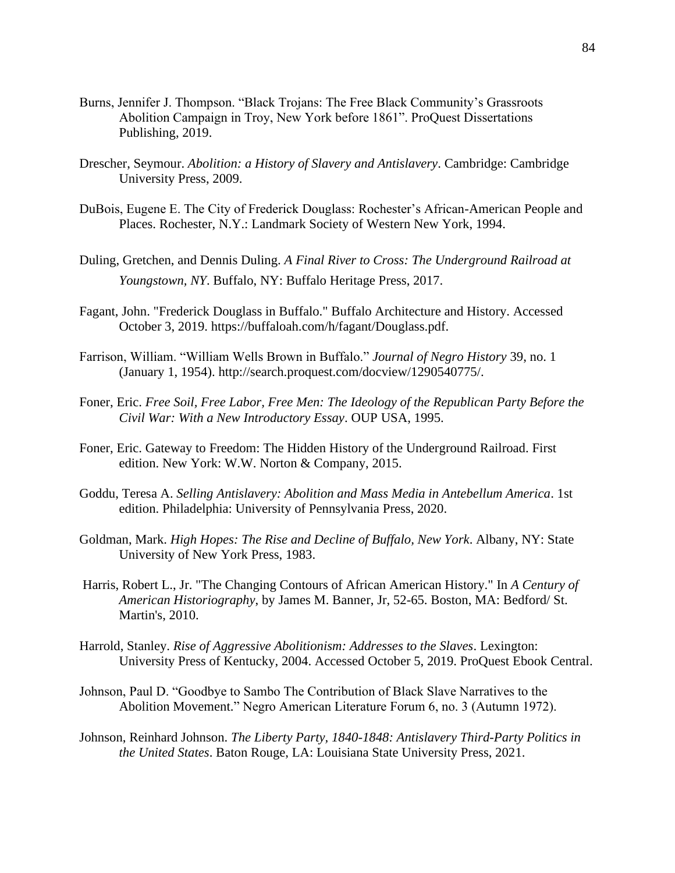- Burns, Jennifer J. Thompson. "Black Trojans: The Free Black Community's Grassroots Abolition Campaign in Troy, New York before 1861". ProQuest Dissertations Publishing, 2019.
- Drescher, Seymour. *Abolition: a History of Slavery and Antislavery*. Cambridge: Cambridge University Press, 2009.
- DuBois, Eugene E. The City of Frederick Douglass: Rochester's African-American People and Places. Rochester, N.Y.: Landmark Society of Western New York, 1994.
- Duling, Gretchen, and Dennis Duling. *A Final River to Cross: The Underground Railroad at Youngstown, NY*. Buffalo, NY: Buffalo Heritage Press, 2017.
- Fagant, John. "Frederick Douglass in Buffalo." Buffalo Architecture and History. Accessed October 3, 2019. https://buffaloah.com/h/fagant/Douglass.pdf.
- Farrison, William. "William Wells Brown in Buffalo." *Journal of Negro History* 39, no. 1 (January 1, 1954). http://search.proquest.com/docview/1290540775/.
- Foner, Eric. *Free Soil, Free Labor, Free Men: The Ideology of the Republican Party Before the Civil War: With a New Introductory Essay*. OUP USA, 1995.
- Foner, Eric. Gateway to Freedom: The Hidden History of the Underground Railroad. First edition. New York: W.W. Norton & Company, 2015.
- Goddu, Teresa A. *Selling Antislavery: Abolition and Mass Media in Antebellum America*. 1st edition. Philadelphia: University of Pennsylvania Press, 2020.
- Goldman, Mark. *High Hopes: The Rise and Decline of Buffalo, New York*. Albany, NY: State University of New York Press, 1983.
- Harris, Robert L., Jr. "The Changing Contours of African American History." In *A Century of American Historiography*, by James M. Banner, Jr, 52-65. Boston, MA: Bedford/ St. Martin's, 2010.
- Harrold, Stanley. *Rise of Aggressive Abolitionism: Addresses to the Slaves*. Lexington: University Press of Kentucky, 2004. Accessed October 5, 2019. ProQuest Ebook Central.
- Johnson, Paul D. "Goodbye to Sambo The Contribution of Black Slave Narratives to the Abolition Movement." Negro American Literature Forum 6, no. 3 (Autumn 1972).
- Johnson, Reinhard Johnson. *The Liberty Party, 1840-1848: Antislavery Third-Party Politics in the United States*. Baton Rouge, LA: Louisiana State University Press, 2021.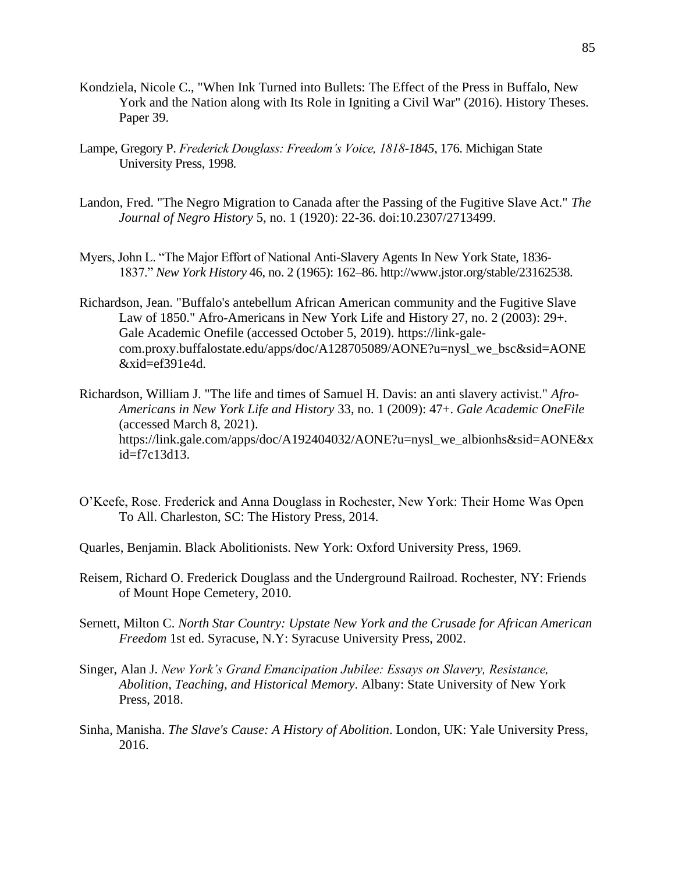- Kondziela, Nicole C., "When Ink Turned into Bullets: The Effect of the Press in Buffalo, New York and the Nation along with Its Role in Igniting a Civil War" (2016). History Theses. Paper 39.
- Lampe, Gregory P. *Frederick Douglass: Freedom's Voice, 1818-1845*, 176. Michigan State University Press, 1998.
- Landon, Fred. "The Negro Migration to Canada after the Passing of the Fugitive Slave Act." *The Journal of Negro History* 5, no. 1 (1920): 22-36. doi:10.2307/2713499.
- Myers, John L. "The Major Effort of National Anti-Slavery Agents In New York State, 1836- 1837." *New York History* 46, no. 2 (1965): 162–86. http://www.jstor.org/stable/23162538.
- Richardson, Jean. "Buffalo's antebellum African American community and the Fugitive Slave Law of 1850." Afro-Americans in New York Life and History 27, no. 2 (2003): 29+. Gale Academic Onefile (accessed October 5, 2019). https://link-galecom.proxy.buffalostate.edu/apps/doc/A128705089/AONE?u=nysl\_we\_bsc&sid=AONE &xid=ef391e4d.
- Richardson, William J. "The life and times of Samuel H. Davis: an anti slavery activist." *Afro-Americans in New York Life and History* 33, no. 1 (2009): 47+. *Gale Academic OneFile* (accessed March 8, 2021). https://link.gale.com/apps/doc/A192404032/AONE?u=nysl\_we\_albionhs&sid=AONE&x id=f7c13d13.
- O'Keefe, Rose. Frederick and Anna Douglass in Rochester, New York: Their Home Was Open To All. Charleston, SC: The History Press, 2014.
- Quarles, Benjamin. Black Abolitionists. New York: Oxford University Press, 1969.
- Reisem, Richard O. Frederick Douglass and the Underground Railroad. Rochester, NY: Friends of Mount Hope Cemetery, 2010.
- Sernett, Milton C. *North Star Country: Upstate New York and the Crusade for African American Freedom* 1st ed. Syracuse, N.Y: Syracuse University Press, 2002.
- Singer, Alan J. *New York's Grand Emancipation Jubilee: Essays on Slavery, Resistance, Abolition, Teaching, and Historical Memory*. Albany: State University of New York Press, 2018.
- Sinha, Manisha. *The Slave's Cause: A History of Abolition*. London, UK: Yale University Press, 2016.